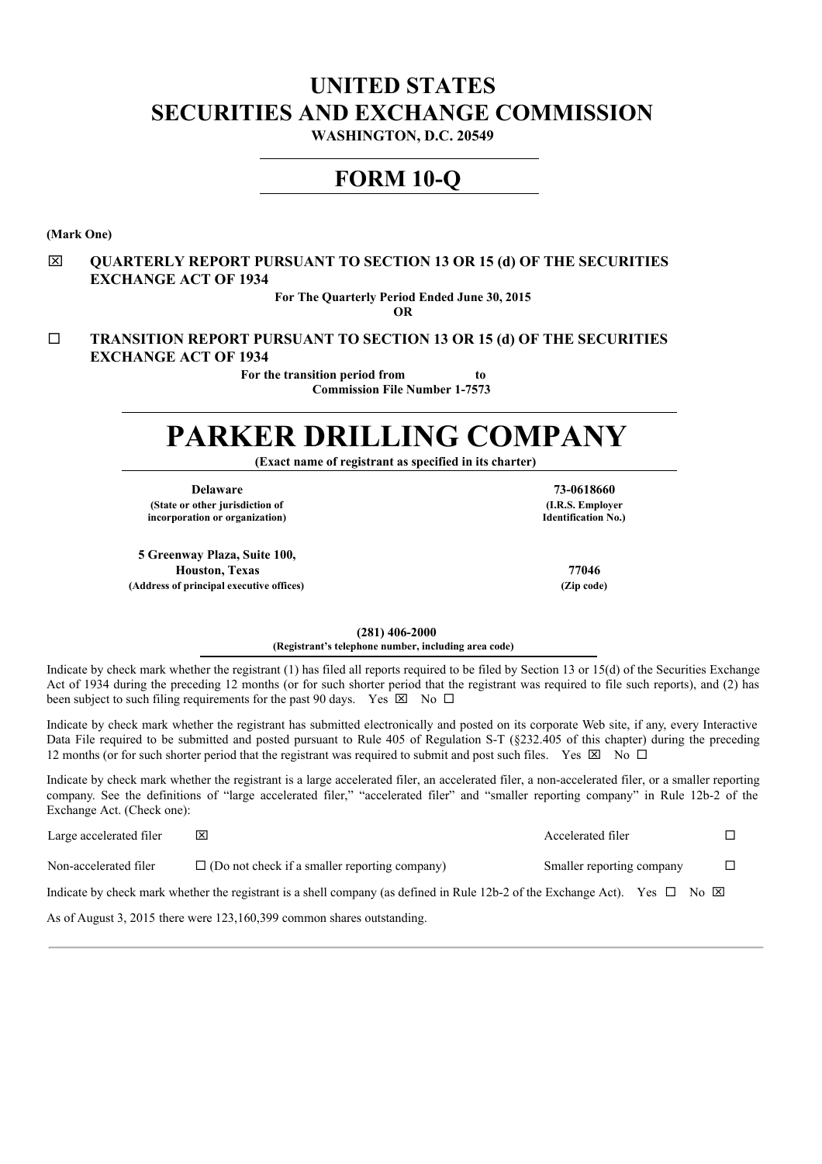# **UNITED STATES SECURITIES AND EXCHANGE COMMISSION**

**WASHINGTON, D.C. 20549**

# **FORM 10-Q**

**(Mark One)**

# x **QUARTERLY REPORT PURSUANT TO SECTION 13 OR 15 (d) OF THE SECURITIES EXCHANGE ACT OF 1934**

**For The Quarterly Period Ended June 30, 2015**

**OR**

¨ **TRANSITION REPORT PURSUANT TO SECTION 13 OR 15 (d) OF THE SECURITIES EXCHANGE ACT OF 1934**

> **For the transition period from to Commission File Number 1-7573**

# **PARKER DRILLING COMPANY**

**(Exact name of registrant as specified in its charter)**

**Delaware 73-0618660 (State or other jurisdiction of incorporation or organization)**

**5 Greenway Plaza, Suite 100, Houston, Texas 77046 (Address of principal executive offices) (Zip code)**

**(I.R.S. Employer Identification No.)**

**(281) 406-2000**

**(Registrant's telephone number, including area code)**

Indicate by check mark whether the registrant (1) has filed all reports required to be filed by Section 13 or 15(d) of the Securities Exchange Act of 1934 during the preceding 12 months (or for such shorter period that the registrant was required to file such reports), and (2) has been subject to such filing requirements for the past 90 days. Yes  $\boxtimes$  No  $\Box$ 

Indicate by check mark whether the registrant has submitted electronically and posted on its corporate Web site, if any, every Interactive Data File required to be submitted and posted pursuant to Rule 405 of Regulation S-T (§232.405 of this chapter) during the preceding 12 months (or for such shorter period that the registrant was required to submit and post such files. Yes  $\boxtimes$  No  $\Box$ 

Indicate by check mark whether the registrant is a large accelerated filer, an accelerated filer, a non-accelerated filer, or a smaller reporting company. See the definitions of "large accelerated filer," "accelerated filer" and "smaller reporting company" in Rule 12b-2 of the Exchange Act. (Check one):

| Large accelerated filer |                                                                                                                             | Accelerated filer             |  |
|-------------------------|-----------------------------------------------------------------------------------------------------------------------------|-------------------------------|--|
| Non-accelerated filer   | $\Box$ (Do not check if a smaller reporting company)                                                                        | Smaller reporting company     |  |
|                         | Indicate by check mark whether the registrant is a shell company (as defined in Rule 12b-2 of the Exchange Act). Yes $\Box$ | $\overline{N}$ $\overline{X}$ |  |

As of August 3, 2015 there were 123,160,399 common shares outstanding.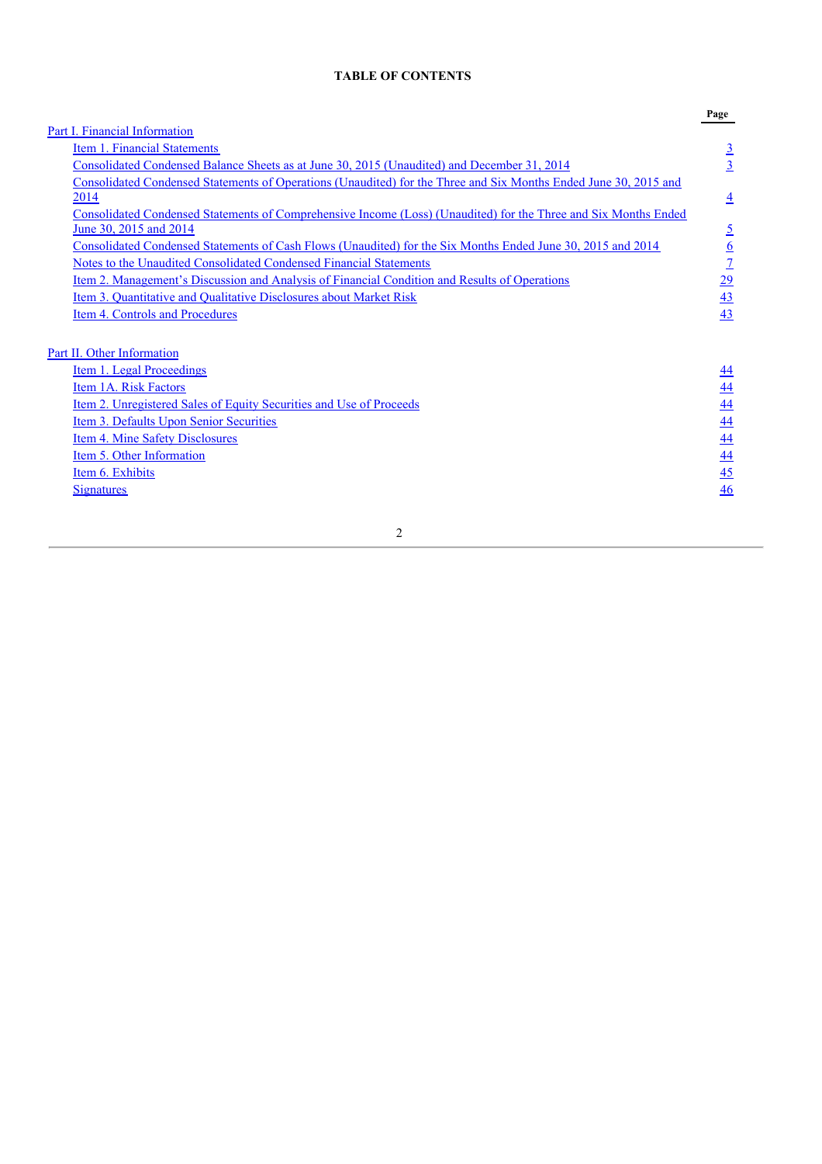# **TABLE OF CONTENTS**

|                                                                                                                  | Page            |
|------------------------------------------------------------------------------------------------------------------|-----------------|
| Part I. Financial Information                                                                                    |                 |
| Item 1. Financial Statements                                                                                     | $\overline{3}$  |
| Consolidated Condensed Balance Sheets as at June 30, 2015 (Unaudited) and December 31, 2014                      | $\overline{3}$  |
| Consolidated Condensed Statements of Operations (Unaudited) for the Three and Six Months Ended June 30, 2015 and |                 |
| 2014                                                                                                             | $\overline{4}$  |
| Consolidated Condensed Statements of Comprehensive Income (Loss) (Unaudited) for the Three and Six Months Ended  |                 |
| June 30, 2015 and 2014                                                                                           | <u>5</u>        |
| Consolidated Condensed Statements of Cash Flows (Unaudited) for the Six Months Ended June 30, 2015 and 2014      | $\underline{6}$ |
| Notes to the Unaudited Consolidated Condensed Financial Statements                                               | $\overline{1}$  |
| <u>Item 2. Management's Discussion and Analysis of Financial Condition and Results of Operations</u>             | <u> 29</u>      |
| Item 3. Quantitative and Qualitative Disclosures about Market Risk                                               | 43              |
| Item 4. Controls and Procedures                                                                                  | 43              |
|                                                                                                                  |                 |
| Part II. Other Information                                                                                       |                 |
| <u>Item 1. Legal Proceedings</u>                                                                                 | $\overline{44}$ |
| Item 1A. Risk Factors                                                                                            | $\frac{44}{1}$  |
| Item 2. Unregistered Sales of Equity Securities and Use of Proceeds                                              | $\overline{44}$ |
| Item 3. Defaults Upon Senior Securities                                                                          | 44              |
| Item 4. Mine Safety Disclosures                                                                                  | 44              |
| Item 5. Other Information                                                                                        | 44              |
| Item 6. Exhibits                                                                                                 | $\overline{45}$ |
| <b>Signatures</b>                                                                                                | 46              |
|                                                                                                                  |                 |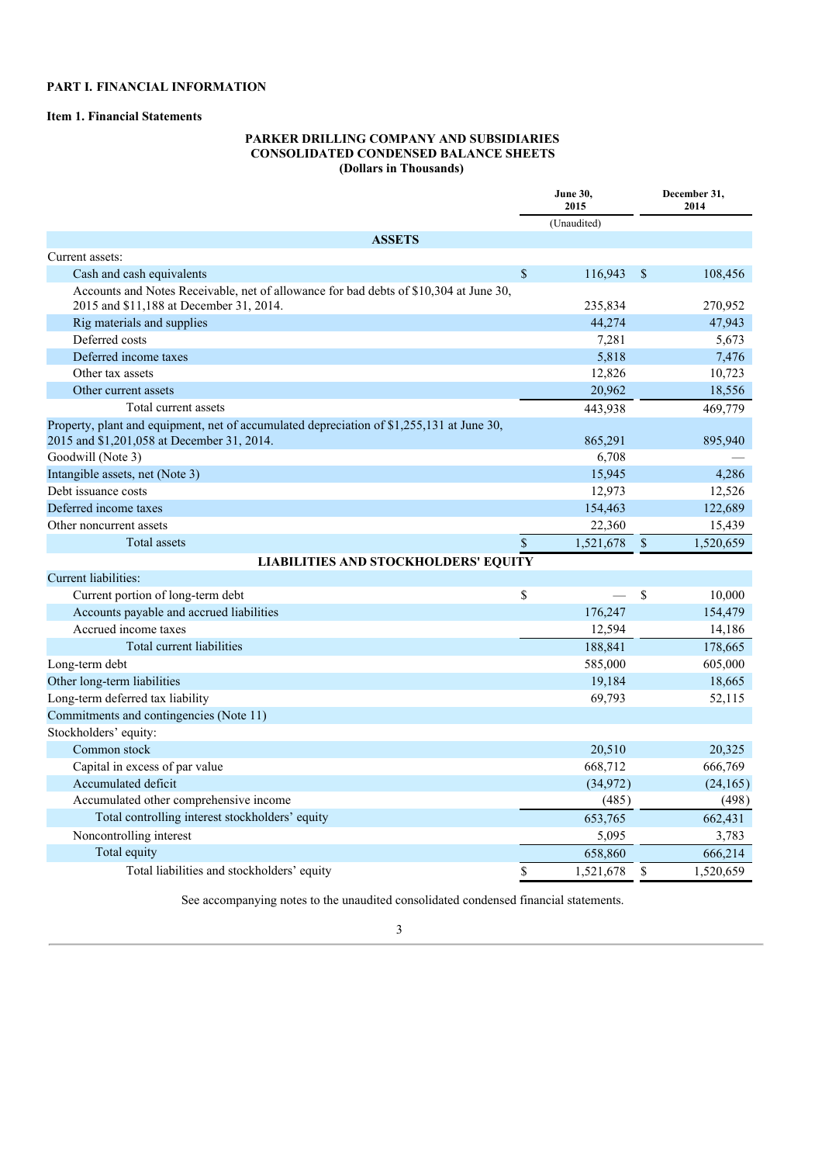# **PART I. FINANCIAL INFORMATION**

# **Item 1. Financial Statements**

# **PARKER DRILLING COMPANY AND SUBSIDIARIES CONSOLIDATED CONDENSED BALANCE SHEETS (Dollars in Thousands)**

|                                                                                           |              | June 30,<br>2015 |              | December 31,<br>2014 |
|-------------------------------------------------------------------------------------------|--------------|------------------|--------------|----------------------|
|                                                                                           |              | (Unaudited)      |              |                      |
| <b>ASSETS</b>                                                                             |              |                  |              |                      |
| Current assets:                                                                           |              |                  |              |                      |
| Cash and cash equivalents                                                                 | $\mathbf S$  | 116.943          | $\mathbf S$  | 108,456              |
| Accounts and Notes Receivable, net of allowance for bad debts of \$10,304 at June 30,     |              |                  |              |                      |
| 2015 and \$11,188 at December 31, 2014.                                                   |              | 235,834          |              | 270,952              |
| Rig materials and supplies                                                                |              | 44,274           |              | 47.943               |
| Deferred costs                                                                            |              | 7,281            |              | 5.673                |
| Deferred income taxes                                                                     |              | 5,818            |              | 7,476                |
| Other tax assets                                                                          |              | 12,826           |              | 10,723               |
| Other current assets                                                                      |              | 20,962           |              | 18,556               |
| Total current assets                                                                      |              | 443,938          |              | 469,779              |
| Property, plant and equipment, net of accumulated depreciation of \$1,255,131 at June 30, |              |                  |              |                      |
| 2015 and \$1,201,058 at December 31, 2014.                                                |              | 865,291          |              | 895,940              |
| Goodwill (Note 3)                                                                         |              | 6,708            |              |                      |
| Intangible assets, net (Note 3)                                                           |              | 15,945           |              | 4,286                |
| Debt issuance costs                                                                       |              | 12,973           |              | 12,526               |
| Deferred income taxes                                                                     |              | 154,463          |              | 122,689              |
| Other noncurrent assets                                                                   |              | 22,360           |              | 15,439               |
| Total assets                                                                              | $\mathbb{S}$ | 1,521,678        | $\mathbb{S}$ | 1,520,659            |
| <b>LIABILITIES AND STOCKHOLDERS' EQUITY</b>                                               |              |                  |              |                      |
| Current liabilities:                                                                      |              |                  |              |                      |
| Current portion of long-term debt                                                         | \$           |                  | $\mathbb{S}$ | 10.000               |
| Accounts payable and accrued liabilities                                                  |              | 176,247          |              | 154,479              |
| Accrued income taxes                                                                      |              | 12,594           |              | 14,186               |
| Total current liabilities                                                                 |              | 188,841          |              | 178,665              |
| Long-term debt                                                                            |              | 585,000          |              | 605,000              |
| Other long-term liabilities                                                               |              | 19,184           |              | 18,665               |
| Long-term deferred tax liability                                                          |              | 69,793           |              | 52,115               |
| Commitments and contingencies (Note 11)                                                   |              |                  |              |                      |
| Stockholders' equity:                                                                     |              |                  |              |                      |
| Common stock                                                                              |              | 20,510           |              | 20,325               |
| Capital in excess of par value                                                            |              | 668,712          |              | 666,769              |
| Accumulated deficit                                                                       |              | (34, 972)        |              | (24, 165)            |
| Accumulated other comprehensive income                                                    |              | (485)            |              | (498)                |
| Total controlling interest stockholders' equity                                           |              | 653,765          |              | 662,431              |
| Noncontrolling interest                                                                   |              | 5,095            |              | 3,783                |
| Total equity                                                                              |              | 658,860          |              | 666.214              |
| Total liabilities and stockholders' equity                                                | \$           | 1,521,678        | S            | 1,520,659            |
|                                                                                           |              |                  |              |                      |

See accompanying notes to the unaudited consolidated condensed financial statements.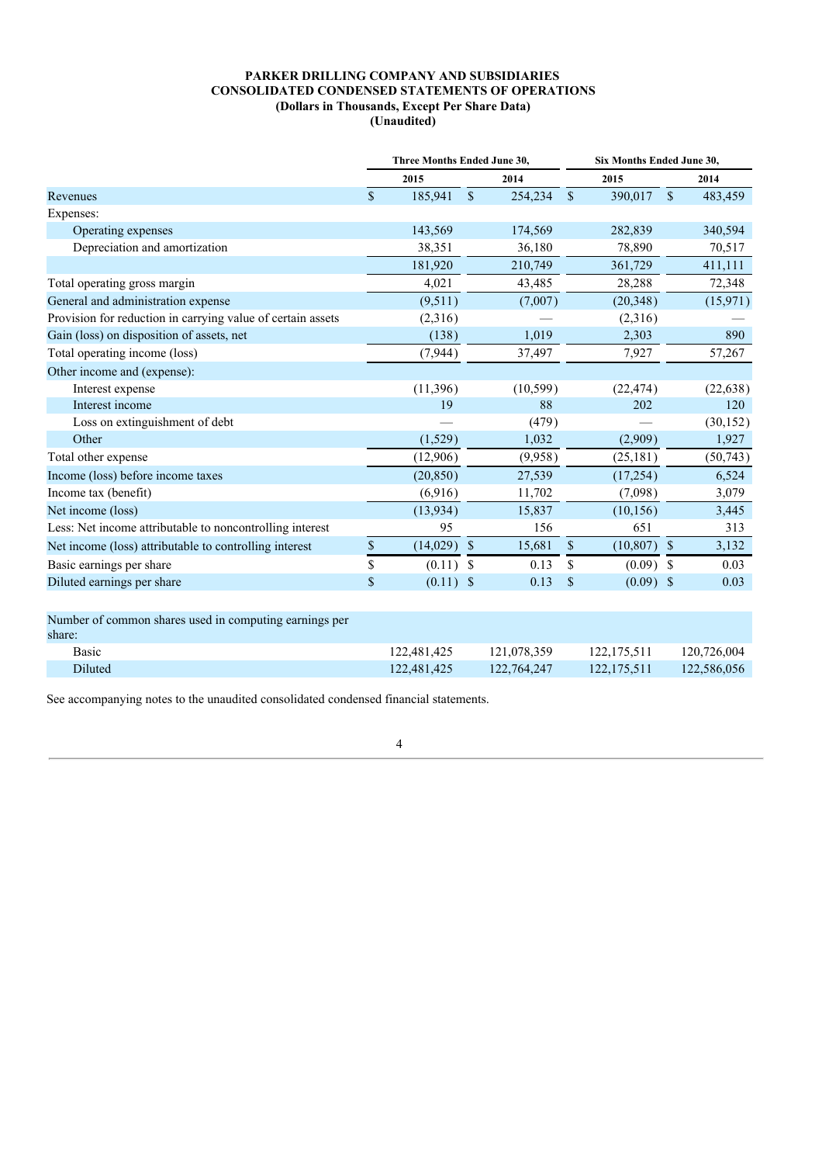## **PARKER DRILLING COMPANY AND SUBSIDIARIES CONSOLIDATED CONDENSED STATEMENTS OF OPERATIONS (Dollars in Thousands, Except Per Share Data) (Unaudited)**

|                                                                  | Three Months Ended June 30, |              |                           |           |                           | Six Months Ended June 30, |               |           |  |  |
|------------------------------------------------------------------|-----------------------------|--------------|---------------------------|-----------|---------------------------|---------------------------|---------------|-----------|--|--|
|                                                                  |                             | 2015<br>2014 |                           |           | 2015                      |                           | 2014          |           |  |  |
| Revenues                                                         | $\mathcal{S}$               | 185,941      | $\mathbb{S}$              | 254,234   | $\mathbb{S}$              | 390,017                   | $\mathbb{S}$  | 483,459   |  |  |
| Expenses:                                                        |                             |              |                           |           |                           |                           |               |           |  |  |
| Operating expenses                                               |                             | 143,569      |                           | 174,569   |                           | 282,839                   |               | 340,594   |  |  |
| Depreciation and amortization                                    |                             | 38,351       |                           | 36,180    |                           | 78,890                    |               | 70,517    |  |  |
|                                                                  |                             | 181,920      |                           | 210,749   |                           | 361,729                   |               | 411,111   |  |  |
| Total operating gross margin                                     |                             | 4,021        |                           | 43,485    |                           | 28,288                    |               | 72,348    |  |  |
| General and administration expense                               |                             | (9,511)      |                           | (7,007)   |                           | (20, 348)                 |               | (15,971)  |  |  |
| Provision for reduction in carrying value of certain assets      |                             | (2,316)      |                           |           |                           | (2,316)                   |               |           |  |  |
| Gain (loss) on disposition of assets, net                        |                             | (138)        |                           | 1,019     |                           | 2,303                     |               | 890       |  |  |
| Total operating income (loss)                                    |                             | (7, 944)     |                           | 37,497    |                           | 7,927                     |               | 57,267    |  |  |
| Other income and (expense):                                      |                             |              |                           |           |                           |                           |               |           |  |  |
| Interest expense                                                 |                             | (11,396)     |                           | (10, 599) |                           | (22, 474)                 |               | (22, 638) |  |  |
| Interest income                                                  |                             | 19           |                           | 88        |                           | 202                       |               | 120       |  |  |
| Loss on extinguishment of debt                                   |                             |              |                           | (479)     |                           |                           |               | (30, 152) |  |  |
| Other                                                            |                             | (1,529)      |                           | 1,032     |                           | (2,909)                   |               | 1,927     |  |  |
| Total other expense                                              |                             | (12,906)     |                           | (9,958)   |                           | (25, 181)                 |               | (50, 743) |  |  |
| Income (loss) before income taxes                                |                             | (20, 850)    |                           | 27,539    |                           | (17,254)                  |               | 6,524     |  |  |
| Income tax (benefit)                                             |                             | (6,916)      |                           | 11,702    |                           | (7,098)                   |               | 3,079     |  |  |
| Net income (loss)                                                |                             | (13,934)     |                           | 15,837    |                           | (10, 156)                 |               | 3,445     |  |  |
| Less: Net income attributable to noncontrolling interest         |                             | 95           |                           | 156       |                           | 651                       |               | 313       |  |  |
| Net income (loss) attributable to controlling interest           | \$                          | (14,029)     | $\mathbb{S}$              | 15,681    | $\boldsymbol{\mathsf{S}}$ | (10, 807)                 | $\mathcal{S}$ | 3,132     |  |  |
| Basic earnings per share                                         | \$                          | (0.11)       | S                         | 0.13      | <sup>\$</sup>             | (0.09)                    | <sup>\$</sup> | 0.03      |  |  |
| Diluted earnings per share                                       | \$                          | (0.11)       | $\boldsymbol{\mathsf{S}}$ | 0.13      | $\mathcal{S}$             | $(0.09)$ \$               |               | 0.03      |  |  |
| Number of common shares used in computing earnings per<br>share: |                             |              |                           |           |                           |                           |               |           |  |  |

| $\mathbf{M}$ an $\mathbf{C}$ . |             |             |             |             |
|--------------------------------|-------------|-------------|-------------|-------------|
| <b>Basic</b>                   | 122.481.425 | 121.078.359 | 122,175.511 | 120.726.004 |
| Diluted <sup>-</sup>           | 122.481.425 | 122.764.247 | 122,175,511 | 122.586.056 |

See accompanying notes to the unaudited consolidated condensed financial statements.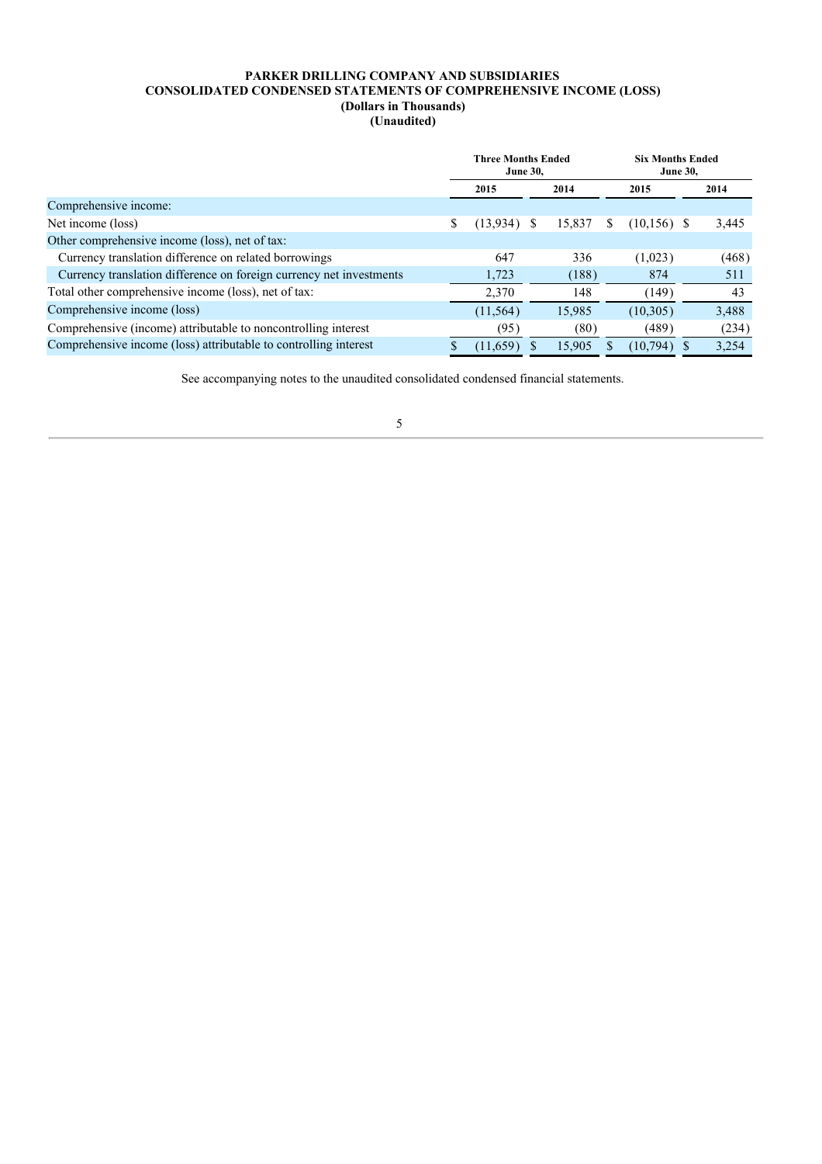## **PARKER DRILLING COMPANY AND SUBSIDIARIES CONSOLIDATED CONDENSED STATEMENTS OF COMPREHENSIVE INCOME (LOSS) (Dollars in Thousands)**

**(Unaudited)**

|                                                                     | <b>Three Months Ended</b><br><b>June 30,</b> |           |  | <b>Six Months Ended</b><br><b>June 30,</b> |   |                |  |       |
|---------------------------------------------------------------------|----------------------------------------------|-----------|--|--------------------------------------------|---|----------------|--|-------|
|                                                                     |                                              | 2015      |  | 2014                                       |   | 2015           |  | 2014  |
| Comprehensive income:                                               |                                              |           |  |                                            |   |                |  |       |
| Net income (loss)                                                   | S                                            | (13, 934) |  | 15.837                                     | S | $(10, 156)$ \$ |  | 3,445 |
| Other comprehensive income (loss), net of tax:                      |                                              |           |  |                                            |   |                |  |       |
| Currency translation difference on related borrowings               |                                              | 647       |  | 336                                        |   | (1,023)        |  | (468) |
| Currency translation difference on foreign currency net investments |                                              | 1,723     |  | (188)                                      |   | 874            |  | 511   |
| Total other comprehensive income (loss), net of tax:                |                                              | 2,370     |  | 148                                        |   | (149)          |  | 43    |
| Comprehensive income (loss)                                         |                                              | (11, 564) |  | 15,985                                     |   | (10, 305)      |  | 3,488 |
| Comprehensive (income) attributable to noncontrolling interest      |                                              | (95)      |  | (80)                                       |   | (489)          |  | (234) |
| Comprehensive income (loss) attributable to controlling interest    |                                              | (11,659)  |  | 15.905                                     |   | (10, 794)      |  | 3.254 |

See accompanying notes to the unaudited consolidated condensed financial statements.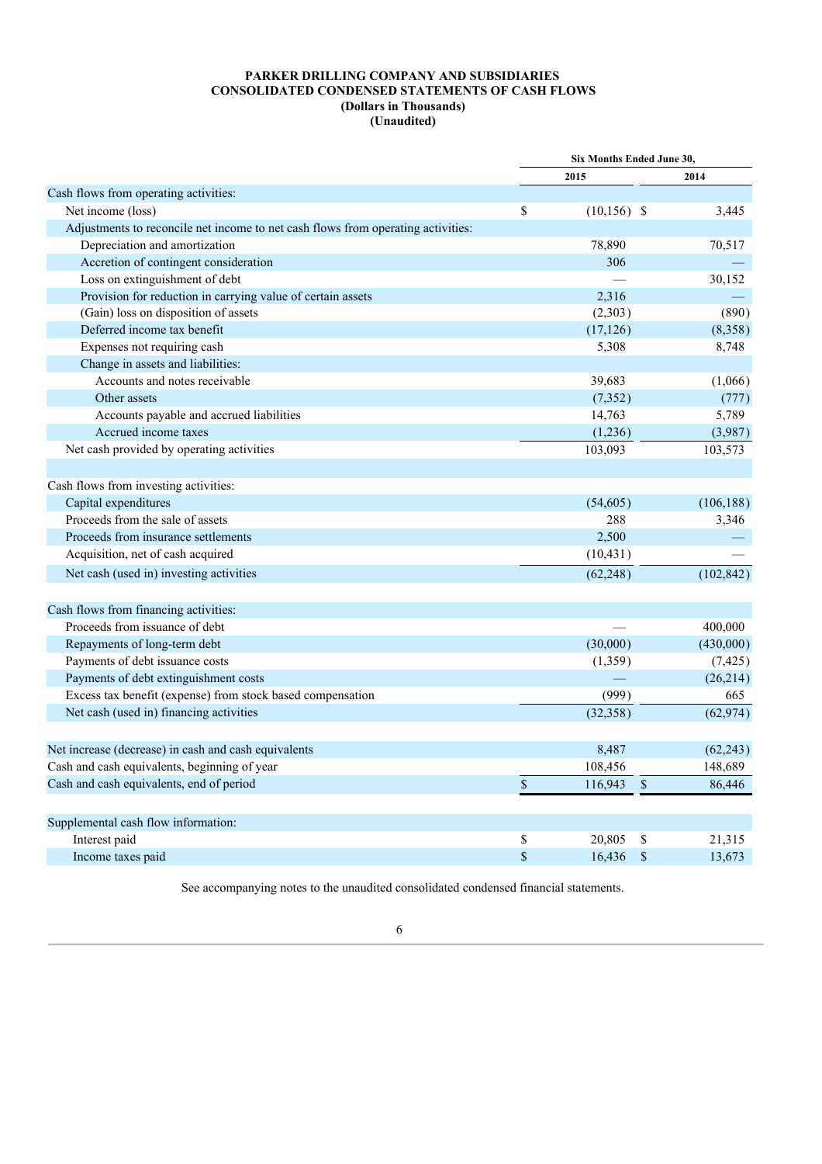|                                                                                  | <b>Six Months Ended June 30,</b> |                |              |            |
|----------------------------------------------------------------------------------|----------------------------------|----------------|--------------|------------|
|                                                                                  |                                  | 2015           |              | 2014       |
| Cash flows from operating activities:                                            |                                  |                |              |            |
| Net income (loss)                                                                | \$                               | $(10, 156)$ \$ |              | 3,445      |
| Adjustments to reconcile net income to net cash flows from operating activities: |                                  |                |              |            |
| Depreciation and amortization                                                    |                                  | 78,890         |              | 70,517     |
| Accretion of contingent consideration                                            |                                  | 306            |              |            |
| Loss on extinguishment of debt                                                   |                                  |                |              | 30,152     |
| Provision for reduction in carrying value of certain assets                      |                                  | 2,316          |              |            |
| (Gain) loss on disposition of assets                                             |                                  | (2,303)        |              | (890)      |
| Deferred income tax benefit                                                      |                                  | (17, 126)      |              | (8,358)    |
| Expenses not requiring cash                                                      |                                  | 5,308          |              | 8,748      |
| Change in assets and liabilities:                                                |                                  |                |              |            |
| Accounts and notes receivable                                                    |                                  | 39,683         |              | (1,066)    |
| Other assets                                                                     |                                  | (7,352)        |              | (777)      |
| Accounts payable and accrued liabilities                                         |                                  | 14,763         |              | 5,789      |
| Accrued income taxes                                                             |                                  | (1,236)        |              | (3,987)    |
| Net cash provided by operating activities                                        |                                  | 103,093        |              | 103,573    |
|                                                                                  |                                  |                |              |            |
| Cash flows from investing activities:                                            |                                  |                |              |            |
| Capital expenditures                                                             |                                  | (54,605)       |              | (106, 188) |
| Proceeds from the sale of assets                                                 |                                  | 288            |              | 3,346      |
| Proceeds from insurance settlements                                              |                                  | 2,500          |              |            |
| Acquisition, net of cash acquired                                                |                                  | (10, 431)      |              |            |
| Net cash (used in) investing activities                                          |                                  | (62, 248)      |              | (102, 842) |
|                                                                                  |                                  |                |              |            |
| Cash flows from financing activities:                                            |                                  |                |              |            |
| Proceeds from issuance of debt                                                   |                                  |                |              | 400,000    |
| Repayments of long-term debt                                                     |                                  | (30,000)       |              | (430,000)  |
| Payments of debt issuance costs                                                  |                                  | (1,359)        |              | (7, 425)   |
| Payments of debt extinguishment costs                                            |                                  |                |              | (26,214)   |
| Excess tax benefit (expense) from stock based compensation                       |                                  | (999)          |              | 665        |
| Net cash (used in) financing activities                                          |                                  | (32, 358)      |              | (62, 974)  |
|                                                                                  |                                  |                |              |            |
| Net increase (decrease) in cash and cash equivalents                             |                                  | 8,487          |              | (62, 243)  |
| Cash and cash equivalents, beginning of year                                     |                                  | 108,456        |              | 148,689    |
| Cash and cash equivalents, end of period                                         | $\mathbb{S}$                     | 116,943        | $\mathbb{S}$ | 86,446     |
|                                                                                  |                                  |                |              |            |
| Supplemental cash flow information:                                              |                                  |                |              |            |
| Interest paid                                                                    | \$                               | 20,805         | \$           | 21,315     |
| Income taxes paid                                                                | \$                               | 16,436         | $\mathbb{S}$ | 13,673     |

See accompanying notes to the unaudited consolidated condensed financial statements.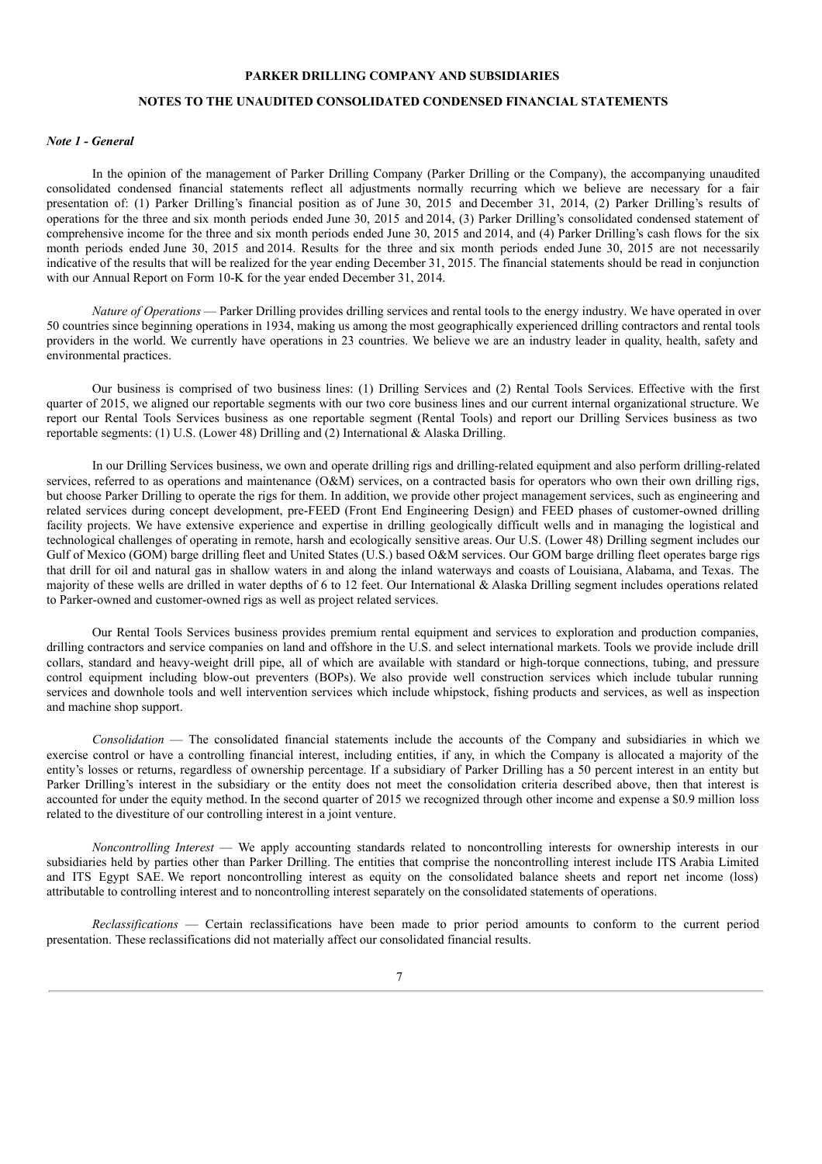#### **PARKER DRILLING COMPANY AND SUBSIDIARIES**

# **NOTES TO THE UNAUDITED CONSOLIDATED CONDENSED FINANCIAL STATEMENTS**

#### *Note 1 - General*

In the opinion of the management of Parker Drilling Company (Parker Drilling or the Company), the accompanying unaudited consolidated condensed financial statements reflect all adjustments normally recurring which we believe are necessary for a fair presentation of: (1) Parker Drilling's financial position as of June 30, 2015 and December 31, 2014, (2) Parker Drilling's results of operations for the three and six month periods ended June 30, 2015 and 2014, (3) Parker Drilling's consolidated condensed statement of comprehensive income for the three and six month periods ended June 30, 2015 and 2014, and (4) Parker Drilling's cash flows for the six month periods ended June 30, 2015 and 2014. Results for the three and six month periods ended June 30, 2015 are not necessarily indicative of the results that will be realized for the year ending December 31, 2015. The financial statements should be read in conjunction with our Annual Report on Form 10-K for the year ended December 31, 2014.

*Nature of Operations* — Parker Drilling provides drilling services and rental tools to the energy industry. We have operated in over 50 countries since beginning operations in 1934, making us among the most geographically experienced drilling contractors and rental tools providers in the world. We currently have operations in 23 countries. We believe we are an industry leader in quality, health, safety and environmental practices.

Our business is comprised of two business lines: (1) Drilling Services and (2) Rental Tools Services. Effective with the first quarter of 2015, we aligned our reportable segments with our two core business lines and our current internal organizational structure. We report our Rental Tools Services business as one reportable segment (Rental Tools) and report our Drilling Services business as two reportable segments: (1) U.S. (Lower 48) Drilling and (2) International & Alaska Drilling.

In our Drilling Services business, we own and operate drilling rigs and drilling-related equipment and also perform drilling-related services, referred to as operations and maintenance (O&M) services, on a contracted basis for operators who own their own drilling rigs, but choose Parker Drilling to operate the rigs for them. In addition, we provide other project management services, such as engineering and related services during concept development, pre-FEED (Front End Engineering Design) and FEED phases of customer-owned drilling facility projects. We have extensive experience and expertise in drilling geologically difficult wells and in managing the logistical and technological challenges of operating in remote, harsh and ecologically sensitive areas. Our U.S. (Lower 48) Drilling segment includes our Gulf of Mexico (GOM) barge drilling fleet and United States (U.S.) based O&M services. Our GOM barge drilling fleet operates barge rigs that drill for oil and natural gas in shallow waters in and along the inland waterways and coasts of Louisiana, Alabama, and Texas. The majority of these wells are drilled in water depths of 6 to 12 feet. Our International & Alaska Drilling segment includes operations related to Parker-owned and customer-owned rigs as well as project related services.

Our Rental Tools Services business provides premium rental equipment and services to exploration and production companies, drilling contractors and service companies on land and offshore in the U.S. and select international markets. Tools we provide include drill collars, standard and heavy-weight drill pipe, all of which are available with standard or high-torque connections, tubing, and pressure control equipment including blow-out preventers (BOPs). We also provide well construction services which include tubular running services and downhole tools and well intervention services which include whipstock, fishing products and services, as well as inspection and machine shop support.

*Consolidation* — The consolidated financial statements include the accounts of the Company and subsidiaries in which we exercise control or have a controlling financial interest, including entities, if any, in which the Company is allocated a majority of the entity's losses or returns, regardless of ownership percentage. If a subsidiary of Parker Drilling has a 50 percent interest in an entity but Parker Drilling's interest in the subsidiary or the entity does not meet the consolidation criteria described above, then that interest is accounted for under the equity method. In the second quarter of 2015 we recognized through other income and expense a \$0.9 million loss related to the divestiture of our controlling interest in a joint venture.

*Noncontrolling Interest* — We apply accounting standards related to noncontrolling interests for ownership interests in our subsidiaries held by parties other than Parker Drilling. The entities that comprise the noncontrolling interest include ITS Arabia Limited and ITS Egypt SAE. We report noncontrolling interest as equity on the consolidated balance sheets and report net income (loss) attributable to controlling interest and to noncontrolling interest separately on the consolidated statements of operations.

*Reclassifications* — Certain reclassifications have been made to prior period amounts to conform to the current period presentation. These reclassifications did not materially affect our consolidated financial results.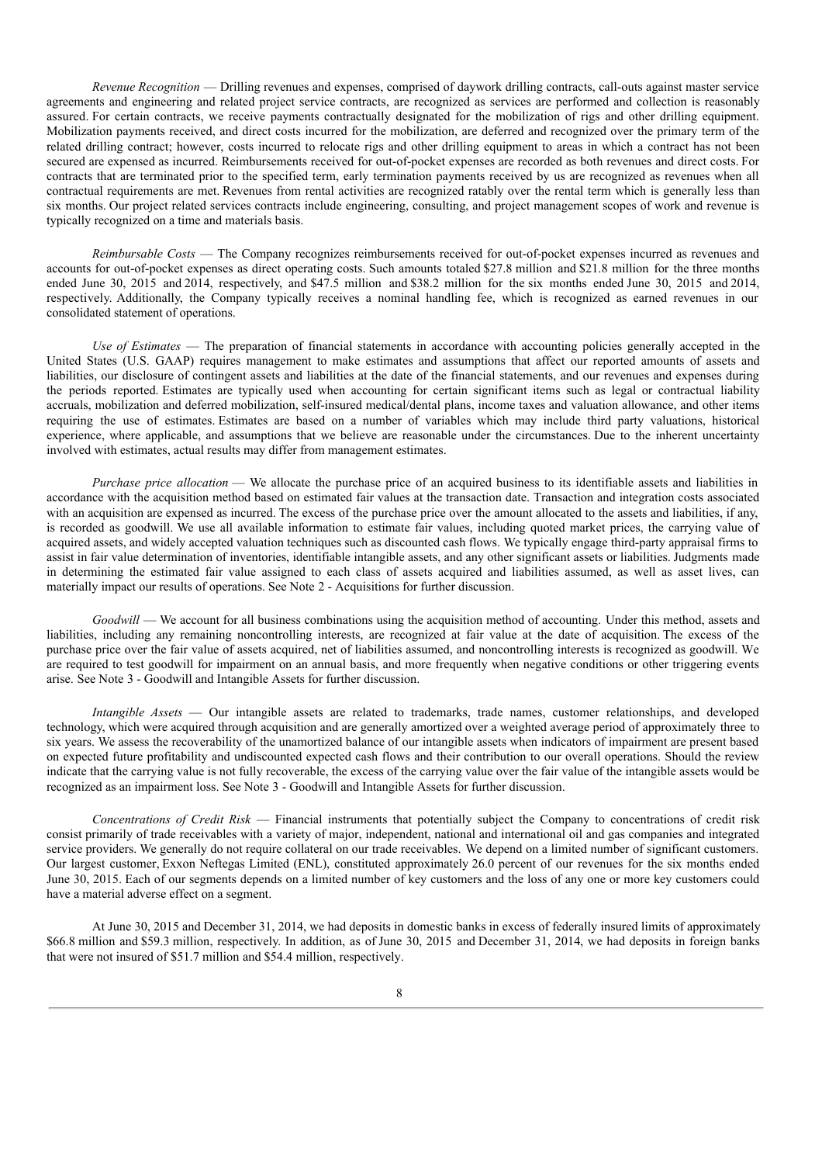*Revenue Recognition* — Drilling revenues and expenses, comprised of daywork drilling contracts, call-outs against master service agreements and engineering and related project service contracts, are recognized as services are performed and collection is reasonably assured. For certain contracts, we receive payments contractually designated for the mobilization of rigs and other drilling equipment. Mobilization payments received, and direct costs incurred for the mobilization, are deferred and recognized over the primary term of the related drilling contract; however, costs incurred to relocate rigs and other drilling equipment to areas in which a contract has not been secured are expensed as incurred. Reimbursements received for out-of-pocket expenses are recorded as both revenues and direct costs. For contracts that are terminated prior to the specified term, early termination payments received by us are recognized as revenues when all contractual requirements are met. Revenues from rental activities are recognized ratably over the rental term which is generally less than six months. Our project related services contracts include engineering, consulting, and project management scopes of work and revenue is typically recognized on a time and materials basis.

*Reimbursable Costs* — The Company recognizes reimbursements received for out-of-pocket expenses incurred as revenues and accounts for out-of-pocket expenses as direct operating costs. Such amounts totaled \$27.8 million and \$21.8 million for the three months ended June 30, 2015 and 2014, respectively, and \$47.5 million and \$38.2 million for the six months ended June 30, 2015 and 2014, respectively. Additionally, the Company typically receives a nominal handling fee, which is recognized as earned revenues in our consolidated statement of operations.

*Use of Estimates* — The preparation of financial statements in accordance with accounting policies generally accepted in the United States (U.S. GAAP) requires management to make estimates and assumptions that affect our reported amounts of assets and liabilities, our disclosure of contingent assets and liabilities at the date of the financial statements, and our revenues and expenses during the periods reported. Estimates are typically used when accounting for certain significant items such as legal or contractual liability accruals, mobilization and deferred mobilization, self-insured medical/dental plans, income taxes and valuation allowance, and other items requiring the use of estimates. Estimates are based on a number of variables which may include third party valuations, historical experience, where applicable, and assumptions that we believe are reasonable under the circumstances. Due to the inherent uncertainty involved with estimates, actual results may differ from management estimates.

*Purchase price allocation* — We allocate the purchase price of an acquired business to its identifiable assets and liabilities in accordance with the acquisition method based on estimated fair values at the transaction date. Transaction and integration costs associated with an acquisition are expensed as incurred. The excess of the purchase price over the amount allocated to the assets and liabilities, if any, is recorded as goodwill. We use all available information to estimate fair values, including quoted market prices, the carrying value of acquired assets, and widely accepted valuation techniques such as discounted cash flows. We typically engage third-party appraisal firms to assist in fair value determination of inventories, identifiable intangible assets, and any other significant assets or liabilities. Judgments made in determining the estimated fair value assigned to each class of assets acquired and liabilities assumed, as well as asset lives, can materially impact our results of operations. See Note 2 - Acquisitions for further discussion.

*Goodwill* — We account for all business combinations using the acquisition method of accounting. Under this method, assets and liabilities, including any remaining noncontrolling interests, are recognized at fair value at the date of acquisition. The excess of the purchase price over the fair value of assets acquired, net of liabilities assumed, and noncontrolling interests is recognized as goodwill. We are required to test goodwill for impairment on an annual basis, and more frequently when negative conditions or other triggering events arise. See Note 3 - Goodwill and Intangible Assets for further discussion.

*Intangible Assets* — Our intangible assets are related to trademarks, trade names, customer relationships, and developed technology, which were acquired through acquisition and are generally amortized over a weighted average period of approximately three to six years. We assess the recoverability of the unamortized balance of our intangible assets when indicators of impairment are present based on expected future profitability and undiscounted expected cash flows and their contribution to our overall operations. Should the review indicate that the carrying value is not fully recoverable, the excess of the carrying value over the fair value of the intangible assets would be recognized as an impairment loss. See Note 3 - Goodwill and Intangible Assets for further discussion.

*Concentrations of Credit Risk* — Financial instruments that potentially subject the Company to concentrations of credit risk consist primarily of trade receivables with a variety of major, independent, national and international oil and gas companies and integrated service providers. We generally do not require collateral on our trade receivables. We depend on a limited number of significant customers. Our largest customer, Exxon Neftegas Limited (ENL), constituted approximately 26.0 percent of our revenues for the six months ended June 30, 2015. Each of our segments depends on a limited number of key customers and the loss of any one or more key customers could have a material adverse effect on a segment.

At June 30, 2015 and December 31, 2014, we had deposits in domestic banks in excess of federally insured limits of approximately \$66.8 million and \$59.3 million, respectively. In addition, as of June 30, 2015 and December 31, 2014, we had deposits in foreign banks that were not insured of \$51.7 million and \$54.4 million, respectively.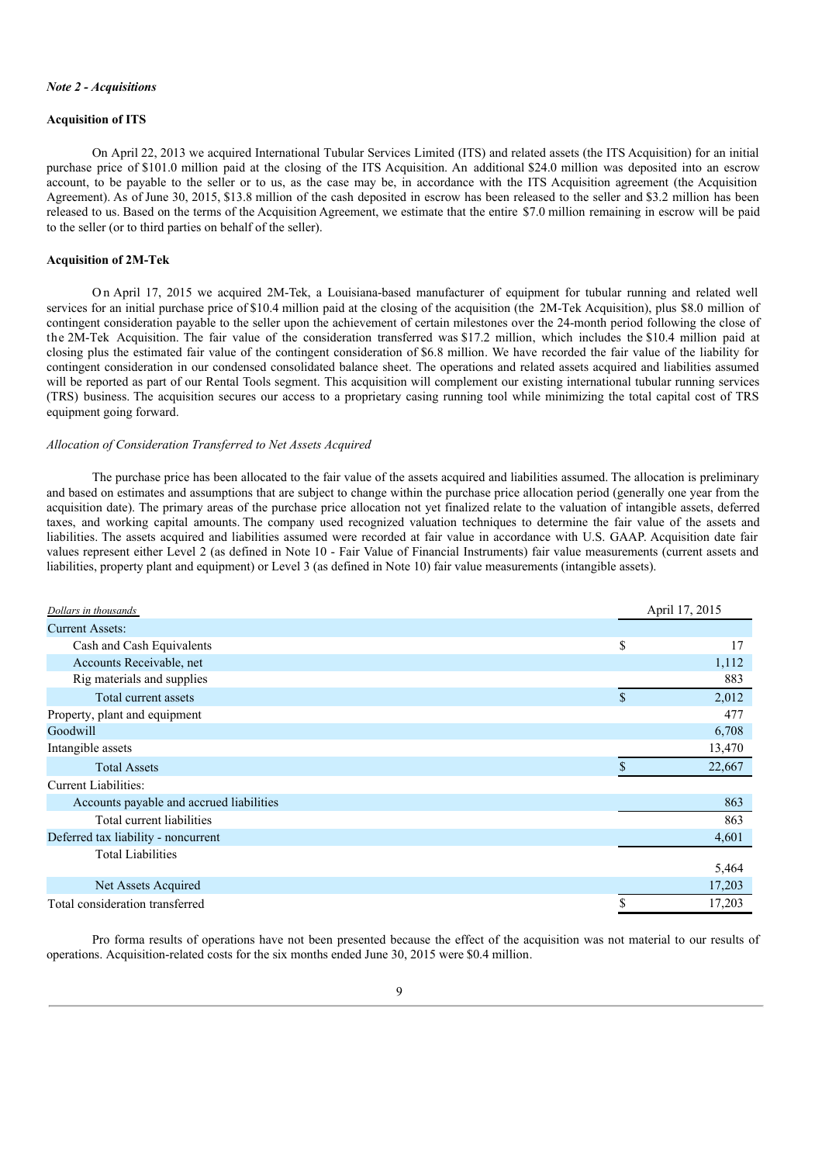#### *Note 2 - Acquisitions*

#### **Acquisition of ITS**

On April 22, 2013 we acquired International Tubular Services Limited (ITS) and related assets (the ITS Acquisition) for an initial purchase price of \$101.0 million paid at the closing of the ITS Acquisition. An additional \$24.0 million was deposited into an escrow account, to be payable to the seller or to us, as the case may be, in accordance with the ITS Acquisition agreement (the Acquisition Agreement). As of June 30, 2015, \$13.8 million of the cash deposited in escrow has been released to the seller and \$3.2 million has been released to us. Based on the terms of the Acquisition Agreement, we estimate that the entire \$7.0 million remaining in escrow will be paid to the seller (or to third parties on behalf of the seller).

## **Acquisition of 2M-Tek**

O n April 17, 2015 we acquired 2M-Tek, a Louisiana-based manufacturer of equipment for tubular running and related well services for an initial purchase price of \$10.4 million paid at the closing of the acquisition (the 2M-Tek Acquisition), plus \$8.0 million of contingent consideration payable to the seller upon the achievement of certain milestones over the 24-month period following the close of the 2M-Tek Acquisition. The fair value of the consideration transferred was \$17.2 million, which includes the \$10.4 million paid at closing plus the estimated fair value of the contingent consideration of \$6.8 million. We have recorded the fair value of the liability for contingent consideration in our condensed consolidated balance sheet. The operations and related assets acquired and liabilities assumed will be reported as part of our Rental Tools segment. This acquisition will complement our existing international tubular running services (TRS) business. The acquisition secures our access to a proprietary casing running tool while minimizing the total capital cost of TRS equipment going forward.

### *Allocation of Consideration Transferred to Net Assets Acquired*

The purchase price has been allocated to the fair value of the assets acquired and liabilities assumed. The allocation is preliminary and based on estimates and assumptions that are subject to change within the purchase price allocation period (generally one year from the acquisition date). The primary areas of the purchase price allocation not yet finalized relate to the valuation of intangible assets, deferred taxes, and working capital amounts. The company used recognized valuation techniques to determine the fair value of the assets and liabilities. The assets acquired and liabilities assumed were recorded at fair value in accordance with U.S. GAAP. Acquisition date fair values represent either Level 2 (as defined in Note 10 - Fair Value of Financial Instruments) fair value measurements (current assets and liabilities, property plant and equipment) or Level 3 (as defined in Note 10) fair value measurements (intangible assets).

| Dollars in thousands                     |             | April 17, 2015 |
|------------------------------------------|-------------|----------------|
| <b>Current Assets:</b>                   |             |                |
| Cash and Cash Equivalents                | \$          | 17             |
| Accounts Receivable, net                 |             | 1,112          |
| Rig materials and supplies               |             | 883            |
| Total current assets                     | $\mathbf S$ | 2,012          |
| Property, plant and equipment            |             | 477            |
| Goodwill                                 |             | 6,708          |
| Intangible assets                        |             | 13,470         |
| <b>Total Assets</b>                      |             | 22,667         |
| <b>Current Liabilities:</b>              |             |                |
| Accounts payable and accrued liabilities |             | 863            |
| Total current liabilities                |             | 863            |
| Deferred tax liability - noncurrent      |             | 4,601          |
| <b>Total Liabilities</b>                 |             |                |
|                                          |             | 5,464          |
| Net Assets Acquired                      |             | 17,203         |
| Total consideration transferred          | \$          | 17,203         |

Pro forma results of operations have not been presented because the effect of the acquisition was not material to our results of operations. Acquisition-related costs for the six months ended June 30, 2015 were \$0.4 million.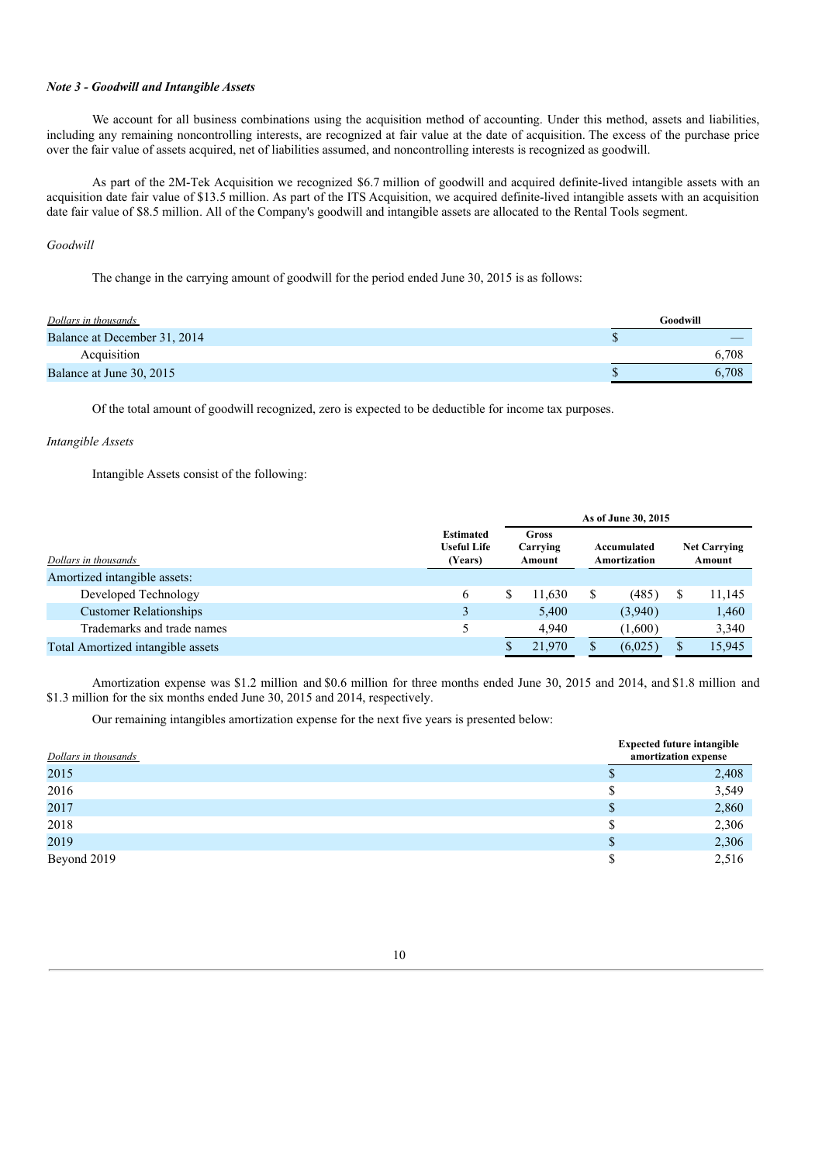# *Note 3 - Goodwill and Intangible Assets*

We account for all business combinations using the acquisition method of accounting. Under this method, assets and liabilities, including any remaining noncontrolling interests, are recognized at fair value at the date of acquisition. The excess of the purchase price over the fair value of assets acquired, net of liabilities assumed, and noncontrolling interests is recognized as goodwill.

As part of the 2M-Tek Acquisition we recognized \$6.7 million of goodwill and acquired definite-lived intangible assets with an acquisition date fair value of \$13.5 million. As part of the ITS Acquisition, we acquired definite-lived intangible assets with an acquisition date fair value of \$8.5 million. All of the Company's goodwill and intangible assets are allocated to the Rental Tools segment.

## *Goodwill*

The change in the carrying amount of goodwill for the period ended June 30, 2015 is as follows:

| Dollars in thousands         | Goodwill |
|------------------------------|----------|
| Balance at December 31, 2014 |          |
| Acquisition                  | 6.708    |
| Balance at June 30, 2015     | 6.708    |

Of the total amount of goodwill recognized, zero is expected to be deductible for income tax purposes.

## *Intangible Assets*

Intangible Assets consist of the following:

|                                   |                                                   | As of June 30, 2015 |                             |   |                             |  |        |                               |  |
|-----------------------------------|---------------------------------------------------|---------------------|-----------------------------|---|-----------------------------|--|--------|-------------------------------|--|
| Dollars in thousands              | <b>Estimated</b><br><b>Useful Life</b><br>(Years) |                     | Gross<br>Carrying<br>Amount |   | Accumulated<br>Amortization |  |        | <b>Net Carrying</b><br>Amount |  |
| Amortized intangible assets:      |                                                   |                     |                             |   |                             |  |        |                               |  |
| Developed Technology              | 6                                                 |                     | 11.630                      | S | (485)                       |  | 11,145 |                               |  |
| <b>Customer Relationships</b>     | 3                                                 |                     | 5.400                       |   | (3,940)                     |  | 1,460  |                               |  |
| Trademarks and trade names        |                                                   |                     | 4.940                       |   | (1,600)                     |  | 3,340  |                               |  |
| Total Amortized intangible assets |                                                   |                     | 21,970                      |   | (6,025)                     |  | 15,945 |                               |  |

Amortization expense was \$1.2 million and \$0.6 million for three months ended June 30, 2015 and 2014, and \$1.8 million and \$1.3 million for the six months ended June 30, 2015 and 2014, respectively.

Our remaining intangibles amortization expense for the next five years is presented below:

| Dollars in thousands |    | <b>Expected future intangible</b><br>amortization expense |
|----------------------|----|-----------------------------------------------------------|
| 2015                 |    | 2,408                                                     |
| 2016                 | S  | 3,549                                                     |
| 2017                 |    | 2,860                                                     |
| 2018                 | S  | 2,306                                                     |
| 2019                 | S. | 2,306                                                     |
| Beyond 2019          | S  | 2,516                                                     |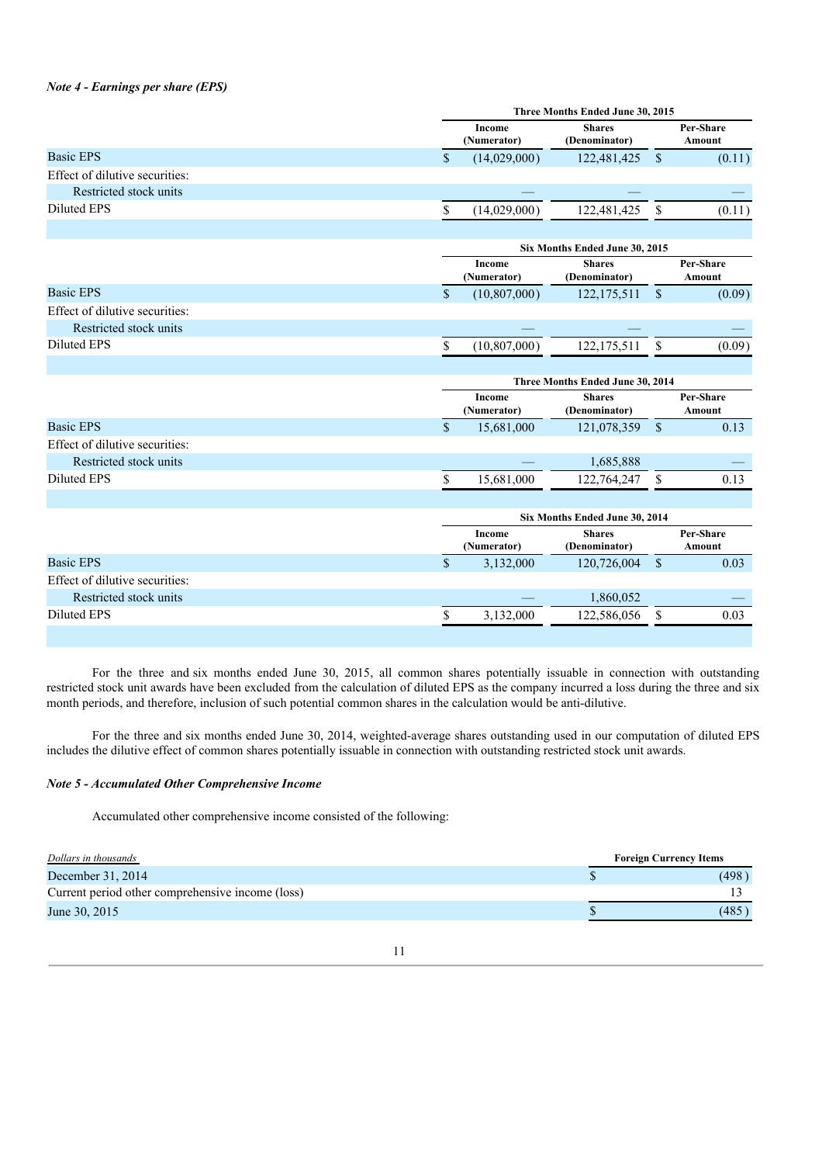## *Note 4 - Earnings per share (EPS)*

|                                |               | Three Months Ended June 30, 2015 |                                  |              |                     |  |  |  |  |
|--------------------------------|---------------|----------------------------------|----------------------------------|--------------|---------------------|--|--|--|--|
|                                |               | Income<br>(Numerator)            | <b>Shares</b><br>(Denominator)   |              | Per-Share<br>Amount |  |  |  |  |
| <b>Basic EPS</b>               | \$            | (14,029,000)                     | 122,481,425                      | $\mathbf{s}$ | (0.11)              |  |  |  |  |
| Effect of dilutive securities: |               |                                  |                                  |              |                     |  |  |  |  |
| Restricted stock units         |               |                                  |                                  |              |                     |  |  |  |  |
| <b>Diluted EPS</b>             | \$            | (14,029,000)                     | 122,481,425                      | \$           | (0.11)              |  |  |  |  |
|                                |               |                                  |                                  |              |                     |  |  |  |  |
|                                |               |                                  | Six Months Ended June 30, 2015   |              |                     |  |  |  |  |
|                                |               | Income<br>(Numerator)            | <b>Shares</b><br>(Denominator)   |              | Per-Share<br>Amount |  |  |  |  |
| <b>Basic EPS</b>               | $\mathsf{\$}$ | (10, 807, 000)                   | 122, 175, 511                    | $\sqrt{\ }$  | (0.09)              |  |  |  |  |
| Effect of dilutive securities: |               |                                  |                                  |              |                     |  |  |  |  |
| Restricted stock units         |               |                                  |                                  |              |                     |  |  |  |  |
| <b>Diluted EPS</b>             | \$            | (10, 807, 000)                   | 122, 175, 511                    | \$           | (0.09)              |  |  |  |  |
|                                |               |                                  |                                  |              |                     |  |  |  |  |
|                                |               |                                  | Three Months Ended June 30, 2014 |              |                     |  |  |  |  |
|                                |               | Income<br>(Numerator)            | <b>Shares</b><br>(Denominator)   |              | Per-Share<br>Amount |  |  |  |  |
| <b>Basic EPS</b>               | $\mathbb{S}$  | 15,681,000                       | 121,078,359                      | $\mathbf{s}$ | 0.13                |  |  |  |  |
| Effect of dilutive securities: |               |                                  |                                  |              |                     |  |  |  |  |
| Restricted stock units         |               |                                  | 1,685,888                        |              |                     |  |  |  |  |
| <b>Diluted EPS</b>             | \$            | 15,681,000                       | 122,764,247                      | \$           | 0.13                |  |  |  |  |
|                                |               |                                  |                                  |              |                     |  |  |  |  |
|                                |               | Six Months Ended June 30, 2014   |                                  |              |                     |  |  |  |  |
|                                |               | Income<br>(Numerator)            | <b>Shares</b><br>(Denominator)   |              | Per-Share<br>Amount |  |  |  |  |
| <b>Basic EPS</b>               | $\mathsf{\$}$ | 3,132,000                        | 120,726,004                      | $\sqrt{\ }$  | 0.03                |  |  |  |  |
| Effect of dilutive securities: |               |                                  |                                  |              |                     |  |  |  |  |
| Restricted stock units         |               |                                  | 1,860,052                        |              |                     |  |  |  |  |
| <b>Diluted EPS</b>             | \$            | 3,132,000                        | 122,586,056                      | \$           | 0.03                |  |  |  |  |
|                                |               |                                  |                                  |              |                     |  |  |  |  |

For the three and six months ended June 30, 2015, all common shares potentially issuable in connection with outstanding restricted stock unit awards have been excluded from the calculation of diluted EPS as the company incurred a loss during the three and six month periods, and therefore, inclusion of such potential common shares in the calculation would be anti-dilutive.

For the three and six months ended June 30, 2014, weighted-average shares outstanding used in our computation of diluted EPS includes the dilutive effect of common shares potentially issuable in connection with outstanding restricted stock unit awards.

## *Note 5 - Accumulated Other Comprehensive Income*

Accumulated other comprehensive income consisted of the following:

| Dollars in thousands                             | <b>Foreign Currency Items</b> |
|--------------------------------------------------|-------------------------------|
| December 31, 2014                                | (498)                         |
| Current period other comprehensive income (loss) |                               |
| June 30, 2015                                    | (485)                         |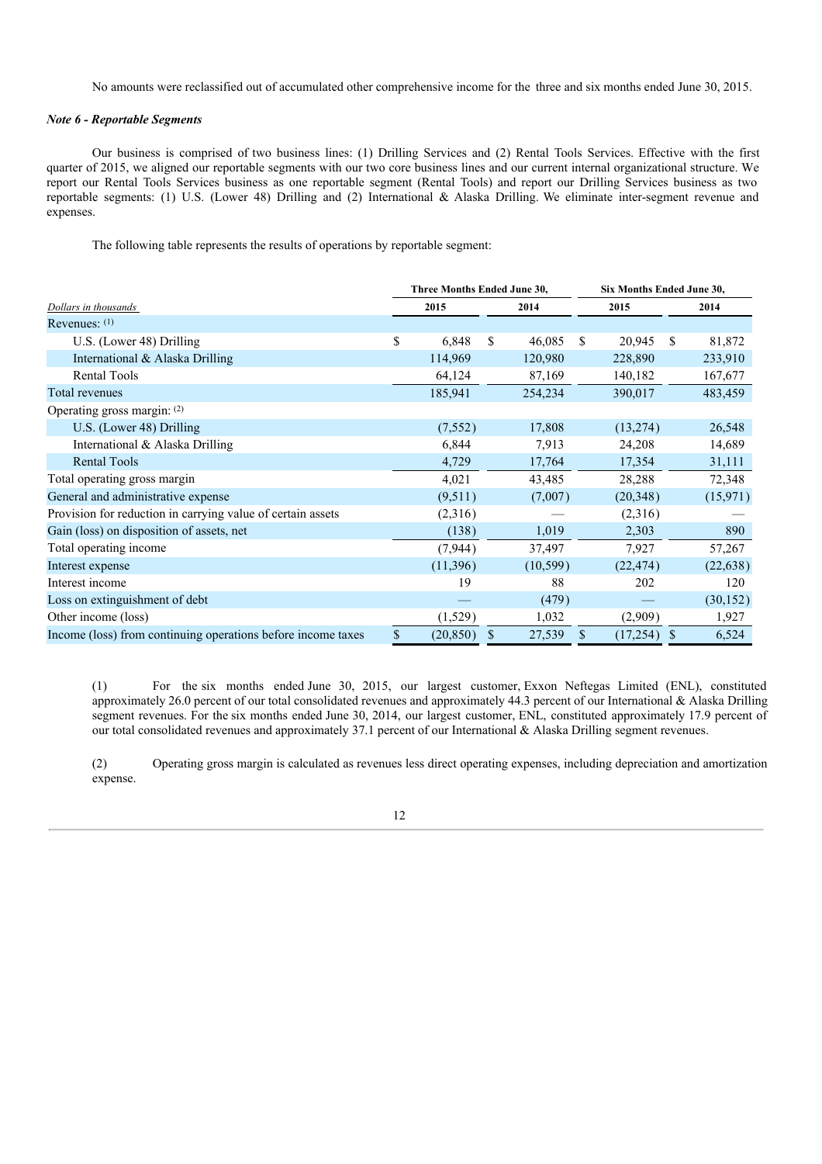No amounts were reclassified out of accumulated other comprehensive income for the three and six months ended June 30, 2015.

## *Note 6 - Reportable Segments*

Our business is comprised of two business lines: (1) Drilling Services and (2) Rental Tools Services. Effective with the first quarter of 2015, we aligned our reportable segments with our two core business lines and our current internal organizational structure. We report our Rental Tools Services business as one reportable segment (Rental Tools) and report our Drilling Services business as two reportable segments: (1) U.S. (Lower 48) Drilling and (2) International & Alaska Drilling. We eliminate inter-segment revenue and expenses.

The following table represents the results of operations by reportable segment:

|                                                              |    | Three Months Ended June 30, |              | Six Months Ended June 30, |           |    |           |  |
|--------------------------------------------------------------|----|-----------------------------|--------------|---------------------------|-----------|----|-----------|--|
| Dollars in thousands                                         |    | 2015                        | 2014         | 2015                      |           |    | 2014      |  |
| Revenues: $(1)$                                              |    |                             |              |                           |           |    |           |  |
| U.S. (Lower 48) Drilling                                     | \$ | 6,848                       | \$<br>46,085 | \$                        | 20,945    | \$ | 81,872    |  |
| International & Alaska Drilling                              |    | 114,969                     | 120,980      |                           | 228,890   |    | 233,910   |  |
| <b>Rental Tools</b>                                          |    | 64,124                      | 87,169       |                           | 140,182   |    | 167,677   |  |
| Total revenues                                               |    | 185,941                     | 254,234      |                           | 390,017   |    | 483,459   |  |
| Operating gross margin: (2)                                  |    |                             |              |                           |           |    |           |  |
| U.S. (Lower 48) Drilling                                     |    | (7, 552)                    | 17,808       |                           | (13,274)  |    | 26,548    |  |
| International & Alaska Drilling                              |    | 6,844                       | 7,913        |                           | 24,208    |    | 14,689    |  |
| <b>Rental Tools</b>                                          |    | 4,729                       | 17,764       |                           | 17,354    |    | 31,111    |  |
| Total operating gross margin                                 |    | 4,021                       | 43,485       |                           | 28,288    |    | 72,348    |  |
| General and administrative expense                           |    | (9,511)                     | (7,007)      |                           | (20, 348) |    | (15, 971) |  |
| Provision for reduction in carrying value of certain assets  |    | (2,316)                     |              |                           | (2,316)   |    |           |  |
| Gain (loss) on disposition of assets, net                    |    | (138)                       | 1,019        |                           | 2,303     |    | 890       |  |
| Total operating income                                       |    | (7, 944)                    | 37,497       |                           | 7,927     |    | 57,267    |  |
| Interest expense                                             |    | (11,396)                    | (10, 599)    |                           | (22, 474) |    | (22, 638) |  |
| Interest income                                              |    | 19                          | 88           |                           | 202       |    | 120       |  |
| Loss on extinguishment of debt                               |    |                             | (479)        |                           |           |    | (30, 152) |  |
| Other income (loss)                                          |    | (1,529)                     | 1,032        |                           | (2,909)   |    | 1,927     |  |
| Income (loss) from continuing operations before income taxes | S. | (20, 850)                   | \$<br>27,539 | \$                        | (17,254)  | \$ | 6,524     |  |

(1) For the six months ended June 30, 2015, our largest customer, Exxon Neftegas Limited (ENL), constituted approximately 26.0 percent of our total consolidated revenues and approximately 44.3 percent of our International & Alaska Drilling segment revenues. For the six months ended June 30, 2014, our largest customer, ENL, constituted approximately 17.9 percent of our total consolidated revenues and approximately 37.1 percent of our International & Alaska Drilling segment revenues.

(2) Operating gross margin is calculated as revenues less direct operating expenses, including depreciation and amortization expense.

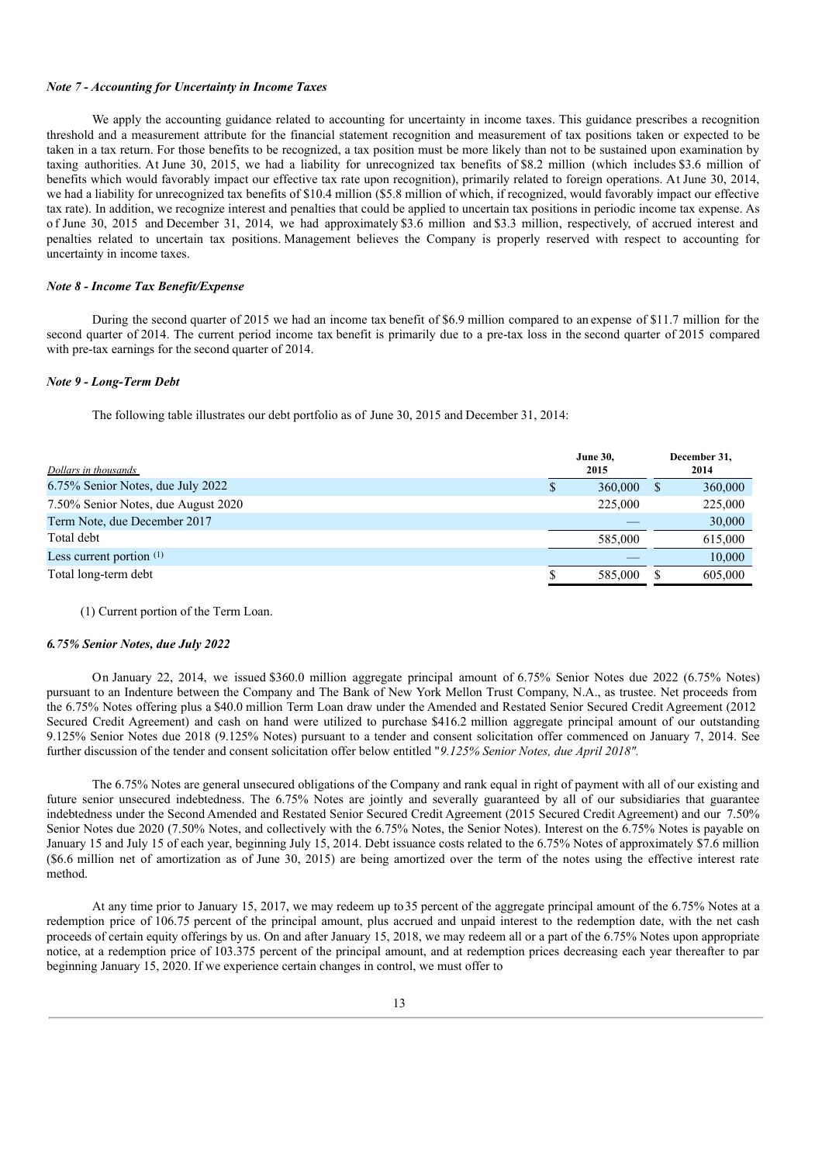#### *Note 7 - Accounting for Uncertainty in Income Taxes*

We apply the accounting guidance related to accounting for uncertainty in income taxes. This guidance prescribes a recognition threshold and a measurement attribute for the financial statement recognition and measurement of tax positions taken or expected to be taken in a tax return. For those benefits to be recognized, a tax position must be more likely than not to be sustained upon examination by taxing authorities. At June 30, 2015, we had a liability for unrecognized tax benefits of \$8.2 million (which includes \$3.6 million of benefits which would favorably impact our effective tax rate upon recognition), primarily related to foreign operations. At June 30, 2014, we had a liability for unrecognized tax benefits of \$10.4 million (\$5.8 million of which, if recognized, would favorably impact our effective tax rate). In addition, we recognize interest and penalties that could be applied to uncertain tax positions in periodic income tax expense. As of June 30, 2015 and December 31, 2014, we had approximately \$3.6 million and \$3.3 million, respectively, of accrued interest and penalties related to uncertain tax positions. Management believes the Company is properly reserved with respect to accounting for uncertainty in income taxes.

## *Note 8 - Income Tax Benefit/Expense*

During the second quarter of 2015 we had an income tax benefit of \$6.9 million compared to anexpense of \$11.7 million for the second quarter of 2014. The current period income tax benefit is primarily due to a pre-tax loss in the second quarter of 2015 compared with pre-tax earnings for the second quarter of 2014.

#### *Note 9 - Long-Term Debt*

The following table illustrates our debt portfolio as of June 30, 2015 and December 31, 2014:

| Dollars in thousands                | <b>June 30,</b><br>2015 |         |  | December 31,<br>2014 |
|-------------------------------------|-------------------------|---------|--|----------------------|
| 6.75% Senior Notes, due July 2022   | S                       | 360,000 |  | 360,000              |
| 7.50% Senior Notes, due August 2020 |                         | 225,000 |  | 225,000              |
| Term Note, due December 2017        |                         |         |  | 30,000               |
| Total debt                          |                         | 585,000 |  | 615,000              |
| Less current portion $(1)$          |                         |         |  | 10,000               |
| Total long-term debt                |                         | 585,000 |  | 605,000              |
|                                     |                         |         |  |                      |

#### (1) Current portion of the Term Loan.

#### *6.75% Senior Notes, due July 2022*

On January 22, 2014, we issued \$360.0 million aggregate principal amount of 6.75% Senior Notes due 2022 (6.75% Notes) pursuant to an Indenture between the Company and The Bank of New York Mellon Trust Company, N.A., as trustee. Net proceeds from the 6.75% Notes offering plus a \$40.0 million Term Loan draw under the Amended and Restated Senior Secured Credit Agreement (2012 Secured Credit Agreement) and cash on hand were utilized to purchase \$416.2 million aggregate principal amount of our outstanding 9.125% Senior Notes due 2018 (9.125% Notes) pursuant to a tender and consent solicitation offer commenced on January 7, 2014. See further discussion of the tender and consent solicitation offer below entitled "*9.125% Senior Notes, due April 2018".*

The 6.75% Notes are general unsecured obligations of the Company and rank equal in right of payment with all of our existing and future senior unsecured indebtedness. The 6.75% Notes are jointly and severally guaranteed by all of our subsidiaries that guarantee indebtedness under the Second Amended and Restated Senior Secured Credit Agreement (2015 Secured Credit Agreement) and our 7.50% Senior Notes due 2020 (7.50% Notes, and collectively with the 6.75% Notes, the Senior Notes). Interest on the 6.75% Notes is payable on January 15 and July 15 of each year, beginning July 15, 2014. Debt issuance costs related to the 6.75% Notes of approximately \$7.6 million (\$6.6 million net of amortization as of June 30, 2015) are being amortized over the term of the notes using the effective interest rate method.

At any time prior to January 15, 2017, we may redeem up to35 percent of the aggregate principal amount of the 6.75% Notes at a redemption price of 106.75 percent of the principal amount, plus accrued and unpaid interest to the redemption date, with the net cash proceeds of certain equity offerings by us. On and after January 15, 2018, we may redeem all or a part of the 6.75% Notes upon appropriate notice, at a redemption price of 103.375 percent of the principal amount, and at redemption prices decreasing each year thereafter to par beginning January 15, 2020. If we experience certain changes in control, we must offer to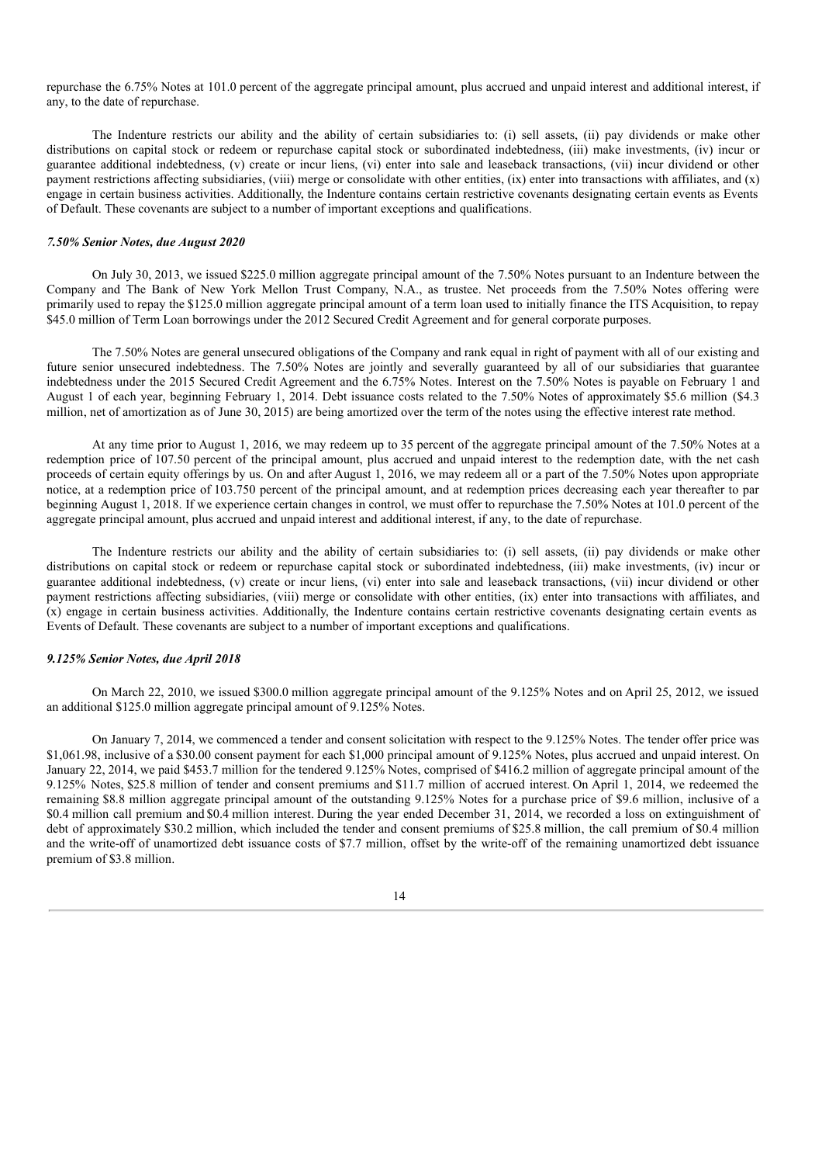repurchase the 6.75% Notes at 101.0 percent of the aggregate principal amount, plus accrued and unpaid interest and additional interest, if any, to the date of repurchase.

The Indenture restricts our ability and the ability of certain subsidiaries to: (i) sell assets, (ii) pay dividends or make other distributions on capital stock or redeem or repurchase capital stock or subordinated indebtedness, (iii) make investments, (iv) incur or guarantee additional indebtedness, (v) create or incur liens, (vi) enter into sale and leaseback transactions, (vii) incur dividend or other payment restrictions affecting subsidiaries, (viii) merge or consolidate with other entities, (ix) enter into transactions with affiliates, and  $(x)$ engage in certain business activities. Additionally, the Indenture contains certain restrictive covenants designating certain events as Events of Default. These covenants are subject to a number of important exceptions and qualifications.

#### *7.50% Senior Notes, due August 2020*

On July 30, 2013, we issued \$225.0 million aggregate principal amount of the 7.50% Notes pursuant to an Indenture between the Company and The Bank of New York Mellon Trust Company, N.A., as trustee. Net proceeds from the 7.50% Notes offering were primarily used to repay the \$125.0 million aggregate principal amount of a term loan used to initially finance the ITS Acquisition, to repay \$45.0 million of Term Loan borrowings under the 2012 Secured Credit Agreement and for general corporate purposes.

The 7.50% Notes are general unsecured obligations of the Company and rank equal in right of payment with all of our existing and future senior unsecured indebtedness. The 7.50% Notes are jointly and severally guaranteed by all of our subsidiaries that guarantee indebtedness under the 2015 Secured Credit Agreement and the 6.75% Notes. Interest on the 7.50% Notes is payable on February 1 and August 1 of each year, beginning February 1, 2014. Debt issuance costs related to the 7.50% Notes of approximately \$5.6 million (\$4.3 million, net of amortization as of June 30, 2015) are being amortized over the term of the notes using the effective interest rate method.

At any time prior to August 1, 2016, we may redeem up to 35 percent of the aggregate principal amount of the 7.50% Notes at a redemption price of 107.50 percent of the principal amount, plus accrued and unpaid interest to the redemption date, with the net cash proceeds of certain equity offerings by us. On and after August 1, 2016, we may redeem all or a part of the 7.50% Notes upon appropriate notice, at a redemption price of 103.750 percent of the principal amount, and at redemption prices decreasing each year thereafter to par beginning August 1, 2018. If we experience certain changes in control, we must offer to repurchase the 7.50% Notes at 101.0 percent of the aggregate principal amount, plus accrued and unpaid interest and additional interest, if any, to the date of repurchase.

The Indenture restricts our ability and the ability of certain subsidiaries to: (i) sell assets, (ii) pay dividends or make other distributions on capital stock or redeem or repurchase capital stock or subordinated indebtedness, (iii) make investments, (iv) incur or guarantee additional indebtedness, (v) create or incur liens, (vi) enter into sale and leaseback transactions, (vii) incur dividend or other payment restrictions affecting subsidiaries, (viii) merge or consolidate with other entities, (ix) enter into transactions with affiliates, and (x) engage in certain business activities. Additionally, the Indenture contains certain restrictive covenants designating certain events as Events of Default. These covenants are subject to a number of important exceptions and qualifications.

### *9.125% Senior Notes, due April 2018*

On March 22, 2010, we issued \$300.0 million aggregate principal amount of the 9.125% Notes and on April 25, 2012, we issued an additional \$125.0 million aggregate principal amount of 9.125% Notes.

On January 7, 2014, we commenced a tender and consent solicitation with respect to the 9.125% Notes. The tender offer price was \$1,061.98, inclusive of a \$30.00 consent payment for each \$1,000 principal amount of 9.125% Notes, plus accrued and unpaid interest. On January 22, 2014, we paid \$453.7 million for the tendered 9.125% Notes, comprised of \$416.2 million of aggregate principal amount of the 9.125% Notes, \$25.8 million of tender and consent premiums and \$11.7 million of accrued interest. On April 1, 2014, we redeemed the remaining \$8.8 million aggregate principal amount of the outstanding 9.125% Notes for a purchase price of \$9.6 million, inclusive of a \$0.4 million call premium and\$0.4 million interest. During the year ended December 31, 2014, we recorded a loss on extinguishment of debt of approximately \$30.2 million, which included the tender and consent premiums of \$25.8 million, the call premium of \$0.4 million and the write-off of unamortized debt issuance costs of \$7.7 million, offset by the write-off of the remaining unamortized debt issuance premium of \$3.8 million.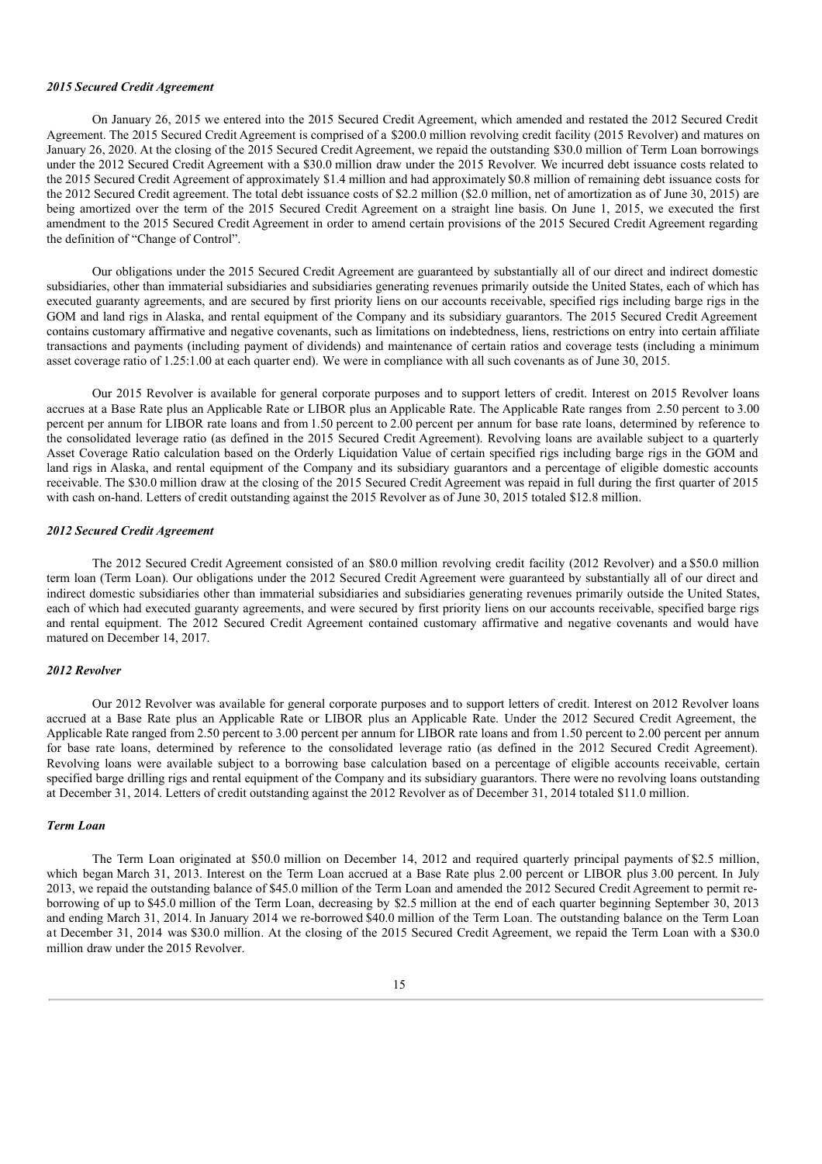#### *2015 Secured Credit Agreement*

On January 26, 2015 we entered into the 2015 Secured Credit Agreement, which amended and restated the 2012 Secured Credit Agreement. The 2015 Secured Credit Agreement is comprised of a \$200.0 million revolving credit facility (2015 Revolver) and matures on January 26, 2020. At the closing of the 2015 Secured Credit Agreement, we repaid the outstanding \$30.0 million of Term Loan borrowings under the 2012 Secured Credit Agreement with a \$30.0 million draw under the 2015 Revolver. We incurred debt issuance costs related to the 2015 Secured Credit Agreement of approximately \$1.4 million and had approximately\$0.8 million of remaining debt issuance costs for the 2012 Secured Credit agreement. The total debt issuance costs of \$2.2 million (\$2.0 million, net of amortization as of June 30, 2015) are being amortized over the term of the 2015 Secured Credit Agreement on a straight line basis. On June 1, 2015, we executed the first amendment to the 2015 Secured Credit Agreement in order to amend certain provisions of the 2015 Secured Credit Agreement regarding the definition of "Change of Control".

Our obligations under the 2015 Secured Credit Agreement are guaranteed by substantially all of our direct and indirect domestic subsidiaries, other than immaterial subsidiaries and subsidiaries generating revenues primarily outside the United States, each of which has executed guaranty agreements, and are secured by first priority liens on our accounts receivable, specified rigs including barge rigs in the GOM and land rigs in Alaska, and rental equipment of the Company and its subsidiary guarantors. The 2015 Secured Credit Agreement contains customary affirmative and negative covenants, such as limitations on indebtedness, liens, restrictions on entry into certain affiliate transactions and payments (including payment of dividends) and maintenance of certain ratios and coverage tests (including a minimum asset coverage ratio of 1.25:1.00 at each quarter end). We were in compliance with all such covenants as of June 30, 2015.

Our 2015 Revolver is available for general corporate purposes and to support letters of credit. Interest on 2015 Revolver loans accrues at a Base Rate plus an Applicable Rate or LIBOR plus an Applicable Rate. The Applicable Rate ranges from 2.50 percent to 3.00 percent per annum for LIBOR rate loans and from 1.50 percent to 2.00 percent per annum for base rate loans, determined by reference to the consolidated leverage ratio (as defined in the 2015 Secured Credit Agreement). Revolving loans are available subject to a quarterly Asset Coverage Ratio calculation based on the Orderly Liquidation Value of certain specified rigs including barge rigs in the GOM and land rigs in Alaska, and rental equipment of the Company and its subsidiary guarantors and a percentage of eligible domestic accounts receivable. The \$30.0 million draw at the closing of the 2015 Secured Credit Agreement was repaid in full during the first quarter of 2015 with cash on-hand. Letters of credit outstanding against the 2015 Revolver as of June 30, 2015 totaled \$12.8 million.

#### *2012 Secured Credit Agreement*

The 2012 Secured Credit Agreement consisted of an \$80.0 million revolving credit facility (2012 Revolver) and a \$50.0 million term loan (Term Loan). Our obligations under the 2012 Secured Credit Agreement were guaranteed by substantially all of our direct and indirect domestic subsidiaries other than immaterial subsidiaries and subsidiaries generating revenues primarily outside the United States, each of which had executed guaranty agreements, and were secured by first priority liens on our accounts receivable, specified barge rigs and rental equipment. The 2012 Secured Credit Agreement contained customary affirmative and negative covenants and would have matured on December 14, 2017.

#### *2012 Revolver*

Our 2012 Revolver was available for general corporate purposes and to support letters of credit. Interest on 2012 Revolver loans accrued at a Base Rate plus an Applicable Rate or LIBOR plus an Applicable Rate. Under the 2012 Secured Credit Agreement, the Applicable Rate ranged from 2.50 percent to 3.00 percent per annum for LIBOR rate loans and from 1.50 percent to 2.00 percent per annum for base rate loans, determined by reference to the consolidated leverage ratio (as defined in the 2012 Secured Credit Agreement). Revolving loans were available subject to a borrowing base calculation based on a percentage of eligible accounts receivable, certain specified barge drilling rigs and rental equipment of the Company and its subsidiary guarantors. There were no revolving loans outstanding at December 31, 2014. Letters of credit outstanding against the 2012 Revolver as of December 31, 2014 totaled \$11.0 million.

## *Term Loan*

The Term Loan originated at \$50.0 million on December 14, 2012 and required quarterly principal payments of \$2.5 million, which began March 31, 2013. Interest on the Term Loan accrued at a Base Rate plus 2.00 percent or LIBOR plus 3.00 percent. In July 2013, we repaid the outstanding balance of \$45.0 million of the Term Loan and amended the 2012 Secured Credit Agreement to permit reborrowing of up to \$45.0 million of the Term Loan, decreasing by \$2.5 million at the end of each quarter beginning September 30, 2013 and ending March 31, 2014. In January 2014 we re-borrowed \$40.0 million of the Term Loan. The outstanding balance on the Term Loan at December 31, 2014 was \$30.0 million. At the closing of the 2015 Secured Credit Agreement, we repaid the Term Loan with a \$30.0 million draw under the 2015 Revolver.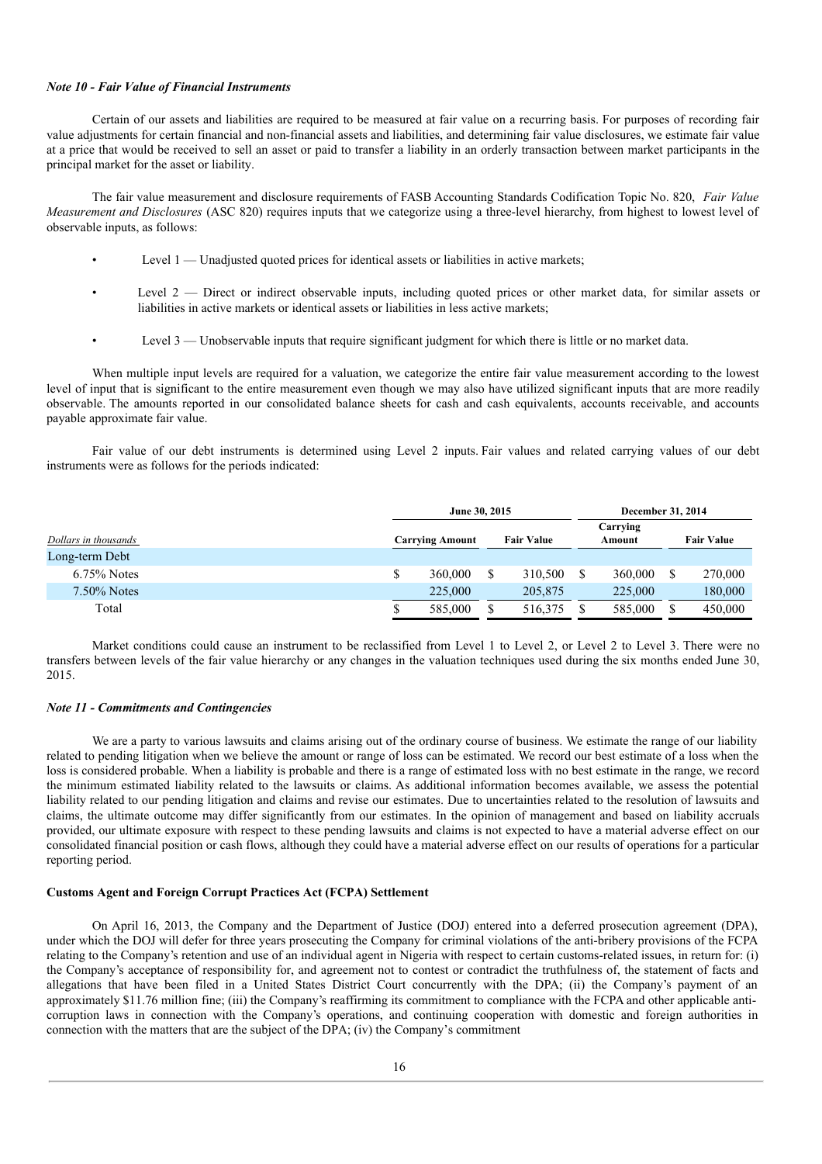#### *Note 10 - Fair Value of Financial Instruments*

Certain of our assets and liabilities are required to be measured at fair value on a recurring basis. For purposes of recording fair value adjustments for certain financial and non-financial assets and liabilities, and determining fair value disclosures, we estimate fair value at a price that would be received to sell an asset or paid to transfer a liability in an orderly transaction between market participants in the principal market for the asset or liability.

The fair value measurement and disclosure requirements of FASB Accounting Standards Codification Topic No. 820, *Fair Value Measurement and Disclosures* (ASC 820) requires inputs that we categorize using a three-level hierarchy, from highest to lowest level of observable inputs, as follows:

- Level  $1$  Unadjusted quoted prices for identical assets or liabilities in active markets;
- Level 2 Direct or indirect observable inputs, including quoted prices or other market data, for similar assets or liabilities in active markets or identical assets or liabilities in less active markets;
- Level 3 Unobservable inputs that require significant judgment for which there is little or no market data.

When multiple input levels are required for a valuation, we categorize the entire fair value measurement according to the lowest level of input that is significant to the entire measurement even though we may also have utilized significant inputs that are more readily observable. The amounts reported in our consolidated balance sheets for cash and cash equivalents, accounts receivable, and accounts payable approximate fair value.

Fair value of our debt instruments is determined using Level 2 inputs. Fair values and related carrying values of our debt instruments were as follows for the periods indicated:

|                      | June 30, 2015          |                   | December 31, 2014  |                   |  |  |
|----------------------|------------------------|-------------------|--------------------|-------------------|--|--|
| Dollars in thousands | <b>Carrying Amount</b> | <b>Fair Value</b> | Carrying<br>Amount | <b>Fair Value</b> |  |  |
| Long-term Debt       |                        |                   |                    |                   |  |  |
| $6.75\%$ Notes       | 360,000                | 310,500           | 360,000            | 270,000           |  |  |
| $7.50\%$ Notes       | 225,000                | 205,875           | 225,000            | 180,000           |  |  |
| Total                | 585,000                | 516,375           | 585,000            | 450,000           |  |  |

Market conditions could cause an instrument to be reclassified from Level 1 to Level 2, or Level 2 to Level 3. There were no transfers between levels of the fair value hierarchy or any changes in the valuation techniques used during the six months ended June 30, 2015.

## *Note 11 - Commitments and Contingencies*

We are a party to various lawsuits and claims arising out of the ordinary course of business. We estimate the range of our liability related to pending litigation when we believe the amount or range of loss can be estimated. We record our best estimate of a loss when the loss is considered probable. When a liability is probable and there is a range of estimated loss with no best estimate in the range, we record the minimum estimated liability related to the lawsuits or claims. As additional information becomes available, we assess the potential liability related to our pending litigation and claims and revise our estimates. Due to uncertainties related to the resolution of lawsuits and claims, the ultimate outcome may differ significantly from our estimates. In the opinion of management and based on liability accruals provided, our ultimate exposure with respect to these pending lawsuits and claims is not expected to have a material adverse effect on our consolidated financial position or cash flows, although they could have a material adverse effect on our results of operations for a particular reporting period.

## **Customs Agent and Foreign Corrupt Practices Act (FCPA) Settlement**

On April 16, 2013, the Company and the Department of Justice (DOJ) entered into a deferred prosecution agreement (DPA), under which the DOJ will defer for three years prosecuting the Company for criminal violations of the anti-bribery provisions of the FCPA relating to the Company's retention and use of an individual agent in Nigeria with respect to certain customs-related issues, in return for: (i) the Company's acceptance of responsibility for, and agreement not to contest or contradict the truthfulness of, the statement of facts and allegations that have been filed in a United States District Court concurrently with the DPA; (ii) the Company's payment of an approximately \$11.76 million fine; (iii) the Company's reaffirming its commitment to compliance with the FCPA and other applicable anticorruption laws in connection with the Company's operations, and continuing cooperation with domestic and foreign authorities in connection with the matters that are the subject of the DPA; (iv) the Company's commitment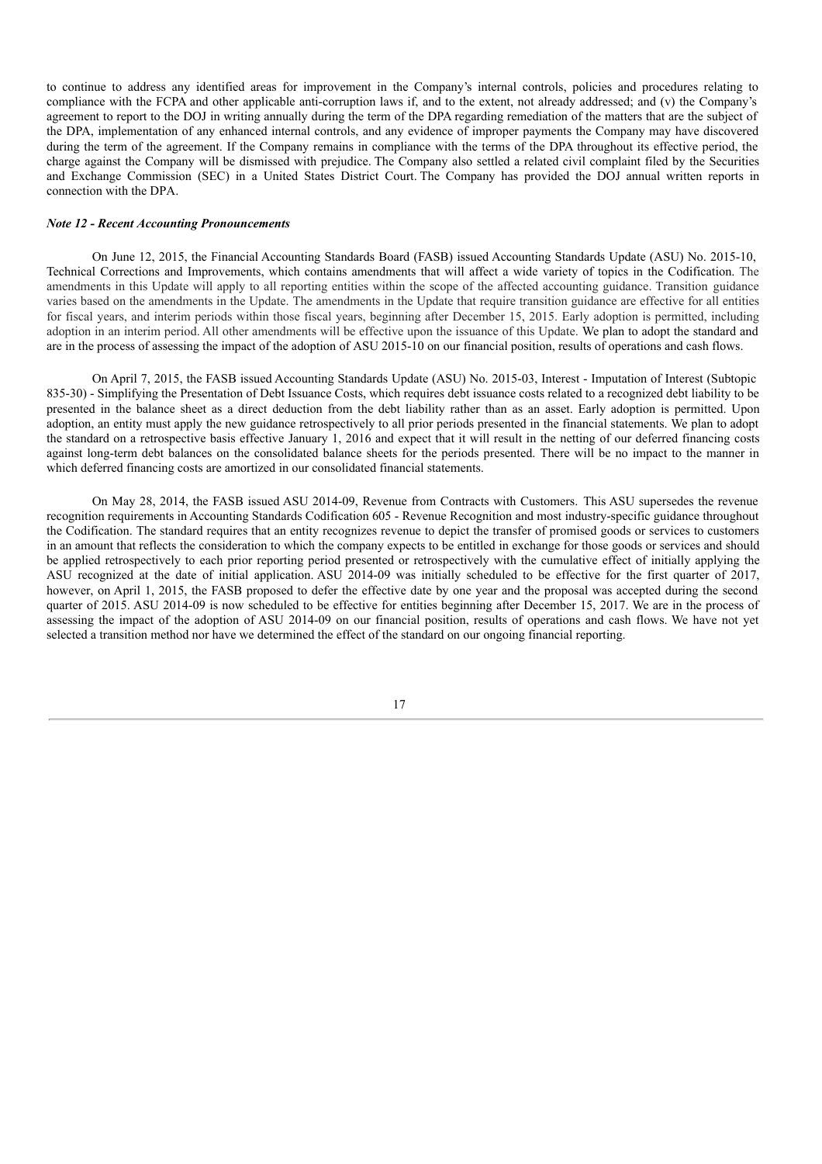to continue to address any identified areas for improvement in the Company's internal controls, policies and procedures relating to compliance with the FCPA and other applicable anti-corruption laws if, and to the extent, not already addressed; and (v) the Company's agreement to report to the DOJ in writing annually during the term of the DPA regarding remediation of the matters that are the subject of the DPA, implementation of any enhanced internal controls, and any evidence of improper payments the Company may have discovered during the term of the agreement. If the Company remains in compliance with the terms of the DPA throughout its effective period, the charge against the Company will be dismissed with prejudice. The Company also settled a related civil complaint filed by the Securities and Exchange Commission (SEC) in a United States District Court. The Company has provided the DOJ annual written reports in connection with the DPA.

#### *Note 12 - Recent Accounting Pronouncements*

On June 12, 2015, the Financial Accounting Standards Board (FASB) issued Accounting Standards Update (ASU) No. 2015-10, Technical Corrections and Improvements, which contains amendments that will affect a wide variety of topics in the Codification. The amendments in this Update will apply to all reporting entities within the scope of the affected accounting guidance. Transition guidance varies based on the amendments in the Update. The amendments in the Update that require transition guidance are effective for all entities for fiscal years, and interim periods within those fiscal years, beginning after December 15, 2015. Early adoption is permitted, including adoption in an interim period. All other amendments will be effective upon the issuance of this Update. We plan to adopt the standard and are in the process of assessing the impact of the adoption of ASU 2015-10 on our financial position, results of operations and cash flows.

On April 7, 2015, the FASB issued Accounting Standards Update (ASU) No. 2015-03, Interest - Imputation of Interest (Subtopic 835-30) - Simplifying the Presentation of Debt Issuance Costs, which requires debt issuance costs related to a recognized debt liability to be presented in the balance sheet as a direct deduction from the debt liability rather than as an asset. Early adoption is permitted. Upon adoption, an entity must apply the new guidance retrospectively to all prior periods presented in the financial statements. We plan to adopt the standard on a retrospective basis effective January 1, 2016 and expect that it will result in the netting of our deferred financing costs against long-term debt balances on the consolidated balance sheets for the periods presented. There will be no impact to the manner in which deferred financing costs are amortized in our consolidated financial statements.

On May 28, 2014, the FASB issued ASU 2014-09, Revenue from Contracts with Customers. This ASU supersedes the revenue recognition requirements in Accounting Standards Codification 605 - Revenue Recognition and most industry-specific guidance throughout the Codification. The standard requires that an entity recognizes revenue to depict the transfer of promised goods or services to customers in an amount that reflects the consideration to which the company expects to be entitled in exchange for those goods or services and should be applied retrospectively to each prior reporting period presented or retrospectively with the cumulative effect of initially applying the ASU recognized at the date of initial application. ASU 2014-09 was initially scheduled to be effective for the first quarter of 2017, however, on April 1, 2015, the FASB proposed to defer the effective date by one year and the proposal was accepted during the second quarter of 2015. ASU 2014-09 is now scheduled to be effective for entities beginning after December 15, 2017. We are in the process of assessing the impact of the adoption of ASU 2014-09 on our financial position, results of operations and cash flows. We have not yet selected a transition method nor have we determined the effect of the standard on our ongoing financial reporting.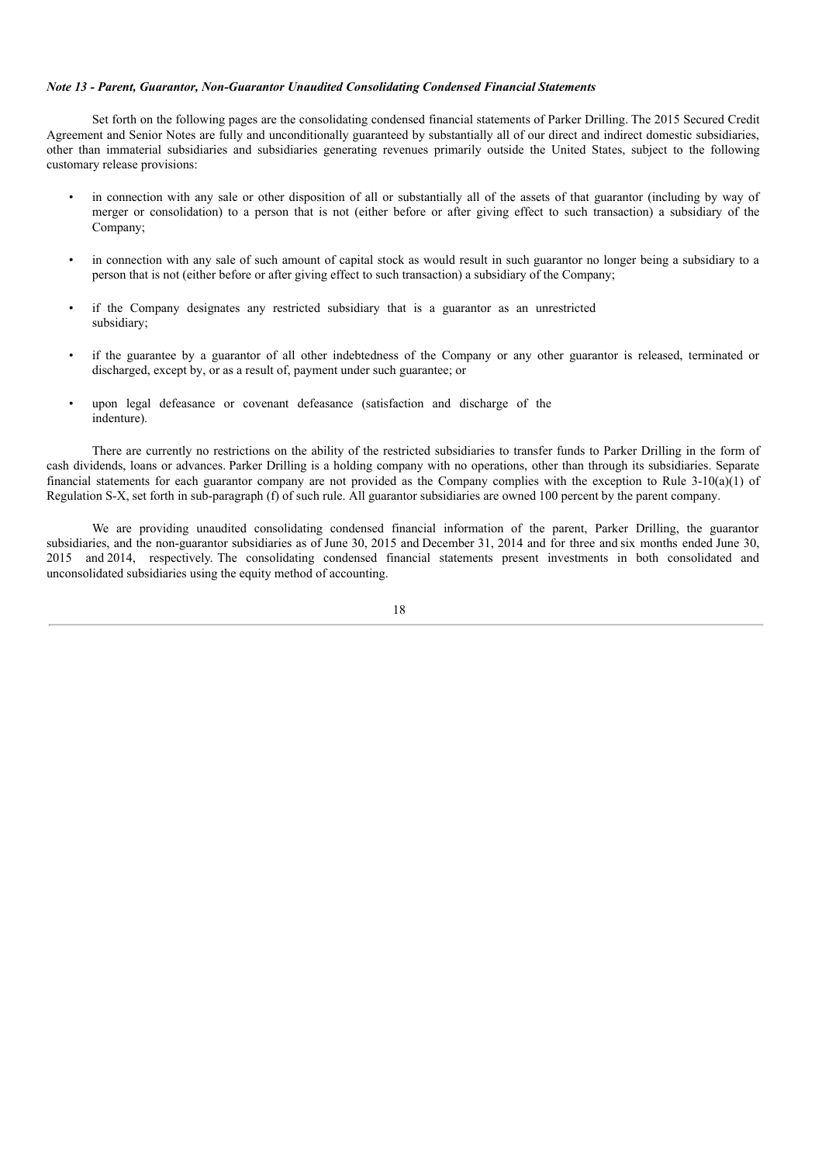## *Note 13 - Parent, Guarantor, Non-Guarantor Unaudited Consolidating Condensed Financial Statements*

Set forth on the following pages are the consolidating condensed financial statements of Parker Drilling. The 2015 Secured Credit Agreement and Senior Notes are fully and unconditionally guaranteed by substantially all of our direct and indirect domestic subsidiaries, other than immaterial subsidiaries and subsidiaries generating revenues primarily outside the United States, subject to the following customary release provisions:

- in connection with any sale or other disposition of all or substantially all of the assets of that guarantor (including by way of merger or consolidation) to a person that is not (either before or after giving effect to such transaction) a subsidiary of the Company;
- in connection with any sale of such amount of capital stock as would result in such guarantor no longer being a subsidiary to a person that is not (either before or after giving effect to such transaction) a subsidiary of the Company;
- if the Company designates any restricted subsidiary that is a guarantor as an unrestricted subsidiary;
- if the guarantee by a guarantor of all other indebtedness of the Company or any other guarantor is released, terminated or discharged, except by, or as a result of, payment under such guarantee; or
- upon legal defeasance or covenant defeasance (satisfaction and discharge of the indenture).

There are currently no restrictions on the ability of the restricted subsidiaries to transfer funds to Parker Drilling in the form of cash dividends, loans or advances. Parker Drilling is a holding company with no operations, other than through its subsidiaries. Separate financial statements for each guarantor company are not provided as the Company complies with the exception to Rule 3-10(a)(1) of Regulation S-X, set forth in sub-paragraph (f) of such rule. All guarantor subsidiaries are owned 100 percent by the parent company.

We are providing unaudited consolidating condensed financial information of the parent, Parker Drilling, the guarantor subsidiaries, and the non-guarantor subsidiaries as of June 30, 2015 and December 31, 2014 and for three and six months ended June 30, 2015 and 2014, respectively. The consolidating condensed financial statements present investments in both consolidated and unconsolidated subsidiaries using the equity method of accounting.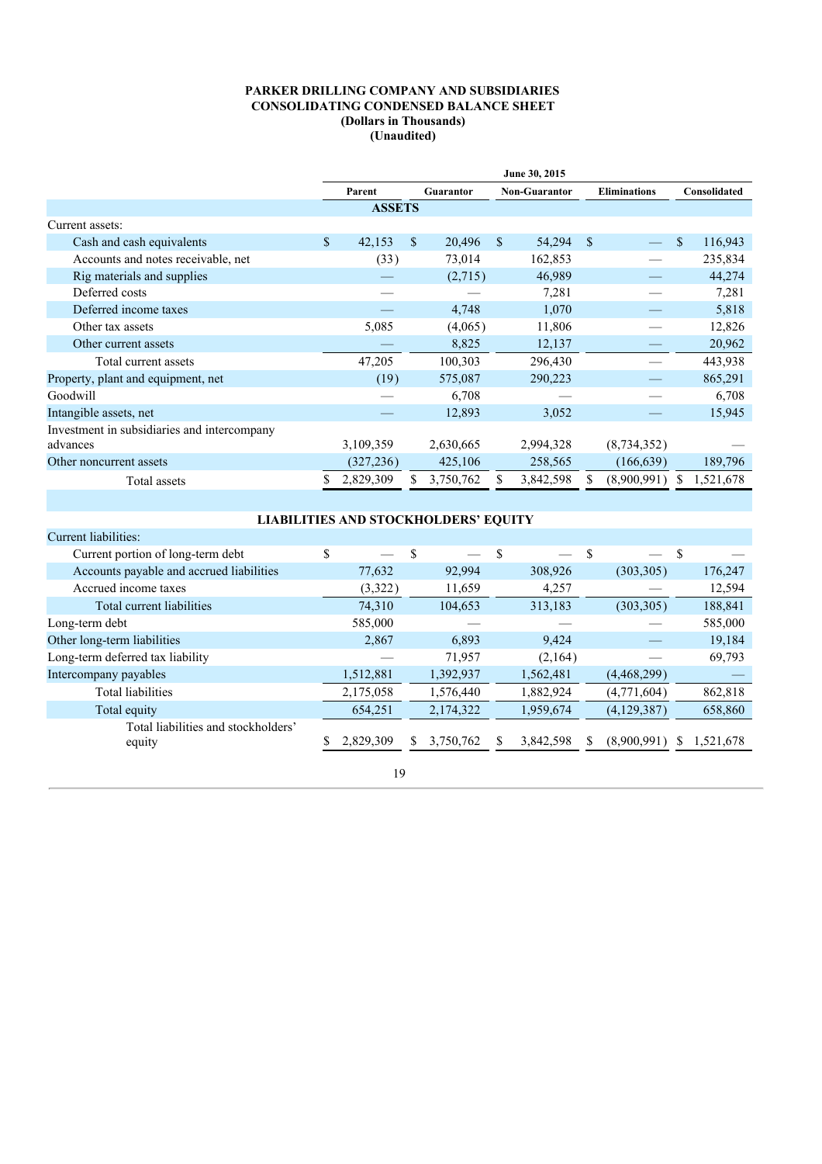## **PARKER DRILLING COMPANY AND SUBSIDIARIES CONSOLIDATING CONDENSED BALANCE SHEET (Dollars in Thousands) (Unaudited)**

|                                             | June 30, 2015 |               |    |           |              |                      |                     |             |              |           |  |  |
|---------------------------------------------|---------------|---------------|----|-----------|--------------|----------------------|---------------------|-------------|--------------|-----------|--|--|
|                                             |               | Parent        |    | Guarantor |              | <b>Non-Guarantor</b> | <b>Eliminations</b> |             | Consolidated |           |  |  |
|                                             |               | <b>ASSETS</b> |    |           |              |                      |                     |             |              |           |  |  |
| Current assets:                             |               |               |    |           |              |                      |                     |             |              |           |  |  |
| Cash and cash equivalents                   | \$            | 42,153        | \$ | 20,496    | <sup>S</sup> | 54,294               | <sup>S</sup>        |             | \$           | 116,943   |  |  |
| Accounts and notes receivable, net          |               | (33)          |    | 73,014    |              | 162,853              |                     |             |              | 235,834   |  |  |
| Rig materials and supplies                  |               |               |    | (2,715)   |              | 46,989               |                     |             |              | 44,274    |  |  |
| Deferred costs                              |               |               |    |           |              | 7,281                |                     |             |              | 7,281     |  |  |
| Deferred income taxes                       |               |               |    | 4,748     | 1,070        |                      |                     |             |              | 5,818     |  |  |
| Other tax assets                            |               | 5,085         |    | (4,065)   |              | 11,806               |                     |             |              | 12,826    |  |  |
| Other current assets                        |               |               |    | 8,825     |              | 12,137               |                     |             |              | 20,962    |  |  |
| Total current assets                        |               | 47,205        |    | 100,303   |              | 296,430              |                     |             |              | 443,938   |  |  |
| Property, plant and equipment, net          |               | (19)          |    | 575,087   |              | 290,223              |                     |             |              | 865,291   |  |  |
| Goodwill                                    |               |               |    | 6,708     |              |                      |                     |             |              | 6,708     |  |  |
| Intangible assets, net                      |               |               |    | 12,893    |              | 3,052                |                     |             |              | 15,945    |  |  |
| Investment in subsidiaries and intercompany |               |               |    |           |              |                      |                     |             |              |           |  |  |
| advances                                    |               | 3,109,359     |    | 2,630,665 |              | 2,994,328            |                     | (8,734,352) |              |           |  |  |
| Other noncurrent assets                     |               | (327, 236)    |    | 425,106   |              | 258,565              |                     | (166, 639)  |              | 189,796   |  |  |
| Total assets                                |               | 2,829,309     |    | 3,750,762 |              | 3,842,598            |                     | (8,900,991) |              | 1,521,678 |  |  |

# **LIABILITIES AND STOCKHOLDERS' EQUITY**

| Current liabilities:                          |           |     |           |               |           |   |                          |    |           |
|-----------------------------------------------|-----------|-----|-----------|---------------|-----------|---|--------------------------|----|-----------|
| Current portion of long-term debt             | \$        | \$. |           | <sup>\$</sup> |           | S | $\overline{\phantom{0}}$ | -S |           |
| Accounts payable and accrued liabilities      | 77,632    |     | 92,994    |               | 308,926   |   | (303, 305)               |    | 176,247   |
| Accrued income taxes                          | (3,322)   |     | 11,659    |               | 4,257     |   |                          |    | 12,594    |
| Total current liabilities                     | 74,310    |     | 104,653   |               | 313,183   |   | (303, 305)               |    | 188,841   |
| Long-term debt                                | 585,000   |     |           |               |           |   |                          |    | 585,000   |
| Other long-term liabilities                   | 2,867     |     | 6,893     |               | 9,424     |   |                          |    | 19,184    |
| Long-term deferred tax liability              |           |     | 71,957    |               | (2,164)   |   |                          |    | 69,793    |
| Intercompany payables                         | 1,512,881 |     | 1,392,937 |               | 1,562,481 |   | (4,468,299)              |    |           |
| Total liabilities                             | 2,175,058 |     | 1,576,440 |               | 1,882,924 |   | (4,771,604)              |    | 862,818   |
| Total equity                                  | 654,251   |     | 2,174,322 |               | 1,959,674 |   | (4,129,387)              |    | 658,860   |
| Total liabilities and stockholders'<br>equity | 2,829,309 |     | 3,750,762 | S             | 3,842,598 | S | (8,900,991)              | S. | 1,521,678 |
|                                               | 19        |     |           |               |           |   |                          |    |           |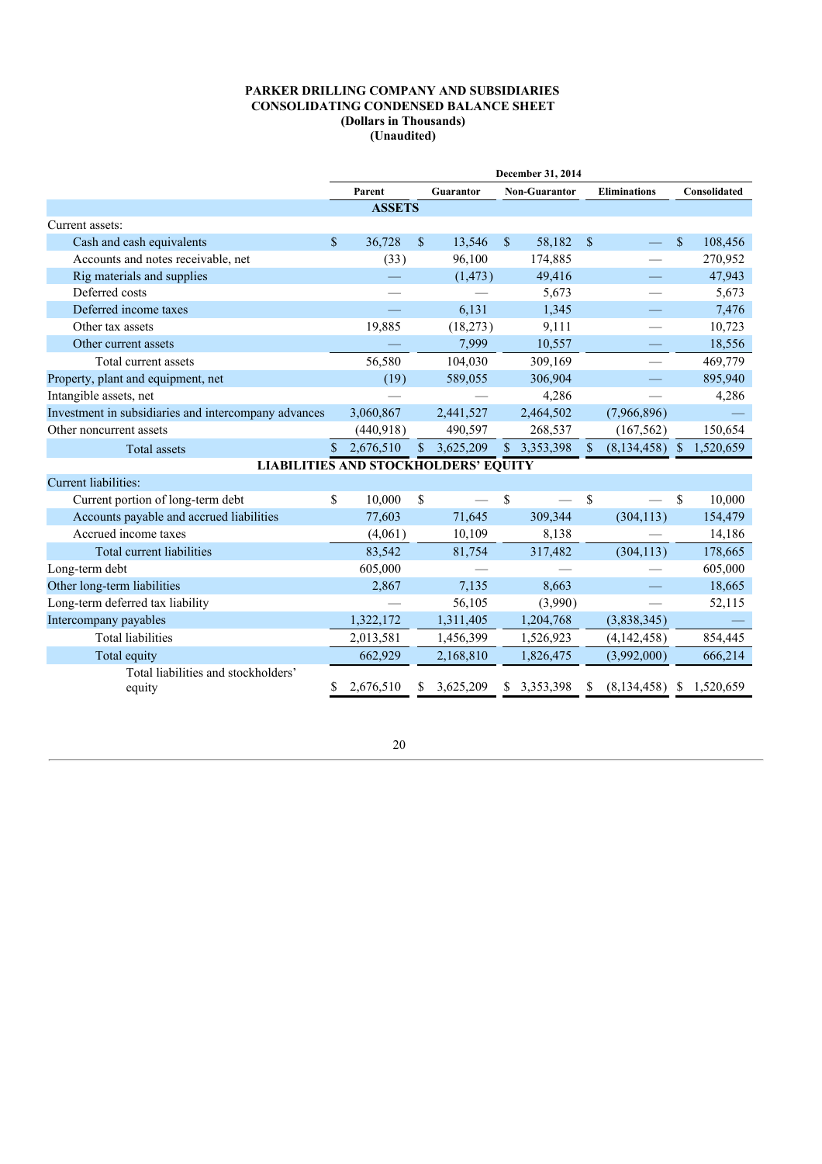## **PARKER DRILLING COMPANY AND SUBSIDIARIES CONSOLIDATING CONDENSED BALANCE SHEET (Dollars in Thousands) (Unaudited)**

|                                                      | December 31, 2014 |               |              |           |              |                      |                     |                          |              |              |
|------------------------------------------------------|-------------------|---------------|--------------|-----------|--------------|----------------------|---------------------|--------------------------|--------------|--------------|
|                                                      |                   | Parent        |              | Guarantor |              | <b>Non-Guarantor</b> | <b>Eliminations</b> |                          |              | Consolidated |
|                                                      |                   | <b>ASSETS</b> |              |           |              |                      |                     |                          |              |              |
| Current assets:                                      |                   |               |              |           |              |                      |                     |                          |              |              |
| Cash and cash equivalents                            | $\mathbb{S}$      | 36,728        | $\mathbb{S}$ | 13,546    | $\mathbb{S}$ | 58,182               | $\mathcal{S}$       |                          | $\mathbb{S}$ | 108,456      |
| Accounts and notes receivable, net                   |                   | (33)          |              | 96,100    |              | 174,885              |                     |                          |              | 270,952      |
| Rig materials and supplies                           |                   |               |              | (1, 473)  |              | 49,416               |                     |                          |              | 47,943       |
| Deferred costs                                       |                   |               |              |           |              | 5,673                |                     |                          |              | 5,673        |
| Deferred income taxes                                |                   |               |              | 6,131     |              | 1,345                |                     |                          |              | 7,476        |
| Other tax assets                                     |                   | 19,885        |              | (18, 273) |              | 9,111                |                     |                          |              | 10,723       |
| Other current assets                                 |                   |               |              | 7,999     |              | 10,557               |                     |                          |              | 18,556       |
| Total current assets                                 |                   | 56,580        |              | 104,030   |              | 309,169              |                     |                          |              | 469,779      |
| Property, plant and equipment, net                   |                   | (19)          |              | 589,055   |              | 306,904              |                     |                          |              | 895,940      |
| Intangible assets, net                               |                   |               |              |           |              | 4,286                |                     |                          |              | 4,286        |
| Investment in subsidiaries and intercompany advances |                   | 3,060,867     |              | 2,441,527 |              | 2,464,502            |                     | (7,966,896)              |              |              |
| Other noncurrent assets                              |                   | (440,918)     |              | 490,597   |              | 268,537              |                     | (167, 562)               |              | 150,654      |
| Total assets                                         | \$.               | 2,676,510     | S.           | 3,625,209 |              | \$3,353,398          | <sup>S</sup>        | (8, 134, 458)            | <b>S</b>     | 1,520,659    |
| <b>LIABILITIES AND STOCKHOLDERS' EQUITY</b>          |                   |               |              |           |              |                      |                     |                          |              |              |
| Current liabilities:                                 |                   |               |              |           |              |                      |                     |                          |              |              |
| Current portion of long-term debt                    | S.                | 10,000        | \$           |           | \$           |                      | <sup>\$</sup>       | $\overline{\phantom{0}}$ | $\mathbb{S}$ | 10,000       |
| Accounts payable and accrued liabilities             |                   | 77,603        |              | 71,645    |              | 309,344              |                     | (304, 113)               |              | 154,479      |
| Accrued income taxes                                 |                   | (4,061)       |              | 10,109    |              | 8,138                |                     |                          |              | 14,186       |
| Total current liabilities                            |                   | 83,542        |              | 81,754    |              | 317,482              |                     | (304, 113)               |              | 178,665      |
| Long-term debt                                       |                   | 605,000       |              |           |              |                      |                     |                          |              | 605,000      |
| Other long-term liabilities                          |                   | 2,867         |              | 7,135     |              | 8,663                |                     |                          |              | 18,665       |
| Long-term deferred tax liability                     |                   |               |              | 56,105    |              | (3,990)              |                     |                          |              | 52,115       |
| Intercompany payables                                |                   | 1,322,172     |              | 1,311,405 |              | 1,204,768            |                     | (3,838,345)              |              |              |
| <b>Total liabilities</b>                             |                   | 2,013,581     |              | 1,456,399 |              | 1,526,923            |                     | (4, 142, 458)            |              | 854,445      |
| Total equity                                         |                   | 662,929       |              | 2,168,810 |              | 1,826,475            |                     | (3,992,000)              |              | 666,214      |
| Total liabilities and stockholders'<br>equity        | S                 | 2,676,510     |              | 3,625,209 | S            | 3,353,398            |                     | (8, 134, 458)            |              | 1,520,659    |
|                                                      |                   |               |              |           |              |                      |                     |                          |              |              |

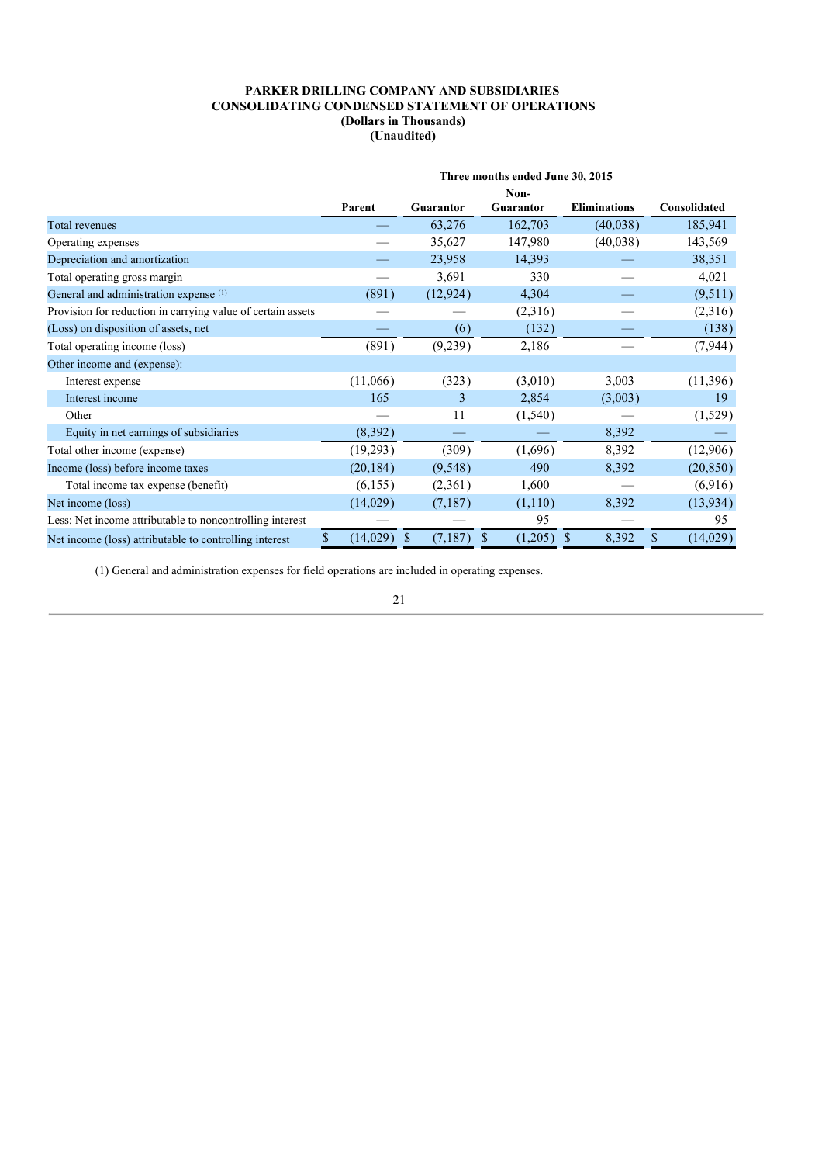|                                                             | Three months ended June 30, 2015 |                  |                          |                     |                |  |  |  |  |  |  |  |
|-------------------------------------------------------------|----------------------------------|------------------|--------------------------|---------------------|----------------|--|--|--|--|--|--|--|
|                                                             | Parent                           | <b>Guarantor</b> | Non-<br><b>Guarantor</b> | <b>Eliminations</b> | Consolidated   |  |  |  |  |  |  |  |
| Total revenues                                              |                                  | 63,276           | 162,703                  | (40,038)            | 185,941        |  |  |  |  |  |  |  |
| Operating expenses                                          |                                  | 35,627           | 147,980                  | (40,038)            | 143,569        |  |  |  |  |  |  |  |
| Depreciation and amortization                               |                                  | 23,958           | 14,393                   |                     | 38,351         |  |  |  |  |  |  |  |
| Total operating gross margin                                |                                  | 3,691            | 330                      |                     | 4,021          |  |  |  |  |  |  |  |
| General and administration expense (1)                      | (891)                            | (12, 924)        | 4,304                    |                     | (9,511)        |  |  |  |  |  |  |  |
| Provision for reduction in carrying value of certain assets |                                  |                  | (2,316)                  |                     | (2,316)        |  |  |  |  |  |  |  |
| (Loss) on disposition of assets, net                        |                                  | (6)              | (132)                    |                     | (138)          |  |  |  |  |  |  |  |
| Total operating income (loss)                               | (891)                            | (9,239)          | 2,186                    |                     | (7, 944)       |  |  |  |  |  |  |  |
| Other income and (expense):                                 |                                  |                  |                          |                     |                |  |  |  |  |  |  |  |
| Interest expense                                            | (11,066)                         | (323)            | (3,010)                  | 3,003               | (11, 396)      |  |  |  |  |  |  |  |
| Interest income                                             | 165                              | 3                | 2,854                    | (3,003)             | 19             |  |  |  |  |  |  |  |
| Other                                                       |                                  | 11               | (1,540)                  |                     | (1,529)        |  |  |  |  |  |  |  |
| Equity in net earnings of subsidiaries                      | (8,392)                          |                  |                          | 8,392               |                |  |  |  |  |  |  |  |
| Total other income (expense)                                | (19,293)                         | (309)            | (1,696)                  | 8,392               | (12,906)       |  |  |  |  |  |  |  |
| Income (loss) before income taxes                           | (20, 184)                        | (9,548)          | 490                      | 8,392               | (20, 850)      |  |  |  |  |  |  |  |
| Total income tax expense (benefit)                          | (6,155)                          | (2,361)          | 1,600                    |                     | (6,916)        |  |  |  |  |  |  |  |
| Net income (loss)                                           | (14,029)                         | (7,187)          | (1,110)                  | 8,392               | (13, 934)      |  |  |  |  |  |  |  |
| Less: Net income attributable to noncontrolling interest    |                                  |                  | 95                       |                     | 95             |  |  |  |  |  |  |  |
| Net income (loss) attributable to controlling interest      | (14,029)<br>S                    | (7,187)<br>S     | (1,205)<br>S             | 8,392<br>S          | (14,029)<br>\$ |  |  |  |  |  |  |  |

(1) General and administration expenses for field operations are included in operating expenses.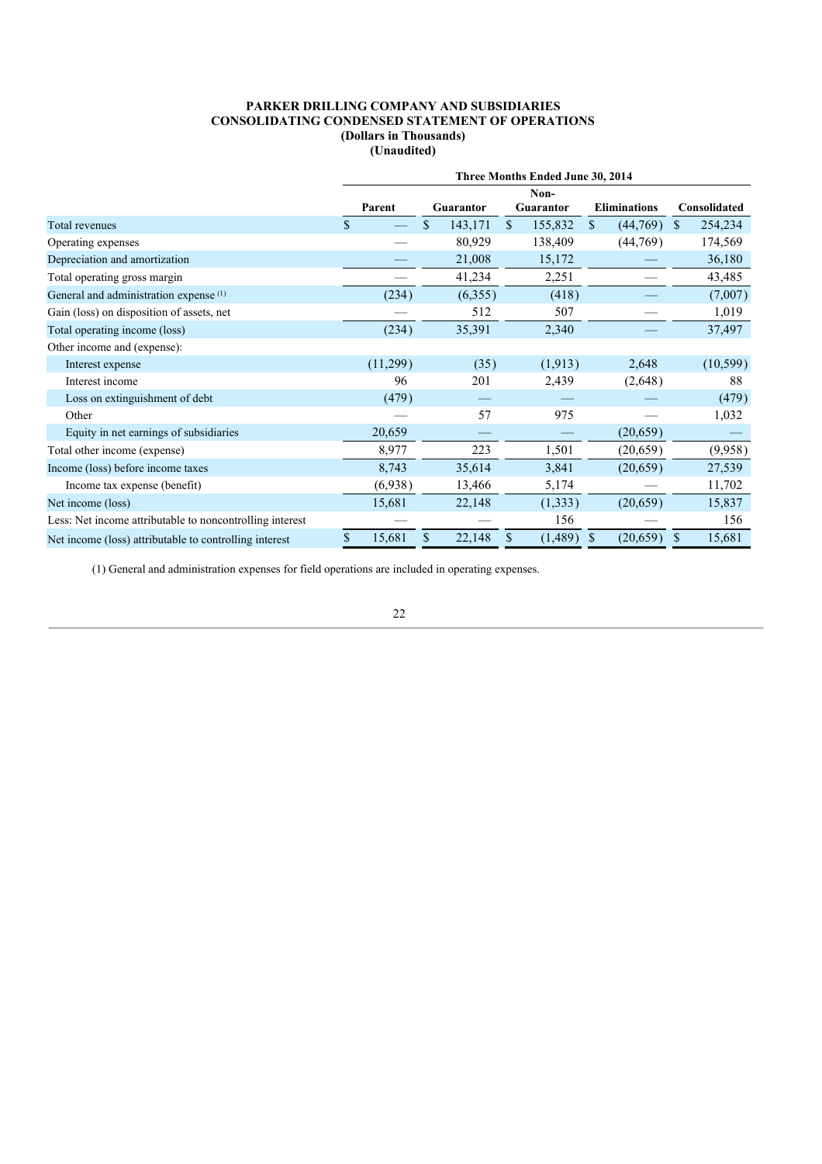|                                                          | Three Months Ended June 30, 2014 |    |                  |    |                          |    |                     |   |              |  |
|----------------------------------------------------------|----------------------------------|----|------------------|----|--------------------------|----|---------------------|---|--------------|--|
|                                                          | Parent                           |    | <b>Guarantor</b> |    | Non-<br><b>Guarantor</b> |    | <b>Eliminations</b> |   | Consolidated |  |
| Total revenues                                           | \$                               | \$ | 143,171          | \$ | 155,832                  | \$ | (44,769)            | S | 254,234      |  |
| Operating expenses                                       |                                  |    | 80,929           |    | 138,409                  |    | (44, 769)           |   | 174,569      |  |
| Depreciation and amortization                            |                                  |    | 21,008           |    | 15,172                   |    |                     |   | 36,180       |  |
| Total operating gross margin                             |                                  |    | 41,234           |    | 2,251                    |    |                     |   | 43,485       |  |
| General and administration expense (1)                   | (234)                            |    | (6,355)          |    | (418)                    |    |                     |   | (7,007)      |  |
| Gain (loss) on disposition of assets, net                |                                  |    | 512              |    | 507                      |    |                     |   | 1,019        |  |
| Total operating income (loss)                            | (234)                            |    | 35,391           |    | 2,340                    |    |                     |   | 37,497       |  |
| Other income and (expense):                              |                                  |    |                  |    |                          |    |                     |   |              |  |
| Interest expense                                         | (11,299)                         |    | (35)             |    | (1, 913)                 |    | 2,648               |   | (10, 599)    |  |
| Interest income                                          | 96                               |    | 201              |    | 2,439                    |    | (2,648)             |   | 88           |  |
| Loss on extinguishment of debt                           | (479)                            |    |                  |    |                          |    |                     |   | (479)        |  |
| Other                                                    |                                  |    | 57               |    | 975                      |    |                     |   | 1,032        |  |
| Equity in net earnings of subsidiaries                   | 20,659                           |    |                  |    |                          |    | (20,659)            |   |              |  |
| Total other income (expense)                             | 8,977                            |    | 223              |    | 1,501                    |    | (20,659)            |   | (9,958)      |  |
| Income (loss) before income taxes                        | 8,743                            |    | 35,614           |    | 3,841                    |    | (20,659)            |   | 27,539       |  |
| Income tax expense (benefit)                             | (6,938)                          |    | 13,466           |    | 5,174                    |    |                     |   | 11,702       |  |
| Net income (loss)                                        | 15,681                           |    | 22,148           |    | (1, 333)                 |    | (20,659)            |   | 15,837       |  |
| Less: Net income attributable to noncontrolling interest |                                  |    |                  |    | 156                      |    |                     |   | 156          |  |
| Net income (loss) attributable to controlling interest   | \$<br>15,681                     | \$ | 22,148           | S  | (1, 489)                 | \$ | (20, 659)           | S | 15,681       |  |

(1) General and administration expenses for field operations are included in operating expenses.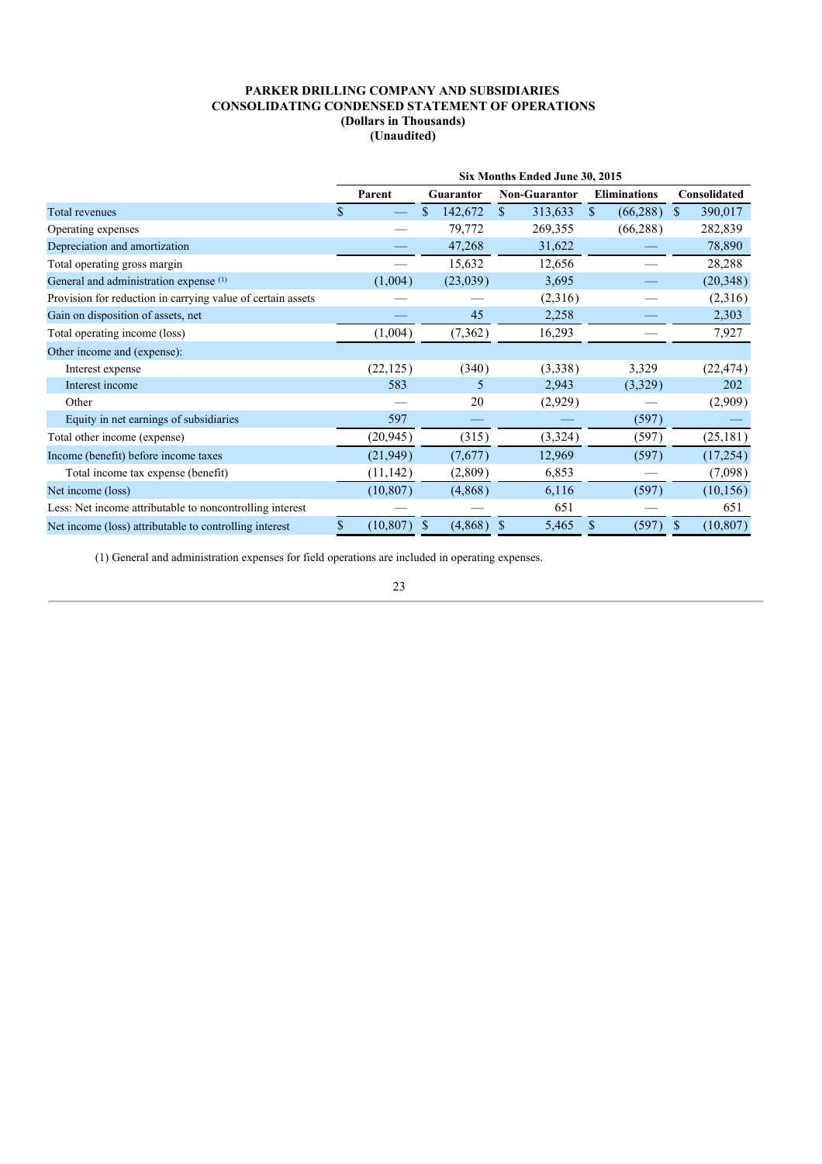|                                                             | Six Months Ended June 30, 2015 |           |    |                  |               |                      |               |                     |              |              |  |
|-------------------------------------------------------------|--------------------------------|-----------|----|------------------|---------------|----------------------|---------------|---------------------|--------------|--------------|--|
|                                                             |                                | Parent    |    | <b>Guarantor</b> |               | <b>Non-Guarantor</b> |               | <b>Eliminations</b> |              | Consolidated |  |
| Total revenues                                              | S                              |           | \$ | 142,672          | <sup>\$</sup> | 313,633              | $\mathbf{\$}$ | (66, 288)           | <sup>S</sup> | 390,017      |  |
| Operating expenses                                          |                                |           |    | 79,772           |               | 269,355              |               | (66, 288)           |              | 282,839      |  |
| Depreciation and amortization                               |                                |           |    | 47,268           |               | 31,622               |               |                     |              | 78,890       |  |
| Total operating gross margin                                |                                |           |    | 15,632           |               | 12,656               |               |                     |              | 28,288       |  |
| General and administration expense (1)                      |                                | (1,004)   |    | (23,039)         |               | 3,695                |               |                     |              | (20, 348)    |  |
| Provision for reduction in carrying value of certain assets |                                |           |    |                  |               | (2,316)              |               |                     |              | (2,316)      |  |
| Gain on disposition of assets, net                          |                                |           |    | 45               |               | 2,258                |               |                     |              | 2,303        |  |
| Total operating income (loss)                               |                                | (1,004)   |    | (7, 362)         |               | 16,293               |               |                     |              | 7,927        |  |
| Other income and (expense):                                 |                                |           |    |                  |               |                      |               |                     |              |              |  |
| Interest expense                                            |                                | (22, 125) |    | (340)            |               | (3,338)              |               | 3,329               |              | (22, 474)    |  |
| Interest income                                             |                                | 583       |    | 5                |               | 2,943                |               | (3,329)             |              | 202          |  |
| Other                                                       |                                |           |    | 20               |               | (2,929)              |               |                     |              | (2,909)      |  |
| Equity in net earnings of subsidiaries                      |                                | 597       |    |                  |               |                      |               | (597)               |              |              |  |
| Total other income (expense)                                |                                | (20, 945) |    | (315)            |               | (3,324)              |               | (597)               |              | (25, 181)    |  |
| Income (benefit) before income taxes                        |                                | (21, 949) |    | (7,677)          |               | 12,969               |               | (597)               |              | (17, 254)    |  |
| Total income tax expense (benefit)                          |                                | (11, 142) |    | (2,809)          |               | 6,853                |               |                     |              | (7,098)      |  |
| Net income (loss)                                           |                                | (10, 807) |    | (4,868)          |               | 6,116                |               | (597)               |              | (10, 156)    |  |
| Less: Net income attributable to noncontrolling interest    |                                |           |    |                  |               | 651                  |               |                     |              | 651          |  |
| Net income (loss) attributable to controlling interest      | S                              | (10, 807) | S  | (4,868)          | S             | 5,465                | \$            | (597)               |              | (10, 807)    |  |

(1) General and administration expenses for field operations are included in operating expenses.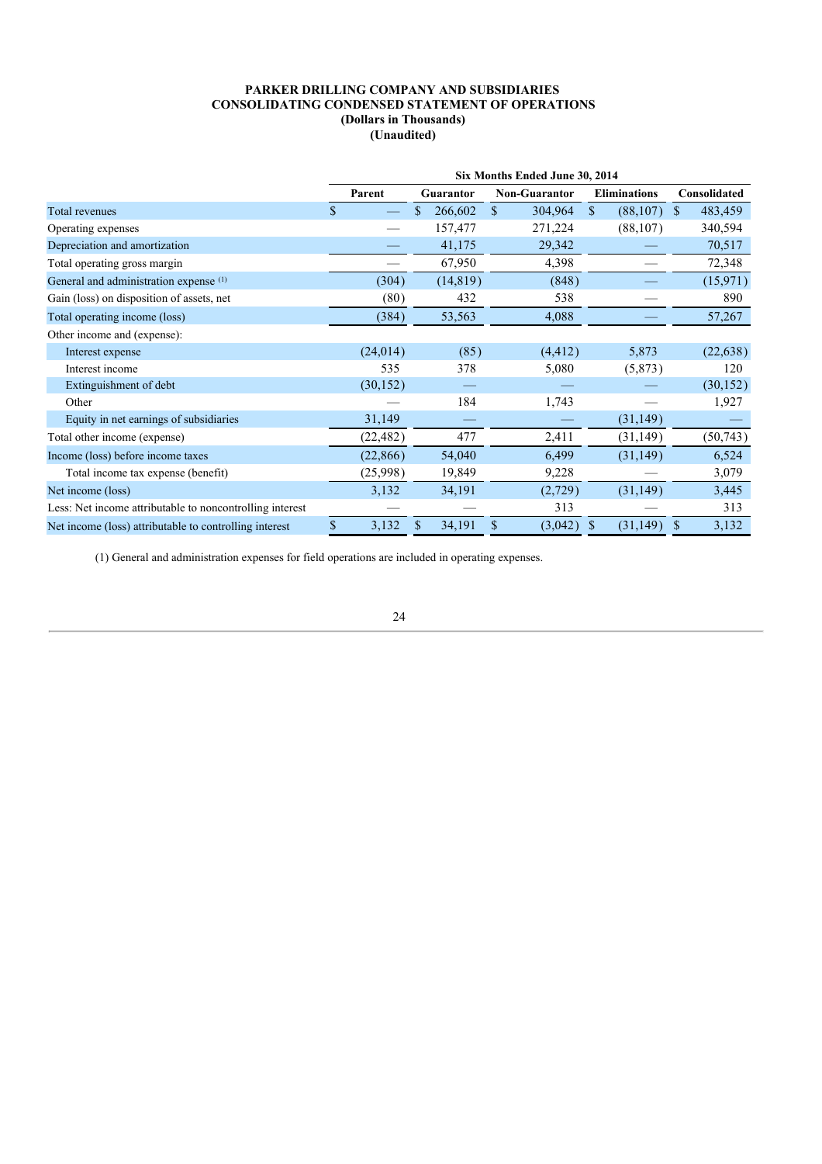|                                                          | Six Months Ended June 30, 2014 |           |   |                  |    |               |    |                     |               |              |  |
|----------------------------------------------------------|--------------------------------|-----------|---|------------------|----|---------------|----|---------------------|---------------|--------------|--|
|                                                          |                                | Parent    |   | <b>Guarantor</b> |    | Non-Guarantor |    | <b>Eliminations</b> |               | Consolidated |  |
| Total revenues                                           | S                              |           |   | 266,602          | \$ | 304,964       | \$ | (88, 107)           | <sup>\$</sup> | 483,459      |  |
| Operating expenses                                       |                                |           |   | 157,477          |    | 271,224       |    | (88, 107)           |               | 340,594      |  |
| Depreciation and amortization                            |                                |           |   | 41,175           |    | 29,342        |    |                     |               | 70,517       |  |
| Total operating gross margin                             |                                |           |   | 67,950           |    | 4,398         |    |                     |               | 72,348       |  |
| General and administration expense (1)                   |                                | (304)     |   | (14, 819)        |    | (848)         |    |                     |               | (15, 971)    |  |
| Gain (loss) on disposition of assets, net                |                                | (80)      |   | 432              |    | 538           |    |                     |               | 890          |  |
| Total operating income (loss)                            |                                | (384)     |   | 53,563           |    | 4,088         |    |                     |               | 57,267       |  |
| Other income and (expense):                              |                                |           |   |                  |    |               |    |                     |               |              |  |
| Interest expense                                         |                                | (24, 014) |   | (85)             |    | (4, 412)      |    | 5,873               |               | (22, 638)    |  |
| Interest income                                          |                                | 535       |   | 378              |    | 5,080         |    | (5,873)             |               | 120          |  |
| Extinguishment of debt                                   |                                | (30, 152) |   |                  |    |               |    |                     |               | (30, 152)    |  |
| Other                                                    |                                |           |   | 184              |    | 1,743         |    |                     |               | 1,927        |  |
| Equity in net earnings of subsidiaries                   |                                | 31,149    |   |                  |    |               |    | (31, 149)           |               |              |  |
| Total other income (expense)                             |                                | (22, 482) |   | 477              |    | 2,411         |    | (31, 149)           |               | (50, 743)    |  |
| Income (loss) before income taxes                        |                                | (22, 866) |   | 54,040           |    | 6,499         |    | (31, 149)           |               | 6,524        |  |
| Total income tax expense (benefit)                       |                                | (25,998)  |   | 19,849           |    | 9,228         |    |                     |               | 3,079        |  |
| Net income (loss)                                        |                                | 3,132     |   | 34,191           |    | (2,729)       |    | (31, 149)           |               | 3,445        |  |
| Less: Net income attributable to noncontrolling interest |                                |           |   |                  |    | 313           |    |                     |               | 313          |  |
| Net income (loss) attributable to controlling interest   | \$                             | 3,132     | S | 34,191           | S  | (3,042)       | S  | (31, 149)           | S             | 3,132        |  |

(1) General and administration expenses for field operations are included in operating expenses.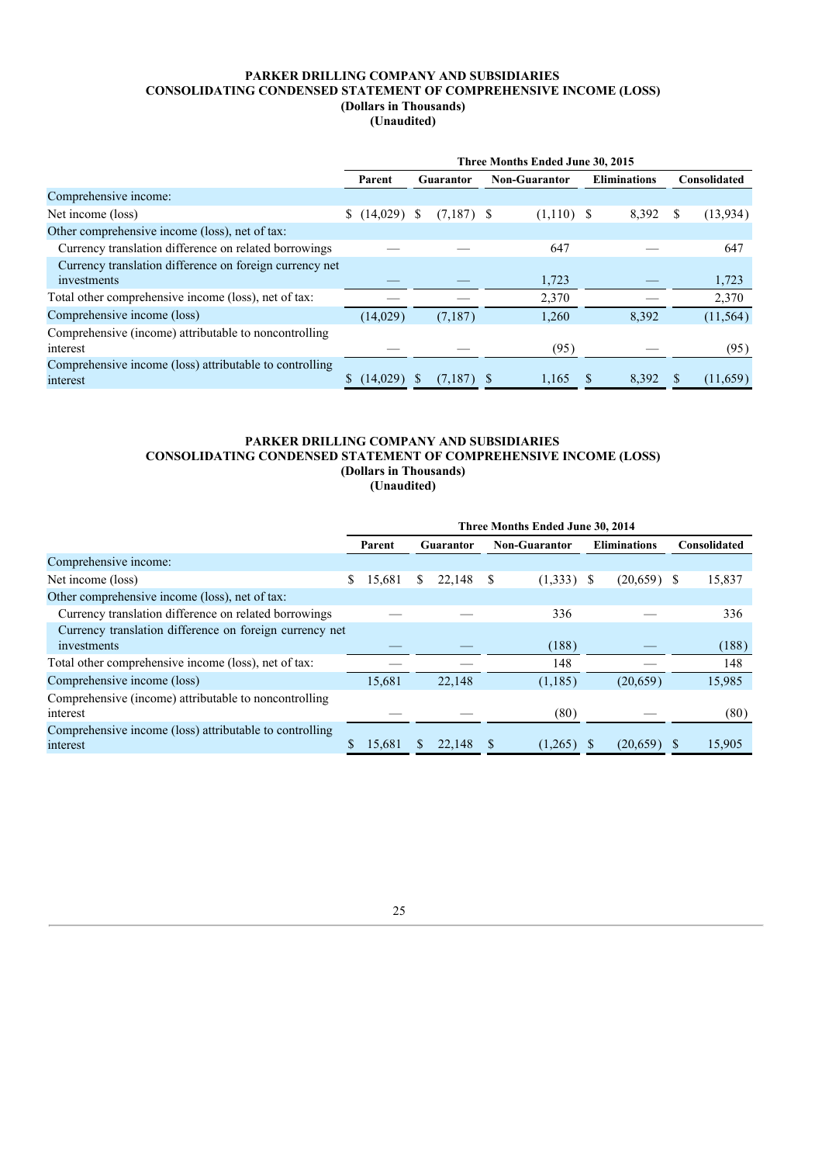## **PARKER DRILLING COMPANY AND SUBSIDIARIES CONSOLIDATING CONDENSED STATEMENT OF COMPREHENSIVE INCOME (LOSS) (Dollars in Thousands)**

**(Unaudited)**

|                                                                     | Three Months Ended June 30, 2015 |          |   |                  |  |               |  |                     |  |              |  |
|---------------------------------------------------------------------|----------------------------------|----------|---|------------------|--|---------------|--|---------------------|--|--------------|--|
|                                                                     |                                  | Parent   |   | <b>Guarantor</b> |  | Non-Guarantor |  | <b>Eliminations</b> |  | Consolidated |  |
| Comprehensive income:                                               |                                  |          |   |                  |  |               |  |                     |  |              |  |
| Net income (loss)                                                   | S.                               | (14,029) | S | $(7,187)$ \$     |  | $(1,110)$ \$  |  | 8,392               |  | (13, 934)    |  |
| Other comprehensive income (loss), net of tax:                      |                                  |          |   |                  |  |               |  |                     |  |              |  |
| Currency translation difference on related borrowings               |                                  |          |   |                  |  | 647           |  |                     |  | 647          |  |
| Currency translation difference on foreign currency net             |                                  |          |   |                  |  |               |  |                     |  |              |  |
| investments                                                         |                                  |          |   |                  |  | 1,723         |  |                     |  | 1,723        |  |
| Total other comprehensive income (loss), net of tax:                |                                  |          |   |                  |  | 2,370         |  |                     |  | 2,370        |  |
| Comprehensive income (loss)                                         |                                  | (14,029) |   | (7,187)          |  | 1,260         |  | 8,392               |  | (11, 564)    |  |
| Comprehensive (income) attributable to noncontrolling<br>interest   |                                  |          |   |                  |  | (95)          |  |                     |  | (95)         |  |
| Comprehensive income (loss) attributable to controlling<br>interest |                                  | (14,029) |   | $(7,187)$ \$     |  | 1,165         |  | 8,392               |  | (11,659)     |  |

## **PARKER DRILLING COMPANY AND SUBSIDIARIES CONSOLIDATING CONDENSED STATEMENT OF COMPREHENSIVE INCOME (LOSS) (Dollars in Thousands) (Unaudited)**

|                                                                        | Three Months Ended June 30, 2014 |        |    |           |   |                      |  |                     |  |              |
|------------------------------------------------------------------------|----------------------------------|--------|----|-----------|---|----------------------|--|---------------------|--|--------------|
|                                                                        |                                  | Parent |    | Guarantor |   | <b>Non-Guarantor</b> |  | <b>Eliminations</b> |  | Consolidated |
| Comprehensive income:                                                  |                                  |        |    |           |   |                      |  |                     |  |              |
| Net income (loss)                                                      | S                                | 15.681 | S. | 22,148    | S | $(1,333)$ \$         |  | $(20,659)$ \$       |  | 15,837       |
| Other comprehensive income (loss), net of tax:                         |                                  |        |    |           |   |                      |  |                     |  |              |
| Currency translation difference on related borrowings                  |                                  |        |    |           |   | 336                  |  |                     |  | 336          |
| Currency translation difference on foreign currency net<br>investments |                                  |        |    |           |   | (188)                |  |                     |  | (188)        |
| Total other comprehensive income (loss), net of tax:                   |                                  |        |    |           |   | 148                  |  |                     |  | 148          |
| Comprehensive income (loss)                                            |                                  | 15,681 |    | 22,148    |   | (1, 185)             |  | (20,659)            |  | 15,985       |
| Comprehensive (income) attributable to noncontrolling<br>interest      |                                  |        |    |           |   | (80)                 |  |                     |  | (80)         |
| Comprehensive income (loss) attributable to controlling<br>interest    | S                                | 15.681 |    | 22,148    |   | (1,265)              |  | $(20,659)$ \$       |  | 15,905       |

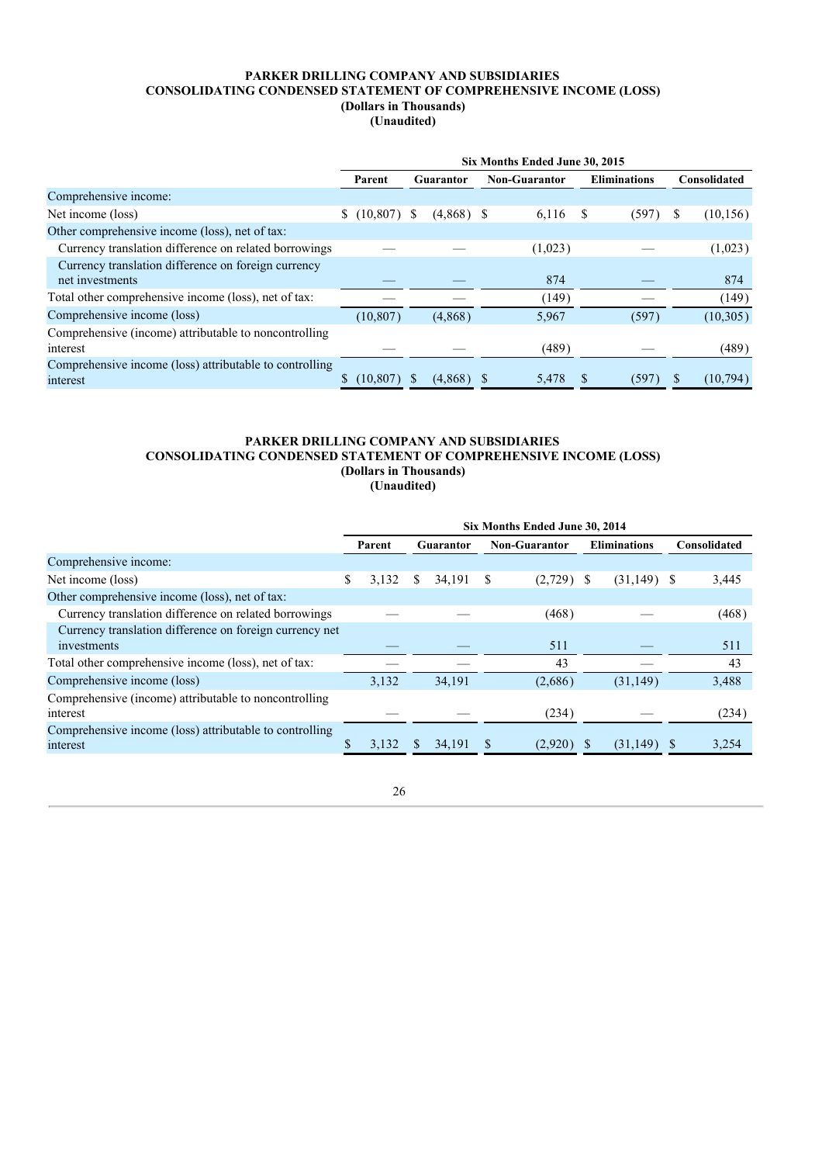## **PARKER DRILLING COMPANY AND SUBSIDIARIES CONSOLIDATING CONDENSED STATEMENT OF COMPREHENSIVE INCOME (LOSS) (Dollars in Thousands)**

**(Unaudited)**

|                                                                     | Six Months Ended June 30, 2015 |           |              |                  |  |                      |   |                     |  |              |
|---------------------------------------------------------------------|--------------------------------|-----------|--------------|------------------|--|----------------------|---|---------------------|--|--------------|
|                                                                     |                                | Parent    |              | <b>Guarantor</b> |  | <b>Non-Guarantor</b> |   | <b>Eliminations</b> |  | Consolidated |
| Comprehensive income:                                               |                                |           |              |                  |  |                      |   |                     |  |              |
| Net income (loss)                                                   | \$                             | (10, 807) | <sup>S</sup> | $(4,868)$ \$     |  | 6,116                | S | (597)               |  | (10, 156)    |
| Other comprehensive income (loss), net of tax:                      |                                |           |              |                  |  |                      |   |                     |  |              |
| Currency translation difference on related borrowings               |                                |           |              |                  |  | (1,023)              |   |                     |  | (1,023)      |
| Currency translation difference on foreign currency                 |                                |           |              |                  |  |                      |   |                     |  |              |
| net investments                                                     |                                |           |              |                  |  | 874                  |   |                     |  | 874          |
| Total other comprehensive income (loss), net of tax:                |                                |           |              |                  |  | (149)                |   |                     |  | (149)        |
| Comprehensive income (loss)                                         |                                | (10, 807) |              | (4,868)          |  | 5,967                |   | (597)               |  | (10, 305)    |
| Comprehensive (income) attributable to noncontrolling               |                                |           |              |                  |  |                      |   |                     |  |              |
| interest                                                            |                                |           |              |                  |  | (489)                |   |                     |  | (489)        |
| Comprehensive income (loss) attributable to controlling<br>interest |                                | (10, 807) |              | (4,868)          |  | 5,478                |   | (597)               |  | (10, 794)    |
|                                                                     |                                |           |              |                  |  |                      |   |                     |  |              |

## **PARKER DRILLING COMPANY AND SUBSIDIARIES CONSOLIDATING CONDENSED STATEMENT OF COMPREHENSIVE INCOME (LOSS) (Dollars in Thousands) (Unaudited)**

|                                                                     | Six Months Ended June 30, 2014 |        |     |                  |  |                      |   |                     |  |              |
|---------------------------------------------------------------------|--------------------------------|--------|-----|------------------|--|----------------------|---|---------------------|--|--------------|
|                                                                     |                                | Parent |     | <b>Guarantor</b> |  | <b>Non-Guarantor</b> |   | <b>Eliminations</b> |  | Consolidated |
| Comprehensive income:                                               |                                |        |     |                  |  |                      |   |                     |  |              |
| Net income (loss)                                                   | \$                             | 3,132  | \$  | 34,191           |  | (2,729)              | S | $(31,149)$ \$       |  | 3,445        |
| Other comprehensive income (loss), net of tax:                      |                                |        |     |                  |  |                      |   |                     |  |              |
| Currency translation difference on related borrowings               |                                |        |     |                  |  | (468)                |   |                     |  | (468)        |
| Currency translation difference on foreign currency net             |                                |        |     |                  |  |                      |   |                     |  |              |
| investments                                                         |                                |        |     |                  |  | 511                  |   |                     |  | 511          |
| Total other comprehensive income (loss), net of tax:                |                                |        |     |                  |  | 43                   |   |                     |  | 43           |
| Comprehensive income (loss)                                         |                                | 3,132  |     | 34,191           |  | (2,686)              |   | (31, 149)           |  | 3,488        |
| Comprehensive (income) attributable to noncontrolling               |                                |        |     |                  |  |                      |   |                     |  |              |
| interest                                                            |                                |        |     |                  |  | (234)                |   |                     |  | (234)        |
| Comprehensive income (loss) attributable to controlling<br>interest |                                | 3,132  | \$. | 34.191           |  | (2,920)              |   | (31, 149)           |  | 3,254        |
|                                                                     |                                |        |     |                  |  |                      |   |                     |  |              |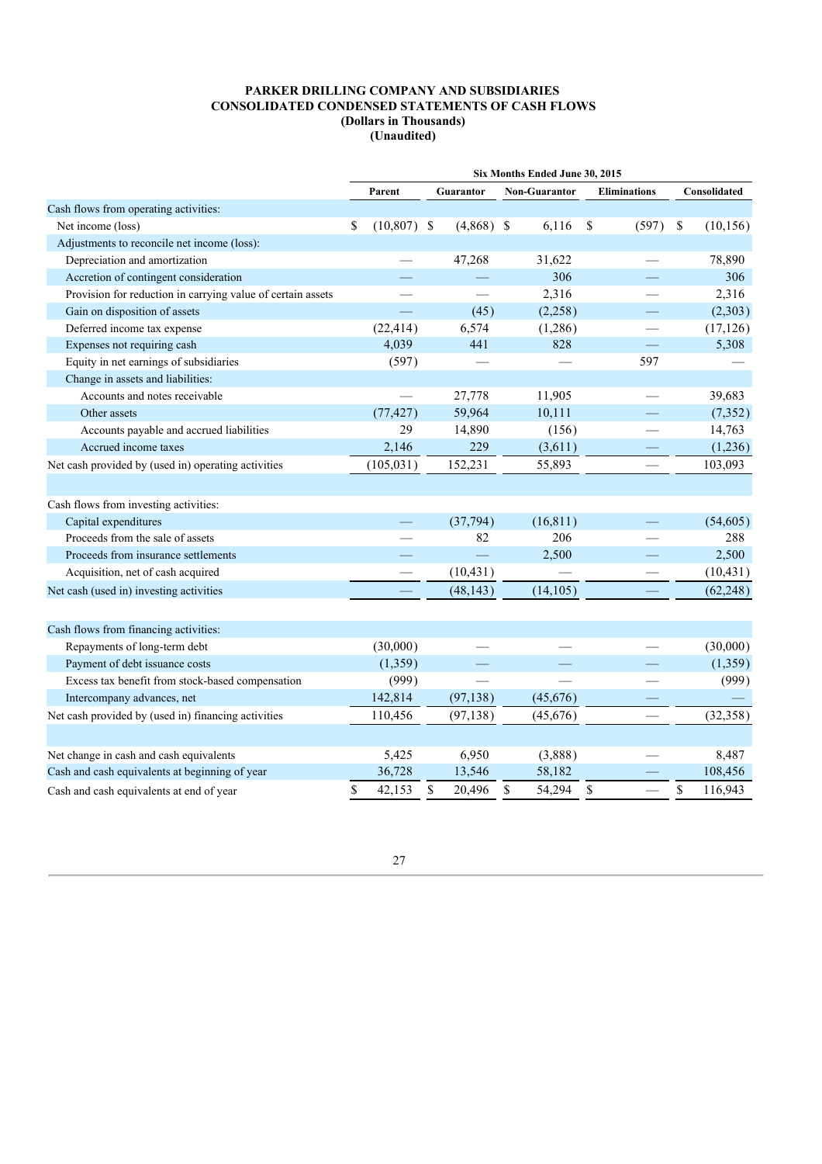| Consolidated<br>Parent<br><b>Non-Guarantor</b><br><b>Eliminations</b><br>Guarantor<br>Cash flows from operating activities:<br><sup>\$</sup><br>$(10, 807)$ \$<br>$(4,868)$ \$<br>\$<br>\$<br>Net income (loss)<br>6,116<br>(597)<br>(10, 156)<br>Adjustments to reconcile net income (loss):<br>78,890<br>Depreciation and amortization<br>47,268<br>31,622<br>306<br>306<br>Accretion of contingent consideration<br>2,316<br>2,316<br>Provision for reduction in carrying value of certain assets<br>Gain on disposition of assets<br>(45)<br>(2,258)<br>(2,303)<br>Deferred income tax expense<br>(22, 414)<br>6,574<br>(1,286)<br>(17, 126)<br>5,308<br>Expenses not requiring cash<br>4,039<br>441<br>828<br>Equity in net earnings of subsidiaries<br>(597)<br>597<br>Change in assets and liabilities:<br>Accounts and notes receivable<br>27,778<br>11,905<br>39,683<br>59,964<br>(77, 427)<br>10,111<br>(7, 352)<br>Other assets<br>29<br>14,890<br>(156)<br>14,763<br>Accounts payable and accrued liabilities<br>229<br>Accrued income taxes<br>2,146<br>(3,611)<br>(1,236)<br>Net cash provided by (used in) operating activities<br>(105, 031)<br>152,231<br>55,893<br>103,093<br>Cash flows from investing activities:<br>(16, 811)<br>Capital expenditures<br>(37, 794)<br>(54, 605)<br>82<br>206<br>Proceeds from the sale of assets<br>288<br>2,500<br>2,500<br>Proceeds from insurance settlements<br>$\equiv$<br>(10, 431)<br>Acquisition, net of cash acquired<br>(10, 431)<br>(48, 143)<br>(14, 105)<br>(62, 248)<br>Net cash (used in) investing activities<br>Cash flows from financing activities:<br>(30,000)<br>(30,000)<br>Repayments of long-term debt<br>Payment of debt issuance costs<br>(1, 359)<br>(1,359)<br>Excess tax benefit from stock-based compensation<br>(999)<br>(999)<br>142,814<br>(97, 138)<br>(45,676)<br>Intercompany advances, net<br>110,456<br>Net cash provided by (used in) financing activities<br>(97, 138)<br>(45, 676)<br>(32, 358)<br>5,425<br>6,950<br>(3,888)<br>Net change in cash and cash equivalents<br>8,487<br>Cash and cash equivalents at beginning of year<br>36,728<br>13,546<br>58,182<br>108,456<br>$\mathbb S$<br>\$<br>\$<br>\$<br>54,294<br>\$<br>116,943<br>42,153<br>20,496<br>Cash and cash equivalents at end of year | Six Months Ended June 30, 2015 |  |  |  |  |  |  |  |  |  |
|-------------------------------------------------------------------------------------------------------------------------------------------------------------------------------------------------------------------------------------------------------------------------------------------------------------------------------------------------------------------------------------------------------------------------------------------------------------------------------------------------------------------------------------------------------------------------------------------------------------------------------------------------------------------------------------------------------------------------------------------------------------------------------------------------------------------------------------------------------------------------------------------------------------------------------------------------------------------------------------------------------------------------------------------------------------------------------------------------------------------------------------------------------------------------------------------------------------------------------------------------------------------------------------------------------------------------------------------------------------------------------------------------------------------------------------------------------------------------------------------------------------------------------------------------------------------------------------------------------------------------------------------------------------------------------------------------------------------------------------------------------------------------------------------------------------------------------------------------------------------------------------------------------------------------------------------------------------------------------------------------------------------------------------------------------------------------------------------------------------------------------------------------------------------------------------------------------------------------------------------------------------------------------------------------------|--------------------------------|--|--|--|--|--|--|--|--|--|
|                                                                                                                                                                                                                                                                                                                                                                                                                                                                                                                                                                                                                                                                                                                                                                                                                                                                                                                                                                                                                                                                                                                                                                                                                                                                                                                                                                                                                                                                                                                                                                                                                                                                                                                                                                                                                                                                                                                                                                                                                                                                                                                                                                                                                                                                                                       |                                |  |  |  |  |  |  |  |  |  |
|                                                                                                                                                                                                                                                                                                                                                                                                                                                                                                                                                                                                                                                                                                                                                                                                                                                                                                                                                                                                                                                                                                                                                                                                                                                                                                                                                                                                                                                                                                                                                                                                                                                                                                                                                                                                                                                                                                                                                                                                                                                                                                                                                                                                                                                                                                       |                                |  |  |  |  |  |  |  |  |  |
|                                                                                                                                                                                                                                                                                                                                                                                                                                                                                                                                                                                                                                                                                                                                                                                                                                                                                                                                                                                                                                                                                                                                                                                                                                                                                                                                                                                                                                                                                                                                                                                                                                                                                                                                                                                                                                                                                                                                                                                                                                                                                                                                                                                                                                                                                                       |                                |  |  |  |  |  |  |  |  |  |
|                                                                                                                                                                                                                                                                                                                                                                                                                                                                                                                                                                                                                                                                                                                                                                                                                                                                                                                                                                                                                                                                                                                                                                                                                                                                                                                                                                                                                                                                                                                                                                                                                                                                                                                                                                                                                                                                                                                                                                                                                                                                                                                                                                                                                                                                                                       |                                |  |  |  |  |  |  |  |  |  |
|                                                                                                                                                                                                                                                                                                                                                                                                                                                                                                                                                                                                                                                                                                                                                                                                                                                                                                                                                                                                                                                                                                                                                                                                                                                                                                                                                                                                                                                                                                                                                                                                                                                                                                                                                                                                                                                                                                                                                                                                                                                                                                                                                                                                                                                                                                       |                                |  |  |  |  |  |  |  |  |  |
|                                                                                                                                                                                                                                                                                                                                                                                                                                                                                                                                                                                                                                                                                                                                                                                                                                                                                                                                                                                                                                                                                                                                                                                                                                                                                                                                                                                                                                                                                                                                                                                                                                                                                                                                                                                                                                                                                                                                                                                                                                                                                                                                                                                                                                                                                                       |                                |  |  |  |  |  |  |  |  |  |
|                                                                                                                                                                                                                                                                                                                                                                                                                                                                                                                                                                                                                                                                                                                                                                                                                                                                                                                                                                                                                                                                                                                                                                                                                                                                                                                                                                                                                                                                                                                                                                                                                                                                                                                                                                                                                                                                                                                                                                                                                                                                                                                                                                                                                                                                                                       |                                |  |  |  |  |  |  |  |  |  |
|                                                                                                                                                                                                                                                                                                                                                                                                                                                                                                                                                                                                                                                                                                                                                                                                                                                                                                                                                                                                                                                                                                                                                                                                                                                                                                                                                                                                                                                                                                                                                                                                                                                                                                                                                                                                                                                                                                                                                                                                                                                                                                                                                                                                                                                                                                       |                                |  |  |  |  |  |  |  |  |  |
|                                                                                                                                                                                                                                                                                                                                                                                                                                                                                                                                                                                                                                                                                                                                                                                                                                                                                                                                                                                                                                                                                                                                                                                                                                                                                                                                                                                                                                                                                                                                                                                                                                                                                                                                                                                                                                                                                                                                                                                                                                                                                                                                                                                                                                                                                                       |                                |  |  |  |  |  |  |  |  |  |
|                                                                                                                                                                                                                                                                                                                                                                                                                                                                                                                                                                                                                                                                                                                                                                                                                                                                                                                                                                                                                                                                                                                                                                                                                                                                                                                                                                                                                                                                                                                                                                                                                                                                                                                                                                                                                                                                                                                                                                                                                                                                                                                                                                                                                                                                                                       |                                |  |  |  |  |  |  |  |  |  |
|                                                                                                                                                                                                                                                                                                                                                                                                                                                                                                                                                                                                                                                                                                                                                                                                                                                                                                                                                                                                                                                                                                                                                                                                                                                                                                                                                                                                                                                                                                                                                                                                                                                                                                                                                                                                                                                                                                                                                                                                                                                                                                                                                                                                                                                                                                       |                                |  |  |  |  |  |  |  |  |  |
|                                                                                                                                                                                                                                                                                                                                                                                                                                                                                                                                                                                                                                                                                                                                                                                                                                                                                                                                                                                                                                                                                                                                                                                                                                                                                                                                                                                                                                                                                                                                                                                                                                                                                                                                                                                                                                                                                                                                                                                                                                                                                                                                                                                                                                                                                                       |                                |  |  |  |  |  |  |  |  |  |
|                                                                                                                                                                                                                                                                                                                                                                                                                                                                                                                                                                                                                                                                                                                                                                                                                                                                                                                                                                                                                                                                                                                                                                                                                                                                                                                                                                                                                                                                                                                                                                                                                                                                                                                                                                                                                                                                                                                                                                                                                                                                                                                                                                                                                                                                                                       |                                |  |  |  |  |  |  |  |  |  |
|                                                                                                                                                                                                                                                                                                                                                                                                                                                                                                                                                                                                                                                                                                                                                                                                                                                                                                                                                                                                                                                                                                                                                                                                                                                                                                                                                                                                                                                                                                                                                                                                                                                                                                                                                                                                                                                                                                                                                                                                                                                                                                                                                                                                                                                                                                       |                                |  |  |  |  |  |  |  |  |  |
|                                                                                                                                                                                                                                                                                                                                                                                                                                                                                                                                                                                                                                                                                                                                                                                                                                                                                                                                                                                                                                                                                                                                                                                                                                                                                                                                                                                                                                                                                                                                                                                                                                                                                                                                                                                                                                                                                                                                                                                                                                                                                                                                                                                                                                                                                                       |                                |  |  |  |  |  |  |  |  |  |
|                                                                                                                                                                                                                                                                                                                                                                                                                                                                                                                                                                                                                                                                                                                                                                                                                                                                                                                                                                                                                                                                                                                                                                                                                                                                                                                                                                                                                                                                                                                                                                                                                                                                                                                                                                                                                                                                                                                                                                                                                                                                                                                                                                                                                                                                                                       |                                |  |  |  |  |  |  |  |  |  |
|                                                                                                                                                                                                                                                                                                                                                                                                                                                                                                                                                                                                                                                                                                                                                                                                                                                                                                                                                                                                                                                                                                                                                                                                                                                                                                                                                                                                                                                                                                                                                                                                                                                                                                                                                                                                                                                                                                                                                                                                                                                                                                                                                                                                                                                                                                       |                                |  |  |  |  |  |  |  |  |  |
|                                                                                                                                                                                                                                                                                                                                                                                                                                                                                                                                                                                                                                                                                                                                                                                                                                                                                                                                                                                                                                                                                                                                                                                                                                                                                                                                                                                                                                                                                                                                                                                                                                                                                                                                                                                                                                                                                                                                                                                                                                                                                                                                                                                                                                                                                                       |                                |  |  |  |  |  |  |  |  |  |
|                                                                                                                                                                                                                                                                                                                                                                                                                                                                                                                                                                                                                                                                                                                                                                                                                                                                                                                                                                                                                                                                                                                                                                                                                                                                                                                                                                                                                                                                                                                                                                                                                                                                                                                                                                                                                                                                                                                                                                                                                                                                                                                                                                                                                                                                                                       |                                |  |  |  |  |  |  |  |  |  |
|                                                                                                                                                                                                                                                                                                                                                                                                                                                                                                                                                                                                                                                                                                                                                                                                                                                                                                                                                                                                                                                                                                                                                                                                                                                                                                                                                                                                                                                                                                                                                                                                                                                                                                                                                                                                                                                                                                                                                                                                                                                                                                                                                                                                                                                                                                       |                                |  |  |  |  |  |  |  |  |  |
|                                                                                                                                                                                                                                                                                                                                                                                                                                                                                                                                                                                                                                                                                                                                                                                                                                                                                                                                                                                                                                                                                                                                                                                                                                                                                                                                                                                                                                                                                                                                                                                                                                                                                                                                                                                                                                                                                                                                                                                                                                                                                                                                                                                                                                                                                                       |                                |  |  |  |  |  |  |  |  |  |
|                                                                                                                                                                                                                                                                                                                                                                                                                                                                                                                                                                                                                                                                                                                                                                                                                                                                                                                                                                                                                                                                                                                                                                                                                                                                                                                                                                                                                                                                                                                                                                                                                                                                                                                                                                                                                                                                                                                                                                                                                                                                                                                                                                                                                                                                                                       |                                |  |  |  |  |  |  |  |  |  |
|                                                                                                                                                                                                                                                                                                                                                                                                                                                                                                                                                                                                                                                                                                                                                                                                                                                                                                                                                                                                                                                                                                                                                                                                                                                                                                                                                                                                                                                                                                                                                                                                                                                                                                                                                                                                                                                                                                                                                                                                                                                                                                                                                                                                                                                                                                       |                                |  |  |  |  |  |  |  |  |  |
|                                                                                                                                                                                                                                                                                                                                                                                                                                                                                                                                                                                                                                                                                                                                                                                                                                                                                                                                                                                                                                                                                                                                                                                                                                                                                                                                                                                                                                                                                                                                                                                                                                                                                                                                                                                                                                                                                                                                                                                                                                                                                                                                                                                                                                                                                                       |                                |  |  |  |  |  |  |  |  |  |
|                                                                                                                                                                                                                                                                                                                                                                                                                                                                                                                                                                                                                                                                                                                                                                                                                                                                                                                                                                                                                                                                                                                                                                                                                                                                                                                                                                                                                                                                                                                                                                                                                                                                                                                                                                                                                                                                                                                                                                                                                                                                                                                                                                                                                                                                                                       |                                |  |  |  |  |  |  |  |  |  |
|                                                                                                                                                                                                                                                                                                                                                                                                                                                                                                                                                                                                                                                                                                                                                                                                                                                                                                                                                                                                                                                                                                                                                                                                                                                                                                                                                                                                                                                                                                                                                                                                                                                                                                                                                                                                                                                                                                                                                                                                                                                                                                                                                                                                                                                                                                       |                                |  |  |  |  |  |  |  |  |  |
|                                                                                                                                                                                                                                                                                                                                                                                                                                                                                                                                                                                                                                                                                                                                                                                                                                                                                                                                                                                                                                                                                                                                                                                                                                                                                                                                                                                                                                                                                                                                                                                                                                                                                                                                                                                                                                                                                                                                                                                                                                                                                                                                                                                                                                                                                                       |                                |  |  |  |  |  |  |  |  |  |
|                                                                                                                                                                                                                                                                                                                                                                                                                                                                                                                                                                                                                                                                                                                                                                                                                                                                                                                                                                                                                                                                                                                                                                                                                                                                                                                                                                                                                                                                                                                                                                                                                                                                                                                                                                                                                                                                                                                                                                                                                                                                                                                                                                                                                                                                                                       |                                |  |  |  |  |  |  |  |  |  |
|                                                                                                                                                                                                                                                                                                                                                                                                                                                                                                                                                                                                                                                                                                                                                                                                                                                                                                                                                                                                                                                                                                                                                                                                                                                                                                                                                                                                                                                                                                                                                                                                                                                                                                                                                                                                                                                                                                                                                                                                                                                                                                                                                                                                                                                                                                       |                                |  |  |  |  |  |  |  |  |  |
|                                                                                                                                                                                                                                                                                                                                                                                                                                                                                                                                                                                                                                                                                                                                                                                                                                                                                                                                                                                                                                                                                                                                                                                                                                                                                                                                                                                                                                                                                                                                                                                                                                                                                                                                                                                                                                                                                                                                                                                                                                                                                                                                                                                                                                                                                                       |                                |  |  |  |  |  |  |  |  |  |
|                                                                                                                                                                                                                                                                                                                                                                                                                                                                                                                                                                                                                                                                                                                                                                                                                                                                                                                                                                                                                                                                                                                                                                                                                                                                                                                                                                                                                                                                                                                                                                                                                                                                                                                                                                                                                                                                                                                                                                                                                                                                                                                                                                                                                                                                                                       |                                |  |  |  |  |  |  |  |  |  |
|                                                                                                                                                                                                                                                                                                                                                                                                                                                                                                                                                                                                                                                                                                                                                                                                                                                                                                                                                                                                                                                                                                                                                                                                                                                                                                                                                                                                                                                                                                                                                                                                                                                                                                                                                                                                                                                                                                                                                                                                                                                                                                                                                                                                                                                                                                       |                                |  |  |  |  |  |  |  |  |  |
|                                                                                                                                                                                                                                                                                                                                                                                                                                                                                                                                                                                                                                                                                                                                                                                                                                                                                                                                                                                                                                                                                                                                                                                                                                                                                                                                                                                                                                                                                                                                                                                                                                                                                                                                                                                                                                                                                                                                                                                                                                                                                                                                                                                                                                                                                                       |                                |  |  |  |  |  |  |  |  |  |
|                                                                                                                                                                                                                                                                                                                                                                                                                                                                                                                                                                                                                                                                                                                                                                                                                                                                                                                                                                                                                                                                                                                                                                                                                                                                                                                                                                                                                                                                                                                                                                                                                                                                                                                                                                                                                                                                                                                                                                                                                                                                                                                                                                                                                                                                                                       |                                |  |  |  |  |  |  |  |  |  |
|                                                                                                                                                                                                                                                                                                                                                                                                                                                                                                                                                                                                                                                                                                                                                                                                                                                                                                                                                                                                                                                                                                                                                                                                                                                                                                                                                                                                                                                                                                                                                                                                                                                                                                                                                                                                                                                                                                                                                                                                                                                                                                                                                                                                                                                                                                       |                                |  |  |  |  |  |  |  |  |  |
|                                                                                                                                                                                                                                                                                                                                                                                                                                                                                                                                                                                                                                                                                                                                                                                                                                                                                                                                                                                                                                                                                                                                                                                                                                                                                                                                                                                                                                                                                                                                                                                                                                                                                                                                                                                                                                                                                                                                                                                                                                                                                                                                                                                                                                                                                                       |                                |  |  |  |  |  |  |  |  |  |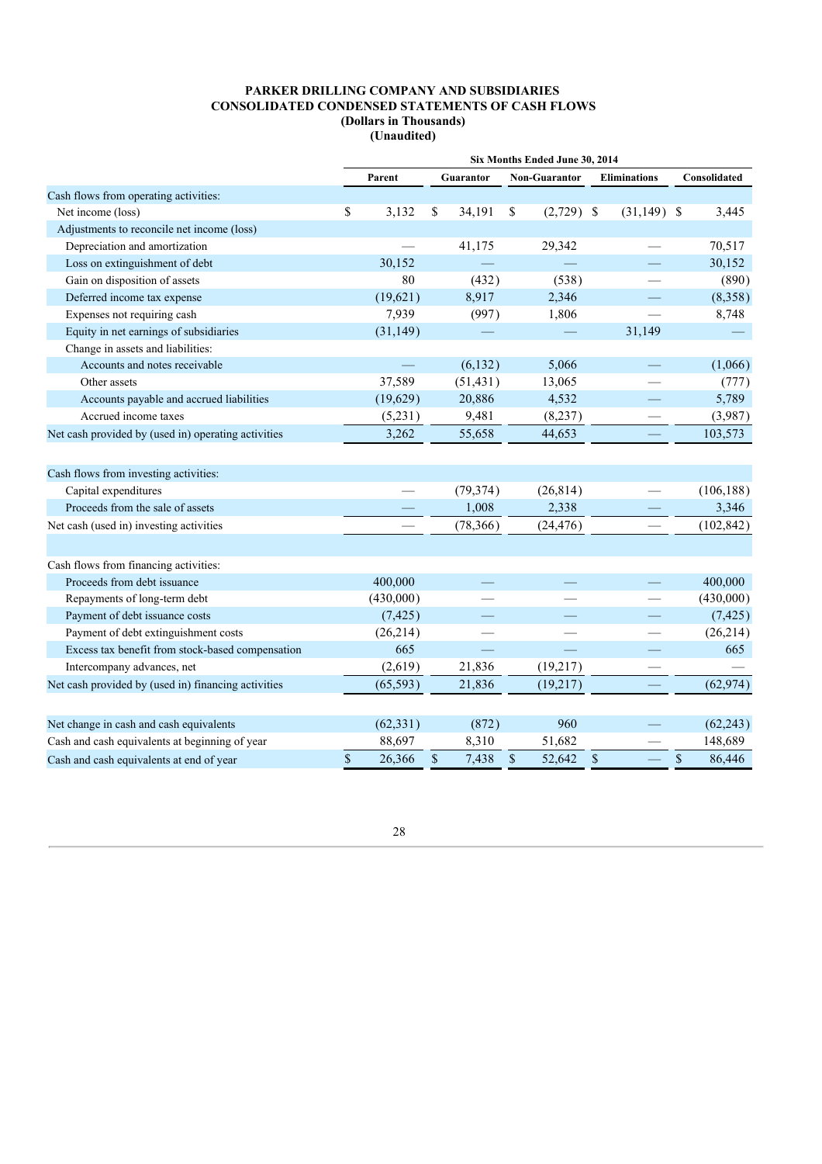|                                                     | Six Months Ended June 30, 2014 |           |    |                  |                                     |      |                     |              |  |
|-----------------------------------------------------|--------------------------------|-----------|----|------------------|-------------------------------------|------|---------------------|--------------|--|
|                                                     |                                | Parent    |    | <b>Guarantor</b> | <b>Non-Guarantor</b>                |      | <b>Eliminations</b> | Consolidated |  |
| Cash flows from operating activities:               |                                |           |    |                  |                                     |      |                     |              |  |
| Net income (loss)                                   | \$                             | 3,132     | \$ | 34,191           | \$<br>$(2,729)$ \$                  |      | $(31,149)$ \$       | 3,445        |  |
| Adjustments to reconcile net income (loss)          |                                |           |    |                  |                                     |      |                     |              |  |
| Depreciation and amortization                       |                                |           |    | 41,175           | 29,342                              |      |                     | 70,517       |  |
| Loss on extinguishment of debt                      |                                | 30,152    |    |                  |                                     |      |                     | 30,152       |  |
| Gain on disposition of assets                       |                                | 80        |    | (432)            | (538)                               |      |                     | (890)        |  |
| Deferred income tax expense                         |                                | (19,621)  |    | 8,917            | 2,346                               |      |                     | (8,358)      |  |
| Expenses not requiring cash                         |                                | 7,939     |    | (997)            | 1,806                               |      |                     | 8,748        |  |
| Equity in net earnings of subsidiaries              |                                | (31, 149) |    |                  |                                     |      | 31,149              |              |  |
| Change in assets and liabilities:                   |                                |           |    |                  |                                     |      |                     |              |  |
| Accounts and notes receivable                       |                                |           |    | (6, 132)         | 5,066                               |      |                     | (1,066)      |  |
| Other assets                                        |                                | 37,589    |    | (51, 431)        | 13,065                              |      |                     | (777)        |  |
| Accounts payable and accrued liabilities            |                                | (19,629)  |    | 20,886           | 4,532                               |      | ٠                   | 5,789        |  |
| Accrued income taxes                                |                                | (5,231)   |    | 9,481            | (8,237)                             |      |                     | (3,987)      |  |
| Net cash provided by (used in) operating activities |                                | 3,262     |    | 55,658           | 44,653                              |      |                     | 103,573      |  |
|                                                     |                                |           |    |                  |                                     |      |                     |              |  |
| Cash flows from investing activities:               |                                |           |    |                  |                                     |      |                     |              |  |
| Capital expenditures                                |                                |           |    | (79, 374)        | (26, 814)                           |      |                     | (106, 188)   |  |
| Proceeds from the sale of assets                    |                                |           |    | 1,008            | 2,338                               |      |                     | 3,346        |  |
| Net cash (used in) investing activities             |                                |           |    | (78, 366)        | (24, 476)                           |      |                     | (102, 842)   |  |
|                                                     |                                |           |    |                  |                                     |      |                     |              |  |
| Cash flows from financing activities:               |                                |           |    |                  |                                     |      |                     |              |  |
| Proceeds from debt issuance                         |                                | 400,000   |    |                  |                                     |      |                     | 400,000      |  |
| Repayments of long-term debt                        |                                | (430,000) |    |                  |                                     |      |                     | (430,000)    |  |
| Payment of debt issuance costs                      |                                | (7, 425)  |    |                  |                                     |      |                     | (7, 425)     |  |
| Payment of debt extinguishment costs                |                                | (26,214)  |    |                  |                                     |      |                     | (26, 214)    |  |
| Excess tax benefit from stock-based compensation    |                                | 665       |    |                  |                                     |      |                     | 665          |  |
| Intercompany advances, net                          |                                | (2,619)   |    | 21,836           | (19,217)                            |      |                     |              |  |
| Net cash provided by (used in) financing activities |                                | (65, 593) |    | 21,836           | (19,217)                            |      |                     | (62, 974)    |  |
|                                                     |                                |           |    |                  |                                     |      |                     |              |  |
| Net change in cash and cash equivalents             |                                | (62, 331) |    | (872)            | 960                                 |      |                     | (62, 243)    |  |
| Cash and cash equivalents at beginning of year      |                                | 88,697    |    | 8,310            | 51,682                              |      |                     | 148,689      |  |
| Cash and cash equivalents at end of year            | \$                             | 26,366    | \$ | 7,438            | $\boldsymbol{\mathsf{S}}$<br>52,642 | $\$$ |                     | \$<br>86,446 |  |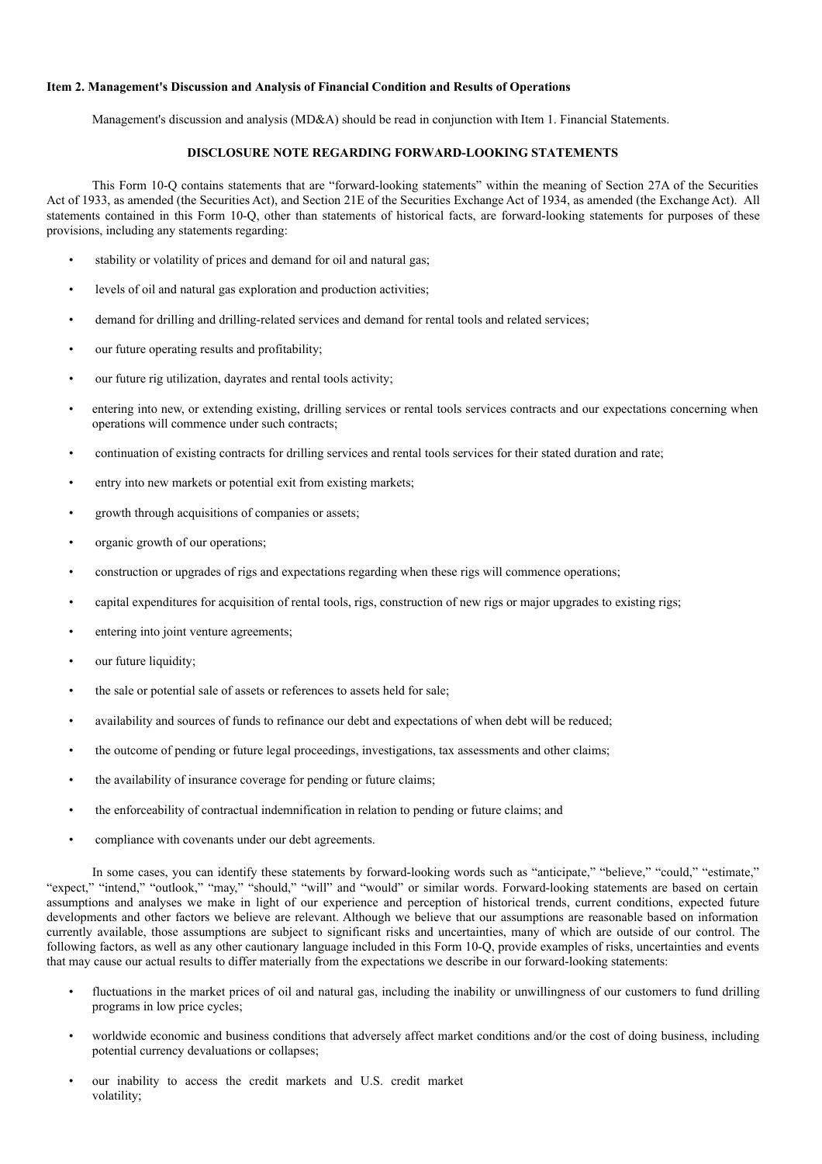## **Item 2. Management's Discussion and Analysis of Financial Condition and Results of Operations**

Management's discussion and analysis (MD&A) should be read in conjunction with Item 1. Financial Statements.

## **DISCLOSURE NOTE REGARDING FORWARD-LOOKING STATEMENTS**

This Form 10-Q contains statements that are "forward-looking statements" within the meaning of Section 27A of the Securities Act of 1933, as amended (the Securities Act), and Section 21E of the Securities Exchange Act of 1934, as amended (the Exchange Act). All statements contained in this Form 10-Q, other than statements of historical facts, are forward-looking statements for purposes of these provisions, including any statements regarding:

- stability or volatility of prices and demand for oil and natural gas;
- levels of oil and natural gas exploration and production activities;
- demand for drilling and drilling-related services and demand for rental tools and related services;
- our future operating results and profitability;
- our future rig utilization, dayrates and rental tools activity;
- entering into new, or extending existing, drilling services or rental tools services contracts and our expectations concerning when operations will commence under such contracts;
- continuation of existing contracts for drilling services and rental tools services for their stated duration and rate;
- entry into new markets or potential exit from existing markets;
- growth through acquisitions of companies or assets;
- organic growth of our operations;
- construction or upgrades of rigs and expectations regarding when these rigs will commence operations;
- capital expenditures for acquisition of rental tools, rigs, construction of new rigs or major upgrades to existing rigs;
- entering into joint venture agreements;
- our future liquidity;
- the sale or potential sale of assets or references to assets held for sale;
- availability and sources of funds to refinance our debt and expectations of when debt will be reduced;
- the outcome of pending or future legal proceedings, investigations, tax assessments and other claims;
- the availability of insurance coverage for pending or future claims;
- the enforceability of contractual indemnification in relation to pending or future claims; and
- compliance with covenants under our debt agreements.

In some cases, you can identify these statements by forward-looking words such as "anticipate," "believe," "could," "estimate," "expect," "intend," "outlook," "may," "should," "will" and "would" or similar words. Forward-looking statements are based on certain assumptions and analyses we make in light of our experience and perception of historical trends, current conditions, expected future developments and other factors we believe are relevant. Although we believe that our assumptions are reasonable based on information currently available, those assumptions are subject to significant risks and uncertainties, many of which are outside of our control. The following factors, as well as any other cautionary language included in this Form 10-Q, provide examples of risks, uncertainties and events that may cause our actual results to differ materially from the expectations we describe in our forward-looking statements:

- fluctuations in the market prices of oil and natural gas, including the inability or unwillingness of our customers to fund drilling programs in low price cycles;
- worldwide economic and business conditions that adversely affect market conditions and/or the cost of doing business, including potential currency devaluations or collapses;
- our inability to access the credit markets and U.S. credit market volatility;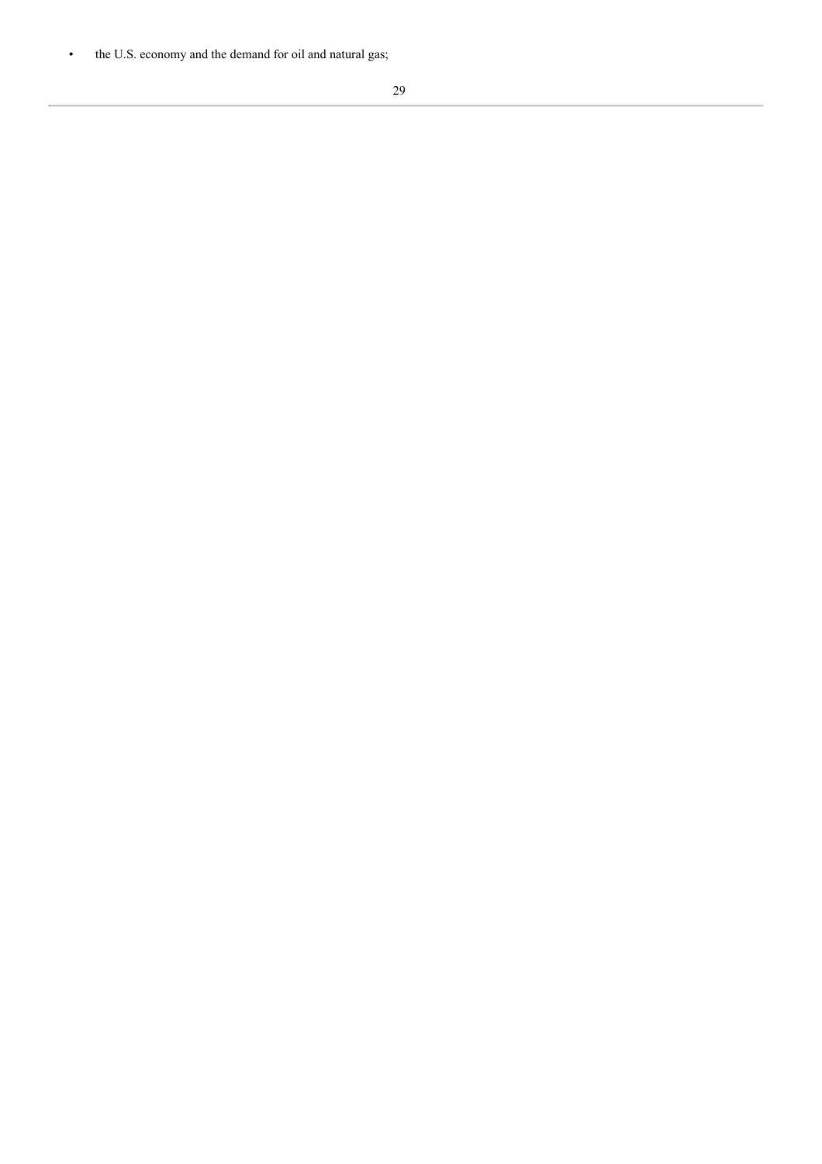• the U.S. economy and the demand for oil and natural gas;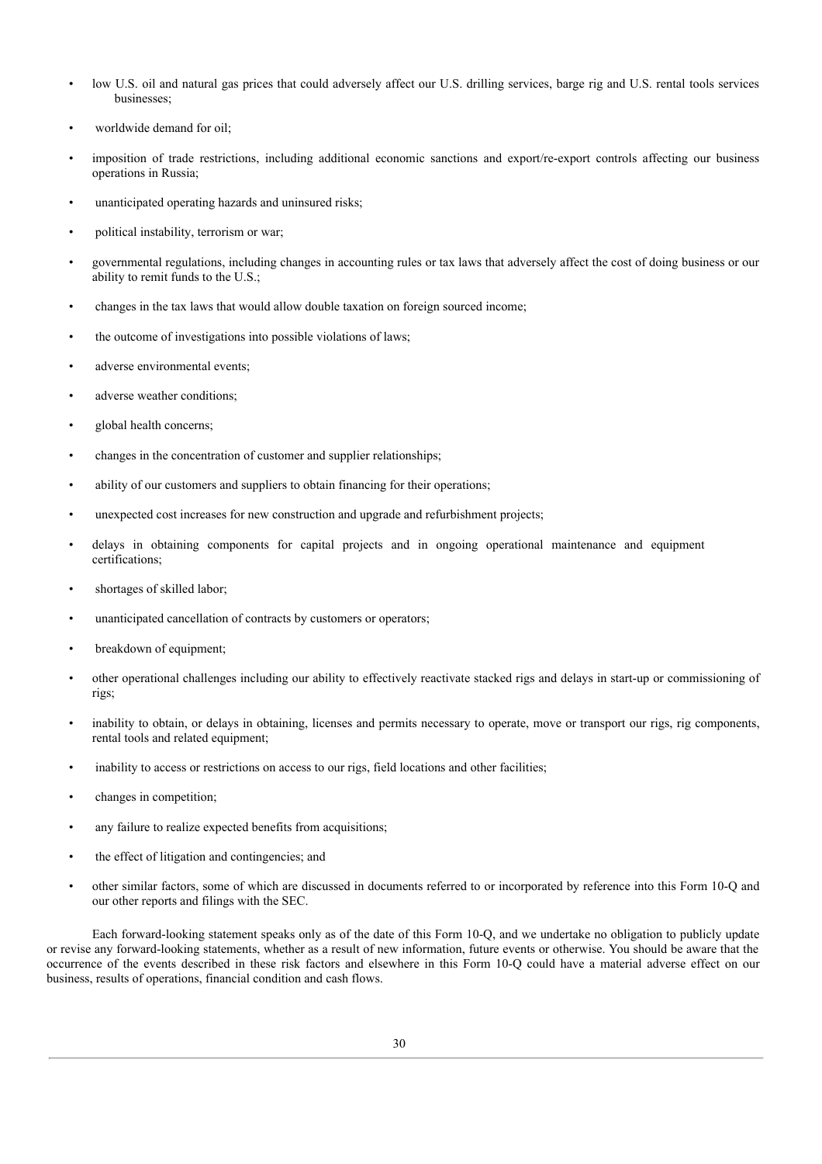- low U.S. oil and natural gas prices that could adversely affect our U.S. drilling services, barge rig and U.S. rental tools services businesses;
- worldwide demand for oil;
- imposition of trade restrictions, including additional economic sanctions and export/re-export controls affecting our business operations in Russia;
- unanticipated operating hazards and uninsured risks;
- political instability, terrorism or war;
- governmental regulations, including changes in accounting rules or tax laws that adversely affect the cost of doing business or our ability to remit funds to the U.S.;
- changes in the tax laws that would allow double taxation on foreign sourced income;
- the outcome of investigations into possible violations of laws;
- adverse environmental events:
- adverse weather conditions;
- global health concerns;
- changes in the concentration of customer and supplier relationships;
- ability of our customers and suppliers to obtain financing for their operations;
- unexpected cost increases for new construction and upgrade and refurbishment projects;
- delays in obtaining components for capital projects and in ongoing operational maintenance and equipment certifications;
- shortages of skilled labor;
- unanticipated cancellation of contracts by customers or operators;
- breakdown of equipment;
- other operational challenges including our ability to effectively reactivate stacked rigs and delays in start-up or commissioning of rigs;
- inability to obtain, or delays in obtaining, licenses and permits necessary to operate, move or transport our rigs, rig components, rental tools and related equipment;
- inability to access or restrictions on access to our rigs, field locations and other facilities;
- changes in competition;
- any failure to realize expected benefits from acquisitions;
- the effect of litigation and contingencies; and
- other similar factors, some of which are discussed in documents referred to or incorporated by reference into this Form 10-Q and our other reports and filings with the SEC.

Each forward-looking statement speaks only as of the date of this Form 10-Q, and we undertake no obligation to publicly update or revise any forward-looking statements, whether as a result of new information, future events or otherwise. You should be aware that the occurrence of the events described in these risk factors and elsewhere in this Form 10-Q could have a material adverse effect on our business, results of operations, financial condition and cash flows.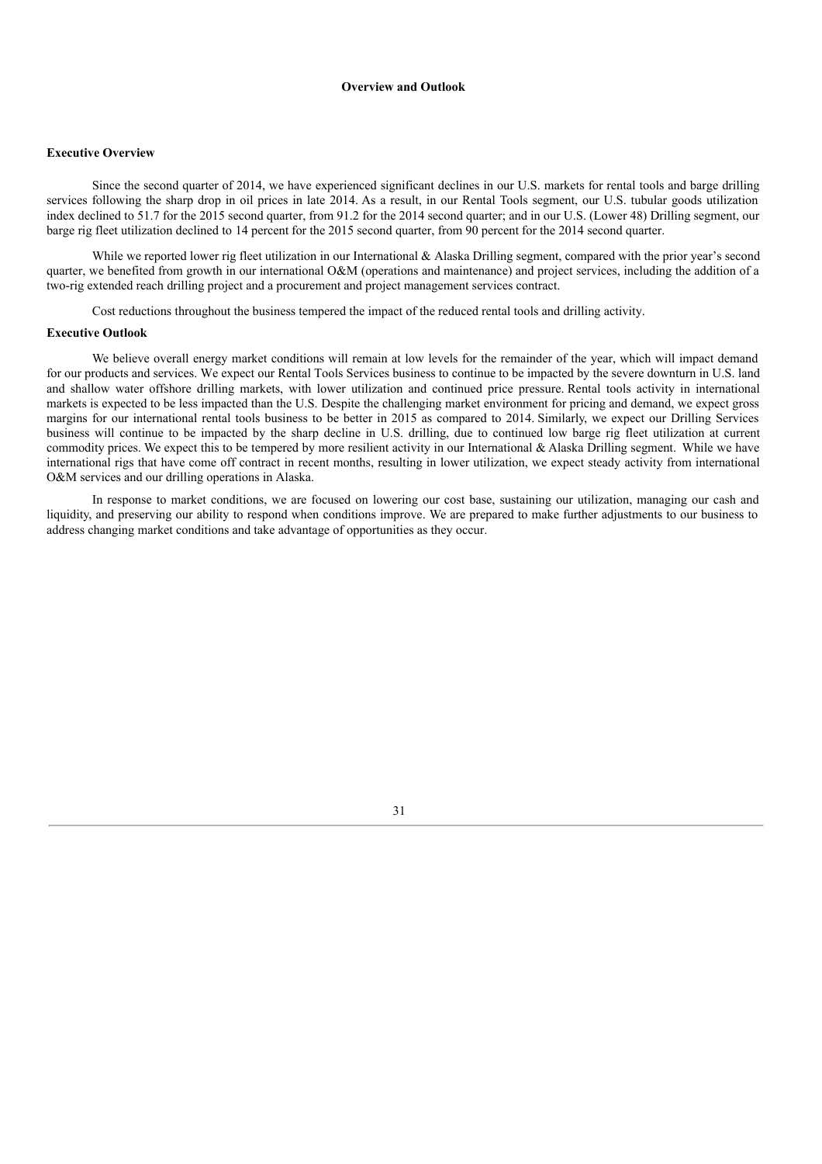## **Overview and Outlook**

#### **Executive Overview**

Since the second quarter of 2014, we have experienced significant declines in our U.S. markets for rental tools and barge drilling services following the sharp drop in oil prices in late 2014. As a result, in our Rental Tools segment, our U.S. tubular goods utilization index declined to 51.7 for the 2015 second quarter, from 91.2 for the 2014 second quarter; and in our U.S. (Lower 48) Drilling segment, our barge rig fleet utilization declined to 14 percent for the 2015 second quarter, from 90 percent for the 2014 second quarter.

While we reported lower rig fleet utilization in our International & Alaska Drilling segment, compared with the prior year's second quarter, we benefited from growth in our international O&M (operations and maintenance) and project services, including the addition of a two-rig extended reach drilling project and a procurement and project management services contract.

Cost reductions throughout the business tempered the impact of the reduced rental tools and drilling activity.

#### **Executive Outlook**

We believe overall energy market conditions will remain at low levels for the remainder of the year, which will impact demand for our products and services. We expect our Rental Tools Services business to continue to be impacted by the severe downturn in U.S. land and shallow water offshore drilling markets, with lower utilization and continued price pressure. Rental tools activity in international markets is expected to be less impacted than the U.S. Despite the challenging market environment for pricing and demand, we expect gross margins for our international rental tools business to be better in 2015 as compared to 2014. Similarly, we expect our Drilling Services business will continue to be impacted by the sharp decline in U.S. drilling, due to continued low barge rig fleet utilization at current commodity prices. We expect this to be tempered by more resilient activity in our International & Alaska Drilling segment. While we have international rigs that have come off contract in recent months, resulting in lower utilization, we expect steady activity from international O&M services and our drilling operations in Alaska.

In response to market conditions, we are focused on lowering our cost base, sustaining our utilization, managing our cash and liquidity, and preserving our ability to respond when conditions improve. We are prepared to make further adjustments to our business to address changing market conditions and take advantage of opportunities as they occur.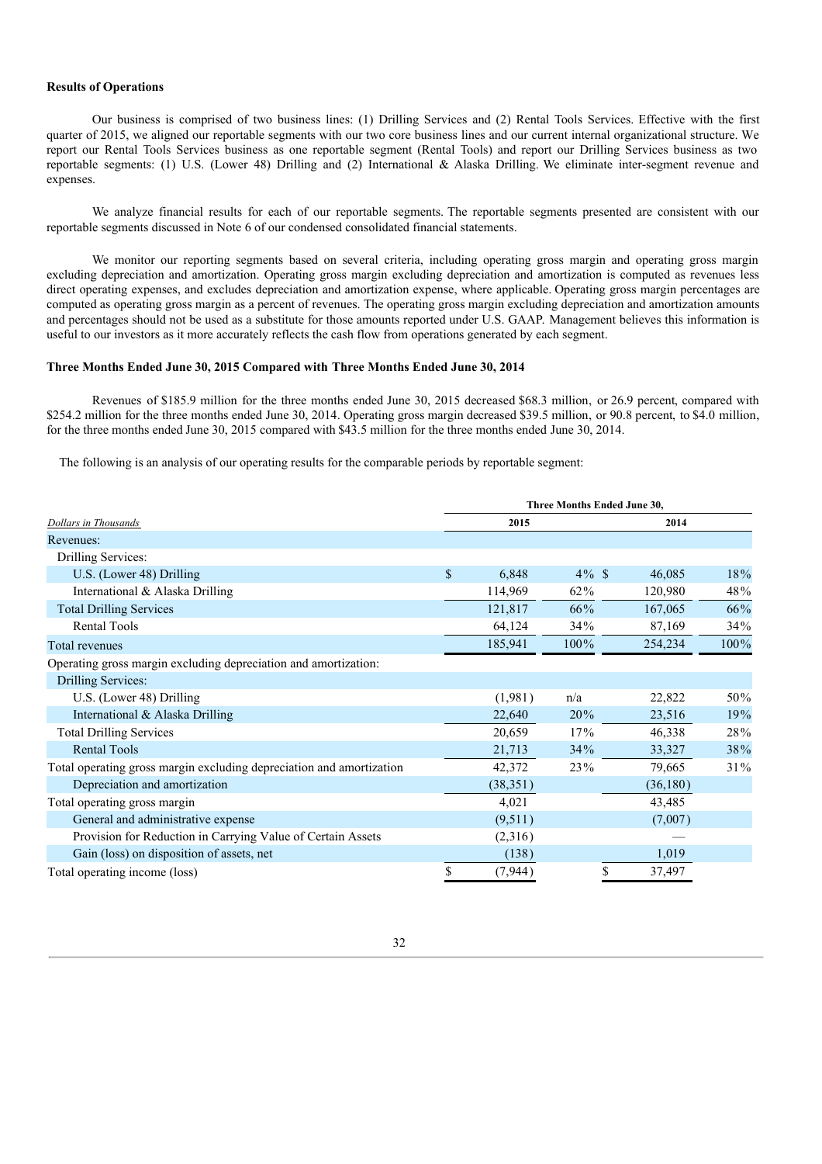## **Results of Operations**

Our business is comprised of two business lines: (1) Drilling Services and (2) Rental Tools Services. Effective with the first quarter of 2015, we aligned our reportable segments with our two core business lines and our current internal organizational structure. We report our Rental Tools Services business as one reportable segment (Rental Tools) and report our Drilling Services business as two reportable segments: (1) U.S. (Lower 48) Drilling and (2) International & Alaska Drilling. We eliminate inter-segment revenue and expenses.

We analyze financial results for each of our reportable segments. The reportable segments presented are consistent with our reportable segments discussed in Note 6 of our condensed consolidated financial statements.

We monitor our reporting segments based on several criteria, including operating gross margin and operating gross margin excluding depreciation and amortization. Operating gross margin excluding depreciation and amortization is computed as revenues less direct operating expenses, and excludes depreciation and amortization expense, where applicable. Operating gross margin percentages are computed as operating gross margin as a percent of revenues. The operating gross margin excluding depreciation and amortization amounts and percentages should not be used as a substitute for those amounts reported under U.S. GAAP. Management believes this information is useful to our investors as it more accurately reflects the cash flow from operations generated by each segment.

## **Three Months Ended June 30, 2015 Compared with Three Months Ended June 30, 2014**

Revenues of \$185.9 million for the three months ended June 30, 2015 decreased \$68.3 million, or 26.9 percent, compared with \$254.2 million for the three months ended June 30, 2014. Operating gross margin decreased \$39.5 million, or 90.8 percent, to \$4.0 million, for the three months ended June 30, 2015 compared with \$43.5 million for the three months ended June 30, 2014.

The following is an analysis of our operating results for the comparable periods by reportable segment:

|                                                                      | Three Months Ended June 30, |           |          |          |         |  |  |
|----------------------------------------------------------------------|-----------------------------|-----------|----------|----------|---------|--|--|
| Dollars in Thousands                                                 |                             | 2015      |          | 2014     |         |  |  |
| Revenues:                                                            |                             |           |          |          |         |  |  |
| Drilling Services:                                                   |                             |           |          |          |         |  |  |
| U.S. (Lower 48) Drilling                                             | \$                          | 6,848     | $4\%$ \$ | 46,085   | 18%     |  |  |
| International & Alaska Drilling                                      |                             | 114,969   | $62\%$   | 120,980  | 48%     |  |  |
| <b>Total Drilling Services</b>                                       |                             | 121,817   | 66%      | 167,065  | 66%     |  |  |
| <b>Rental Tools</b>                                                  |                             | 64,124    | 34%      | 87,169   | 34%     |  |  |
| Total revenues                                                       |                             | 185,941   | 100%     | 254,234  | $100\%$ |  |  |
| Operating gross margin excluding depreciation and amortization:      |                             |           |          |          |         |  |  |
| Drilling Services:                                                   |                             |           |          |          |         |  |  |
| U.S. (Lower 48) Drilling                                             |                             | (1,981)   | n/a      | 22,822   | 50%     |  |  |
| International & Alaska Drilling                                      |                             | 22,640    | 20%      | 23,516   | 19%     |  |  |
| <b>Total Drilling Services</b>                                       |                             | 20,659    | 17%      | 46,338   | 28%     |  |  |
| <b>Rental Tools</b>                                                  |                             | 21,713    | 34%      | 33,327   | 38%     |  |  |
| Total operating gross margin excluding depreciation and amortization |                             | 42,372    | 23%      | 79,665   | 31%     |  |  |
| Depreciation and amortization                                        |                             | (38, 351) |          | (36,180) |         |  |  |
| Total operating gross margin                                         |                             | 4,021     |          | 43,485   |         |  |  |
| General and administrative expense                                   |                             | (9,511)   |          | (7,007)  |         |  |  |
| Provision for Reduction in Carrying Value of Certain Assets          |                             | (2,316)   |          |          |         |  |  |
| Gain (loss) on disposition of assets, net                            |                             | (138)     |          | 1,019    |         |  |  |
| Total operating income (loss)                                        | S                           | (7, 944)  | S        | 37,497   |         |  |  |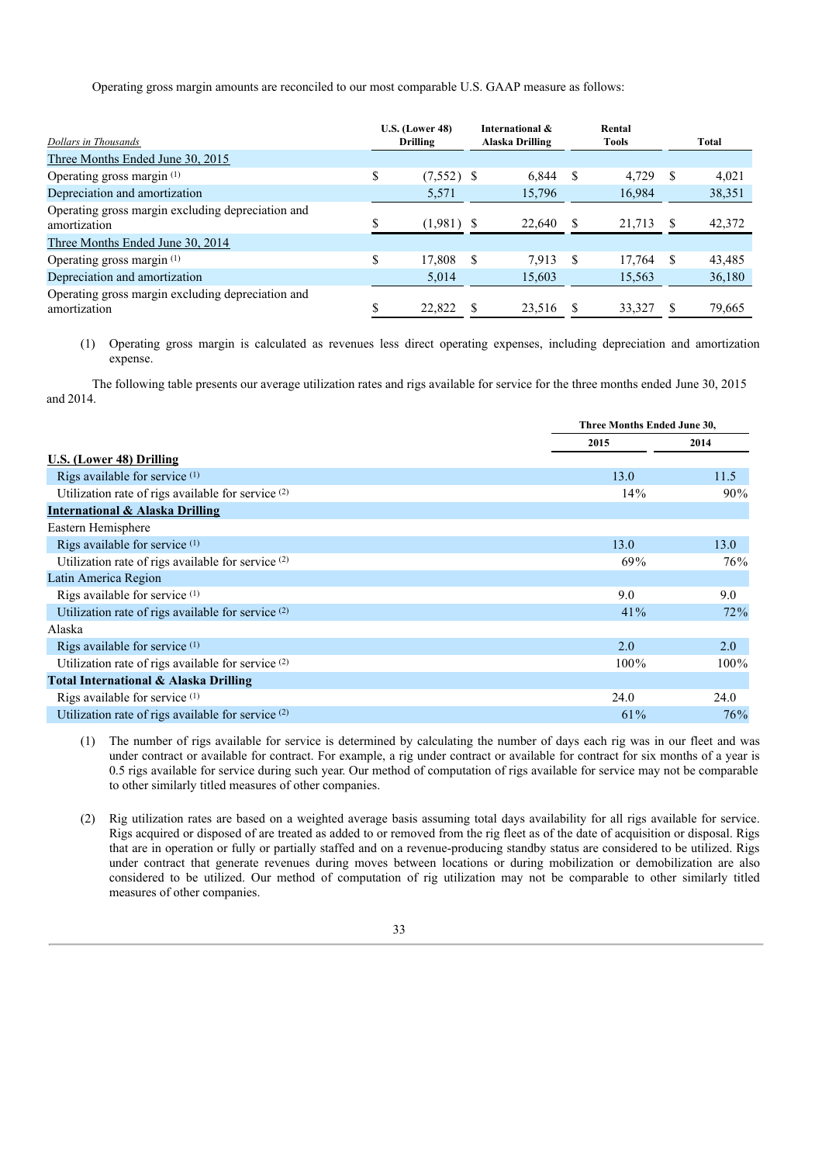Operating gross margin amounts are reconciled to our most comparable U.S. GAAP measure as follows:

| Dollars in Thousands                                              |    | <b>U.S. (Lower 48)</b><br><b>Drilling</b> |   | International &<br>Alaska Drilling |     | Rental<br><b>Tools</b> |    | Total  |
|-------------------------------------------------------------------|----|-------------------------------------------|---|------------------------------------|-----|------------------------|----|--------|
| Three Months Ended June 30, 2015                                  |    |                                           |   |                                    |     |                        |    |        |
| Operating gross margin <sup>(1)</sup>                             | \$ | $(7,552)$ \$                              |   | 6.844                              | -S  | 4,729                  | S  | 4,021  |
| Depreciation and amortization                                     |    | 5,571                                     |   | 15,796                             |     | 16,984                 |    | 38,351 |
| Operating gross margin excluding depreciation and<br>amortization | S  | $(1,981)$ \$                              |   | 22,640                             |     | 21,713                 | -S | 42,372 |
| Three Months Ended June 30, 2014                                  |    |                                           |   |                                    |     |                        |    |        |
| Operating gross margin <sup>(1)</sup>                             | \$ | 17,808                                    | S | 7.913                              | -\$ | 17,764                 | S  | 43,485 |
| Depreciation and amortization                                     |    | 5,014                                     |   | 15,603                             |     | 15,563                 |    | 36,180 |
| Operating gross margin excluding depreciation and<br>amortization | S  | 22,822                                    |   | 23.516                             |     | 33,327                 |    | 79,665 |

(1) Operating gross margin is calculated as revenues less direct operating expenses, including depreciation and amortization expense.

The following table presents our average utilization rates and rigs available for service for the three months ended June 30, 2015 and 2014.

|                                                               | Three Months Ended June 30, |         |
|---------------------------------------------------------------|-----------------------------|---------|
|                                                               | 2015                        | 2014    |
| U.S. (Lower 48) Drilling                                      |                             |         |
| Rigs available for service (1)                                | 13.0                        | 11.5    |
| Utilization rate of rigs available for service <sup>(2)</sup> | 14%                         | $90\%$  |
| <b>International &amp; Alaska Drilling</b>                    |                             |         |
| Eastern Hemisphere                                            |                             |         |
| Rigs available for service (1)                                | 13.0                        | 13.0    |
| Utilization rate of rigs available for service (2)            | 69%                         | 76%     |
| Latin America Region                                          |                             |         |
| Rigs available for service $(1)$                              | 9.0                         | 9.0     |
| Utilization rate of rigs available for service (2)            | 41%                         | 72%     |
| Alaska                                                        |                             |         |
| Rigs available for service (1)                                | 2.0                         | 2.0     |
| Utilization rate of rigs available for service (2)            | $100\%$                     | $100\%$ |
| Total International & Alaska Drilling                         |                             |         |
| Rigs available for service $(1)$                              | 24.0                        | 24.0    |
| Utilization rate of rigs available for service (2)            | $61\%$                      | 76%     |

(1) The number of rigs available for service is determined by calculating the number of days each rig was in our fleet and was under contract or available for contract. For example, a rig under contract or available for contract for six months of a year is 0.5 rigs available for service during such year. Our method of computation of rigs available for service may not be comparable to other similarly titled measures of other companies.

(2) Rig utilization rates are based on a weighted average basis assuming total days availability for all rigs available for service. Rigs acquired or disposed of are treated as added to or removed from the rig fleet as of the date of acquisition or disposal. Rigs that are in operation or fully or partially staffed and on a revenue-producing standby status are considered to be utilized. Rigs under contract that generate revenues during moves between locations or during mobilization or demobilization are also considered to be utilized. Our method of computation of rig utilization may not be comparable to other similarly titled measures of other companies.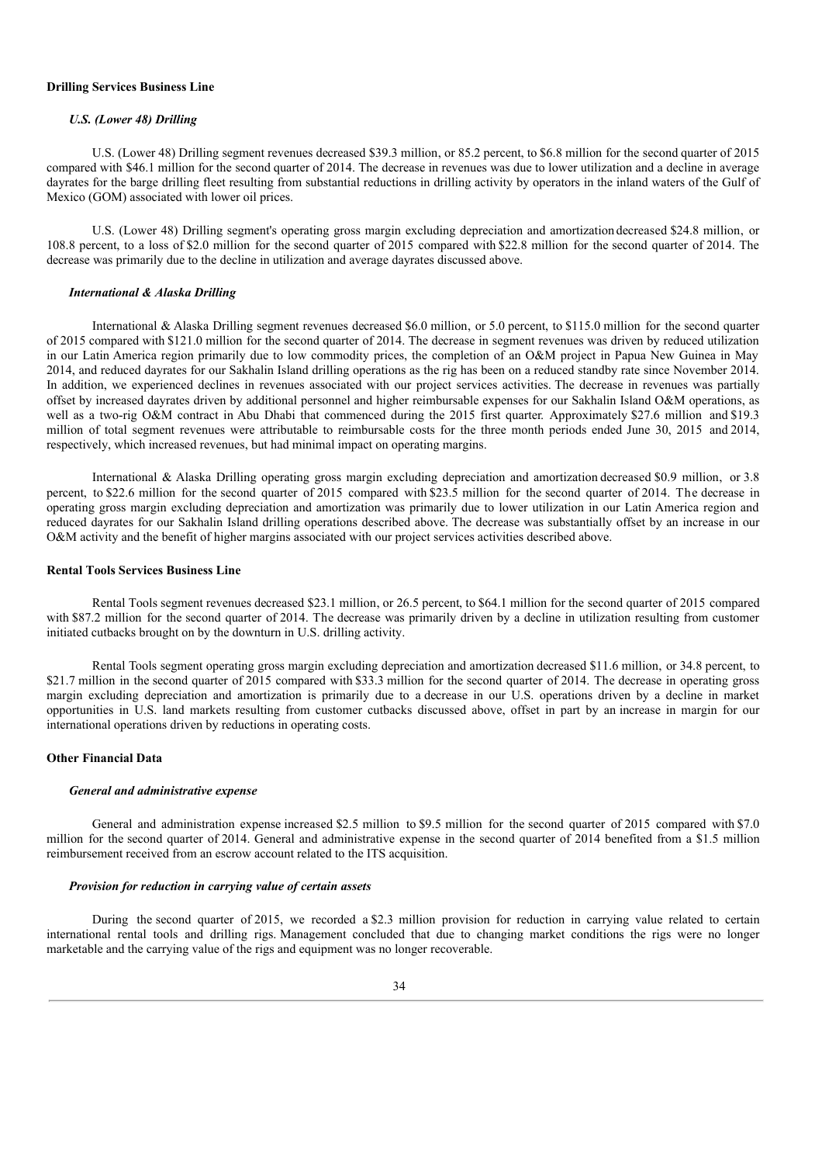#### **Drilling Services Business Line**

#### *U.S. (Lower 48) Drilling*

U.S. (Lower 48) Drilling segment revenues decreased \$39.3 million, or 85.2 percent, to \$6.8 million for the second quarter of 2015 compared with \$46.1 million for the second quarter of 2014. The decrease in revenues was due to lower utilization and a decline in average dayrates for the barge drilling fleet resulting from substantial reductions in drilling activity by operators in the inland waters of the Gulf of Mexico (GOM) associated with lower oil prices.

U.S. (Lower 48) Drilling segment's operating gross margin excluding depreciation and amortizationdecreased \$24.8 million, or 108.8 percent, to a loss of \$2.0 million for the second quarter of 2015 compared with \$22.8 million for the second quarter of 2014. The decrease was primarily due to the decline in utilization and average dayrates discussed above.

## *International & Alaska Drilling*

International & Alaska Drilling segment revenues decreased \$6.0 million, or 5.0 percent, to \$115.0 million for the second quarter of 2015 compared with \$121.0 million for the second quarter of 2014. The decrease in segment revenues was driven by reduced utilization in our Latin America region primarily due to low commodity prices, the completion of an O&M project in Papua New Guinea in May 2014, and reduced dayrates for our Sakhalin Island drilling operations as the rig has been on a reduced standby rate since November 2014. In addition, we experienced declines in revenues associated with our project services activities. The decrease in revenues was partially offset by increased dayrates driven by additional personnel and higher reimbursable expenses for our Sakhalin Island O&M operations, as well as a two-rig O&M contract in Abu Dhabi that commenced during the 2015 first quarter. Approximately \$27.6 million and \$19.3 million of total segment revenues were attributable to reimbursable costs for the three month periods ended June 30, 2015 and 2014, respectively, which increased revenues, but had minimal impact on operating margins.

International & Alaska Drilling operating gross margin excluding depreciation and amortization decreased \$0.9 million, or 3.8 percent, to \$22.6 million for the second quarter of 2015 compared with \$23.5 million for the second quarter of 2014. The decrease in operating gross margin excluding depreciation and amortization was primarily due to lower utilization in our Latin America region and reduced dayrates for our Sakhalin Island drilling operations described above. The decrease was substantially offset by an increase in our O&M activity and the benefit of higher margins associated with our project services activities described above.

#### **Rental Tools Services Business Line**

Rental Tools segment revenues decreased \$23.1 million, or 26.5 percent, to \$64.1 million for the second quarter of 2015 compared with \$87.2 million for the second quarter of 2014. The decrease was primarily driven by a decline in utilization resulting from customer initiated cutbacks brought on by the downturn in U.S. drilling activity.

Rental Tools segment operating gross margin excluding depreciation and amortization decreased \$11.6 million, or 34.8 percent, to \$21.7 million in the second quarter of 2015 compared with \$33.3 million for the second quarter of 2014. The decrease in operating gross margin excluding depreciation and amortization is primarily due to a decrease in our U.S. operations driven by a decline in market opportunities in U.S. land markets resulting from customer cutbacks discussed above, offset in part by an increase in margin for our international operations driven by reductions in operating costs.

#### **Other Financial Data**

#### *General and administrative expense*

General and administration expense increased \$2.5 million to \$9.5 million for the second quarter of 2015 compared with \$7.0 million for the second quarter of 2014. General and administrative expense in the second quarter of 2014 benefited from a \$1.5 million reimbursement received from an escrow account related to the ITS acquisition.

#### *Provision for reduction in carrying value of certain assets*

During the second quarter of 2015, we recorded a \$2.3 million provision for reduction in carrying value related to certain international rental tools and drilling rigs. Management concluded that due to changing market conditions the rigs were no longer marketable and the carrying value of the rigs and equipment was no longer recoverable.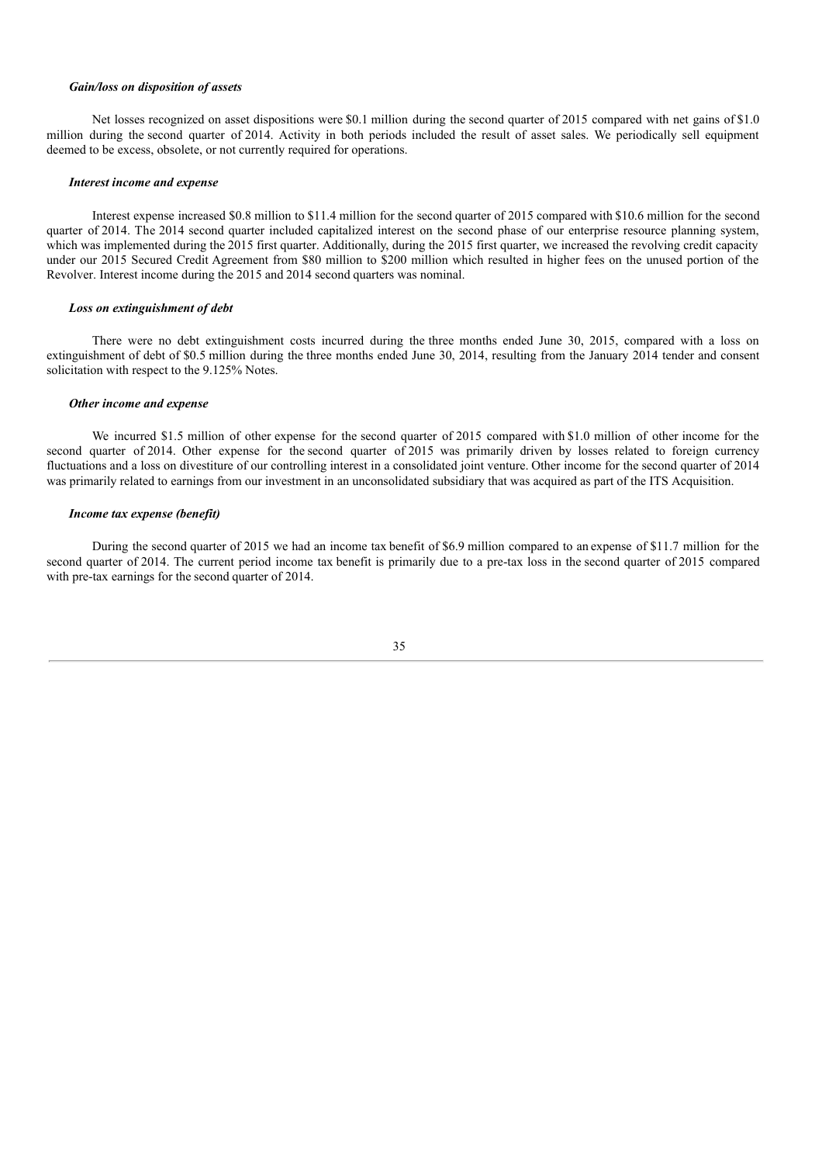#### *Gain/loss on disposition of assets*

Net losses recognized on asset dispositions were \$0.1 million during the second quarter of 2015 compared with net gains of \$1.0 million during the second quarter of 2014. Activity in both periods included the result of asset sales. We periodically sell equipment deemed to be excess, obsolete, or not currently required for operations.

#### *Interest income and expense*

Interest expense increased \$0.8 million to \$11.4 million for the second quarter of 2015 compared with \$10.6 million for the second quarter of 2014. The 2014 second quarter included capitalized interest on the second phase of our enterprise resource planning system, which was implemented during the 2015 first quarter. Additionally, during the 2015 first quarter, we increased the revolving credit capacity under our 2015 Secured Credit Agreement from \$80 million to \$200 million which resulted in higher fees on the unused portion of the Revolver. Interest income during the 2015 and 2014 second quarters was nominal.

#### *Loss on extinguishment of debt*

There were no debt extinguishment costs incurred during the three months ended June 30, 2015, compared with a loss on extinguishment of debt of \$0.5 million during the three months ended June 30, 2014, resulting from the January 2014 tender and consent solicitation with respect to the 9.125% Notes.

## *Other income and expense*

We incurred \$1.5 million of other expense for the second quarter of 2015 compared with \$1.0 million of other income for the second quarter of 2014. Other expense for the second quarter of 2015 was primarily driven by losses related to foreign currency fluctuations and a loss on divestiture of our controlling interest in a consolidated joint venture. Other income for the second quarter of 2014 was primarily related to earnings from our investment in an unconsolidated subsidiary that was acquired as part of the ITS Acquisition.

#### *Income tax expense (benefit)*

During the second quarter of 2015 we had an income tax benefit of \$6.9 million compared to anexpense of \$11.7 million for the second quarter of 2014. The current period income tax benefit is primarily due to a pre-tax loss in the second quarter of 2015 compared with pre-tax earnings for the second quarter of 2014.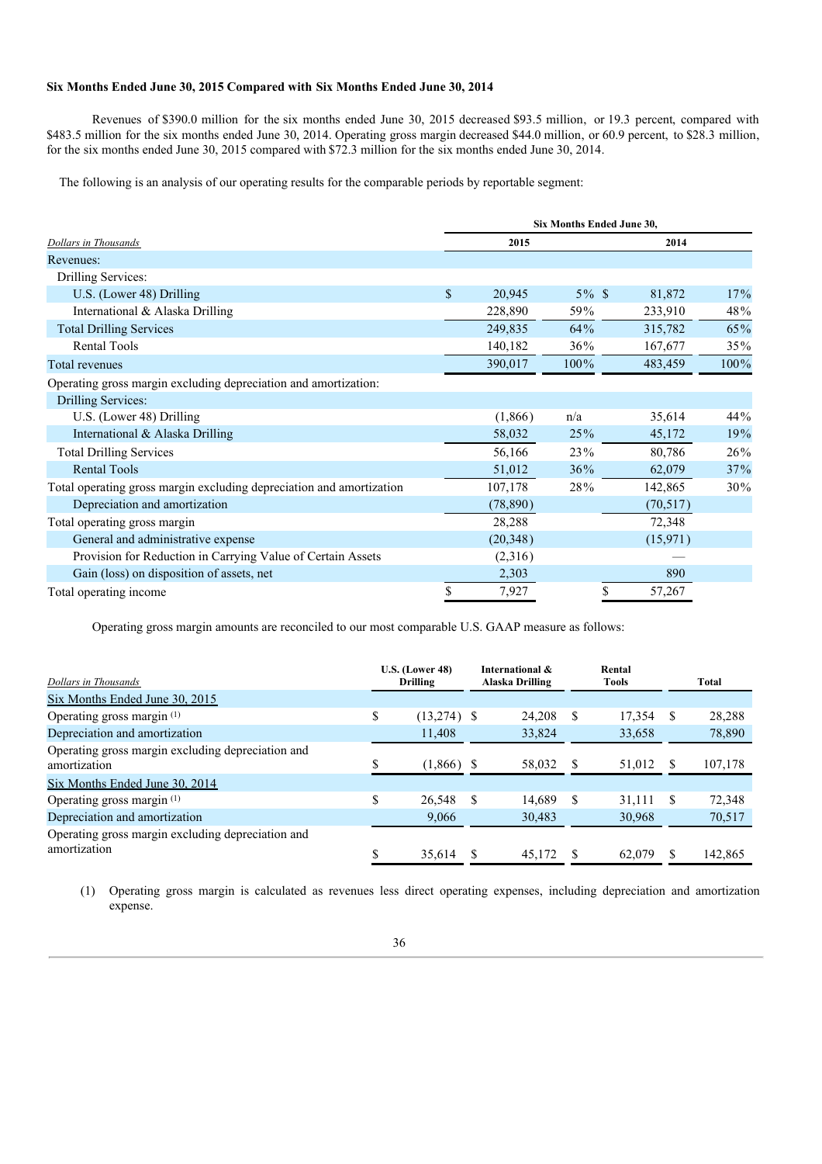## **Six Months Ended June 30, 2015 Compared with Six Months Ended June 30, 2014**

Revenues of \$390.0 million for the six months ended June 30, 2015 decreased \$93.5 million, or 19.3 percent, compared with \$483.5 million for the six months ended June 30, 2014. Operating gross margin decreased \$44.0 million, or 60.9 percent, to \$28.3 million, for the six months ended June 30, 2015 compared with \$72.3 million for the six months ended June 30, 2014.

The following is an analysis of our operating results for the comparable periods by reportable segment:

|                                                                      | Six Months Ended June 30, |           |          |           |      |  |  |
|----------------------------------------------------------------------|---------------------------|-----------|----------|-----------|------|--|--|
| <b>Dollars in Thousands</b>                                          |                           | 2015      |          | 2014      |      |  |  |
| Revenues:                                                            |                           |           |          |           |      |  |  |
| Drilling Services:                                                   |                           |           |          |           |      |  |  |
| U.S. (Lower 48) Drilling                                             | $\mathbb{S}$              | 20,945    | $5\%$ \$ | 81,872    | 17%  |  |  |
| International & Alaska Drilling                                      |                           | 228,890   | 59%      | 233,910   | 48%  |  |  |
| <b>Total Drilling Services</b>                                       |                           | 249,835   | 64%      | 315,782   | 65%  |  |  |
| <b>Rental Tools</b>                                                  |                           | 140,182   | 36%      | 167,677   | 35%  |  |  |
| Total revenues                                                       |                           | 390,017   | 100%     | 483,459   | 100% |  |  |
| Operating gross margin excluding depreciation and amortization:      |                           |           |          |           |      |  |  |
| Drilling Services:                                                   |                           |           |          |           |      |  |  |
| U.S. (Lower 48) Drilling                                             |                           | (1,866)   | n/a      | 35,614    | 44%  |  |  |
| International & Alaska Drilling                                      |                           | 58,032    | 25%      | 45,172    | 19%  |  |  |
| <b>Total Drilling Services</b>                                       |                           | 56,166    | 23%      | 80,786    | 26%  |  |  |
| <b>Rental Tools</b>                                                  |                           | 51,012    | 36%      | 62,079    | 37%  |  |  |
| Total operating gross margin excluding depreciation and amortization |                           | 107,178   | 28%      | 142,865   | 30%  |  |  |
| Depreciation and amortization                                        |                           | (78, 890) |          | (70, 517) |      |  |  |
| Total operating gross margin                                         |                           | 28,288    |          | 72,348    |      |  |  |
| General and administrative expense                                   |                           | (20,348)  |          | (15,971)  |      |  |  |
| Provision for Reduction in Carrying Value of Certain Assets          |                           | (2,316)   |          |           |      |  |  |
| Gain (loss) on disposition of assets, net                            |                           | 2,303     |          | 890       |      |  |  |
| Total operating income                                               | S                         | 7,927     | \$       | 57,267    |      |  |  |

Operating gross margin amounts are reconciled to our most comparable U.S. GAAP measure as follows:

| Dollars in Thousands                                              |    | $U.S.$ (Lower 48)<br>Drilling |   | International &<br>Alaska Drilling |     | Rental<br>Tools |    | Total   |
|-------------------------------------------------------------------|----|-------------------------------|---|------------------------------------|-----|-----------------|----|---------|
| Six Months Ended June 30, 2015                                    |    |                               |   |                                    |     |                 |    |         |
| Operating gross margin <sup>(1)</sup>                             | \$ | (13,274)                      | S | 24.208                             | \$. | 17,354          | S  | 28,288  |
| Depreciation and amortization                                     |    | 11,408                        |   | 33,824                             |     | 33,658          |    | 78,890  |
| Operating gross margin excluding depreciation and<br>amortization | \$ | (1,866)                       |   | 58,032                             |     | 51,012          | -S | 107,178 |
| Six Months Ended June 30, 2014                                    |    |                               |   |                                    |     |                 |    |         |
| Operating gross margin <sup>(1)</sup>                             | S  | 26,548                        | S | 14.689                             | \$. | 31.111          | S  | 72,348  |
| Depreciation and amortization                                     |    | 9,066                         |   | 30,483                             |     | 30,968          |    | 70,517  |
| Operating gross margin excluding depreciation and<br>amortization | \$ | 35.614                        |   | 45.172                             |     | 62.079          |    | 142,865 |

(1) Operating gross margin is calculated as revenues less direct operating expenses, including depreciation and amortization expense.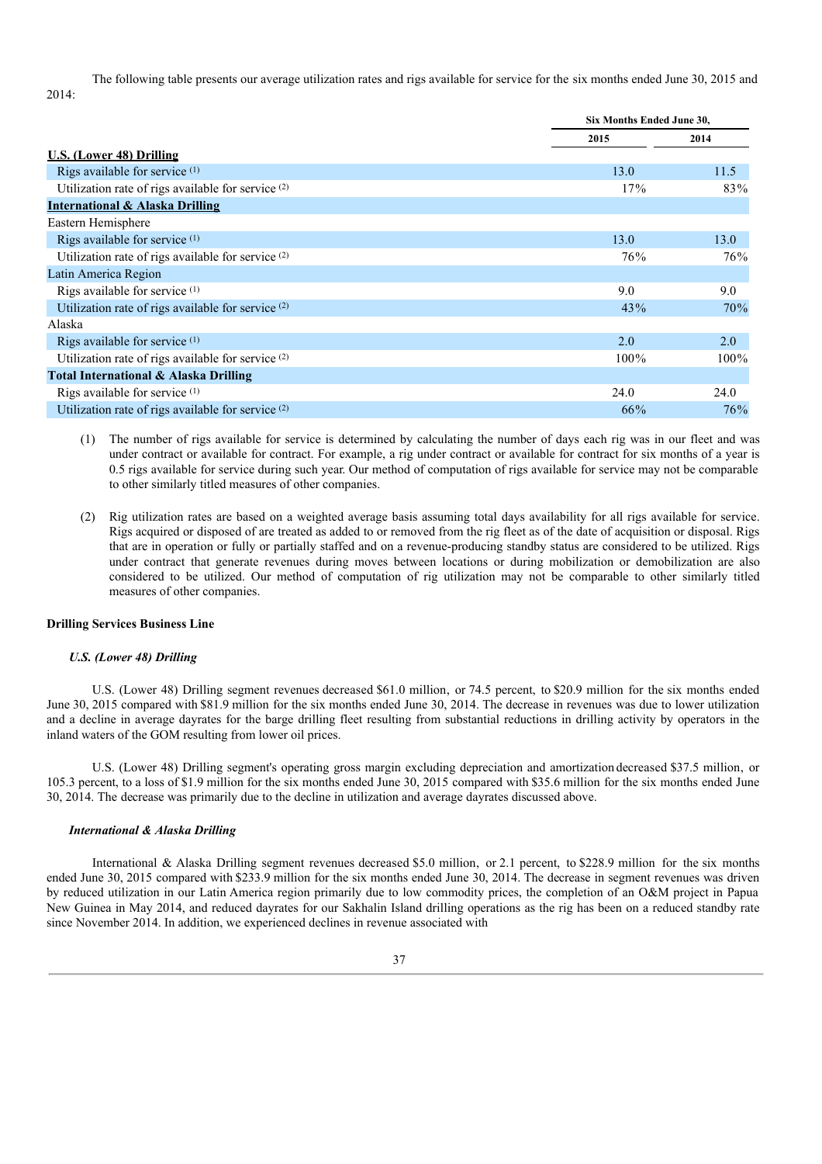The following table presents our average utilization rates and rigs available for service for the six months ended June 30, 2015 and 2014:

|                                                               | Six Months Ended June 30, |         |
|---------------------------------------------------------------|---------------------------|---------|
|                                                               | 2015                      | 2014    |
| U.S. (Lower 48) Drilling                                      |                           |         |
| Rigs available for service (1)                                | 13.0                      | 11.5    |
| Utilization rate of rigs available for service $(2)$          | 17%                       | 83%     |
| <b>International &amp; Alaska Drilling</b>                    |                           |         |
| Eastern Hemisphere                                            |                           |         |
| Rigs available for service (1)                                | 13.0                      | 13.0    |
| Utilization rate of rigs available for service (2)            | 76%                       | 76%     |
| Latin America Region                                          |                           |         |
| Rigs available for service (1)                                | 9.0                       | 9.0     |
| Utilization rate of rigs available for service (2)            | 43%                       | 70%     |
| Alaska                                                        |                           |         |
| Rigs available for service $(1)$                              | 2.0                       | 2.0     |
| Utilization rate of rigs available for service <sup>(2)</sup> | $100\%$                   | $100\%$ |
| Total International & Alaska Drilling                         |                           |         |
| Rigs available for service $(1)$                              | 24.0                      | 24.0    |
| Utilization rate of rigs available for service (2)            | 66%                       | 76%     |

(1) The number of rigs available for service is determined by calculating the number of days each rig was in our fleet and was under contract or available for contract. For example, a rig under contract or available for contract for six months of a year is 0.5 rigs available for service during such year. Our method of computation of rigs available for service may not be comparable to other similarly titled measures of other companies.

(2) Rig utilization rates are based on a weighted average basis assuming total days availability for all rigs available for service. Rigs acquired or disposed of are treated as added to or removed from the rig fleet as of the date of acquisition or disposal. Rigs that are in operation or fully or partially staffed and on a revenue-producing standby status are considered to be utilized. Rigs under contract that generate revenues during moves between locations or during mobilization or demobilization are also considered to be utilized. Our method of computation of rig utilization may not be comparable to other similarly titled measures of other companies.

#### **Drilling Services Business Line**

#### *U.S. (Lower 48) Drilling*

U.S. (Lower 48) Drilling segment revenues decreased \$61.0 million, or 74.5 percent, to \$20.9 million for the six months ended June 30, 2015 compared with \$81.9 million for the six months ended June 30, 2014. The decrease in revenues was due to lower utilization and a decline in average dayrates for the barge drilling fleet resulting from substantial reductions in drilling activity by operators in the inland waters of the GOM resulting from lower oil prices.

U.S. (Lower 48) Drilling segment's operating gross margin excluding depreciation and amortizationdecreased \$37.5 million, or 105.3 percent, to a loss of \$1.9 million for the six months ended June 30, 2015 compared with \$35.6 million for the six months ended June 30, 2014. The decrease was primarily due to the decline in utilization and average dayrates discussed above.

## *International & Alaska Drilling*

International & Alaska Drilling segment revenues decreased \$5.0 million, or 2.1 percent, to \$228.9 million for the six months ended June 30, 2015 compared with \$233.9 million for the six months ended June 30, 2014. The decrease in segment revenues was driven by reduced utilization in our Latin America region primarily due to low commodity prices, the completion of an O&M project in Papua New Guinea in May 2014, and reduced dayrates for our Sakhalin Island drilling operations as the rig has been on a reduced standby rate since November 2014. In addition, we experienced declines in revenue associated with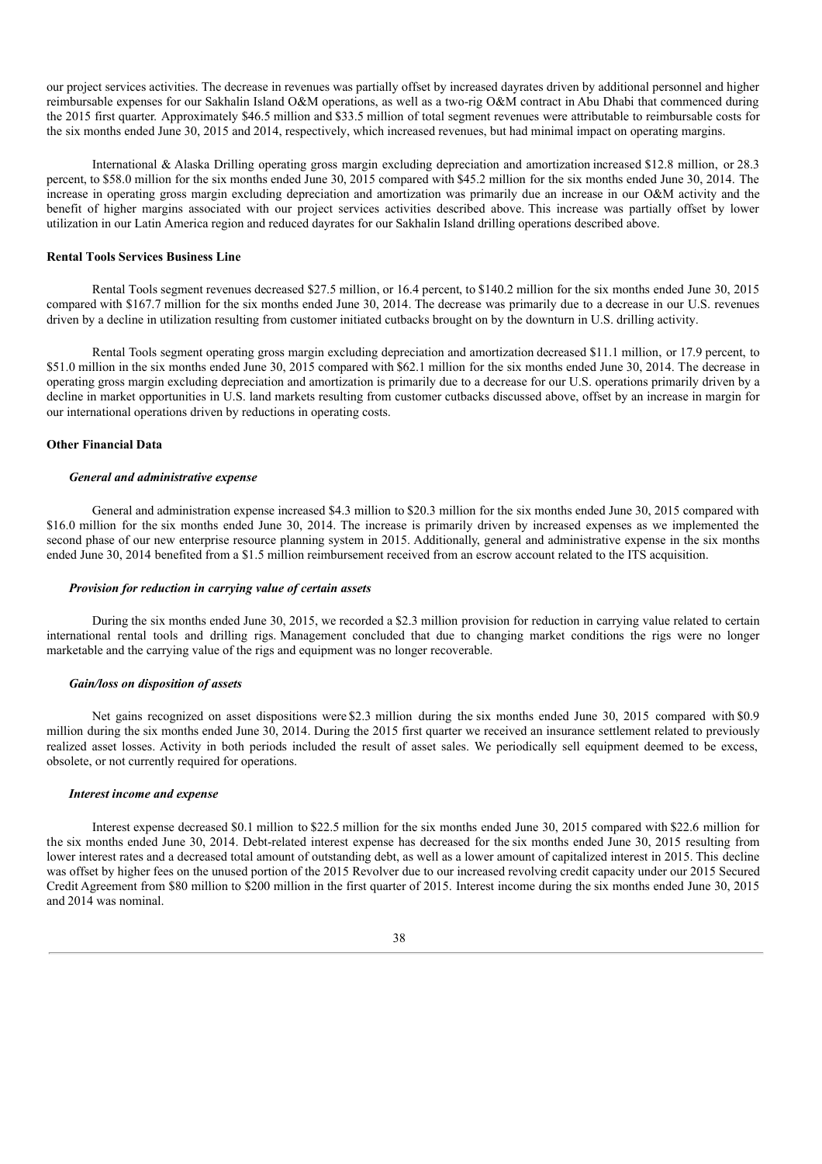our project services activities. The decrease in revenues was partially offset by increased dayrates driven by additional personnel and higher reimbursable expenses for our Sakhalin Island O&M operations, as well as a two-rig O&M contract in Abu Dhabi that commenced during the 2015 first quarter. Approximately \$46.5 million and \$33.5 million of total segment revenues were attributable to reimbursable costs for the six months ended June 30, 2015 and 2014, respectively, which increased revenues, but had minimal impact on operating margins.

International & Alaska Drilling operating gross margin excluding depreciation and amortization increased \$12.8 million, or 28.3 percent, to \$58.0 million for the six months ended June 30, 2015 compared with \$45.2 million for the six months ended June 30, 2014. The increase in operating gross margin excluding depreciation and amortization was primarily due an increase in our O&M activity and the benefit of higher margins associated with our project services activities described above. This increase was partially offset by lower utilization in our Latin America region and reduced dayrates for our Sakhalin Island drilling operations described above.

#### **Rental Tools Services Business Line**

Rental Tools segment revenues decreased \$27.5 million, or 16.4 percent, to \$140.2 million for the six months ended June 30, 2015 compared with \$167.7 million for the six months ended June 30, 2014. The decrease was primarily due to a decrease in our U.S. revenues driven by a decline in utilization resulting from customer initiated cutbacks brought on by the downturn in U.S. drilling activity.

Rental Tools segment operating gross margin excluding depreciation and amortization decreased \$11.1 million, or 17.9 percent, to \$51.0 million in the six months ended June 30, 2015 compared with \$62.1 million for the six months ended June 30, 2014. The decrease in operating gross margin excluding depreciation and amortization is primarily due to a decrease for our U.S. operations primarily driven by a decline in market opportunities in U.S. land markets resulting from customer cutbacks discussed above, offset by an increase in margin for our international operations driven by reductions in operating costs.

## **Other Financial Data**

## *General and administrative expense*

General and administration expense increased \$4.3 million to \$20.3 million for the six months ended June 30, 2015 compared with \$16.0 million for the six months ended June 30, 2014. The increase is primarily driven by increased expenses as we implemented the second phase of our new enterprise resource planning system in 2015. Additionally, general and administrative expense in the six months ended June 30, 2014 benefited from a \$1.5 million reimbursement received from an escrow account related to the ITS acquisition.

#### *Provision for reduction in carrying value of certain assets*

During the six months ended June 30, 2015, we recorded a \$2.3 million provision for reduction in carrying value related to certain international rental tools and drilling rigs. Management concluded that due to changing market conditions the rigs were no longer marketable and the carrying value of the rigs and equipment was no longer recoverable.

#### *Gain/loss on disposition of assets*

Net gains recognized on asset dispositions were\$2.3 million during the six months ended June 30, 2015 compared with \$0.9 million during the six months ended June 30, 2014. During the 2015 first quarter we received an insurance settlement related to previously realized asset losses. Activity in both periods included the result of asset sales. We periodically sell equipment deemed to be excess, obsolete, or not currently required for operations.

#### *Interest income and expense*

Interest expense decreased \$0.1 million to \$22.5 million for the six months ended June 30, 2015 compared with \$22.6 million for the six months ended June 30, 2014. Debt-related interest expense has decreased for the six months ended June 30, 2015 resulting from lower interest rates and a decreased total amount of outstanding debt, as well as a lower amount of capitalized interest in 2015. This decline was offset by higher fees on the unused portion of the 2015 Revolver due to our increased revolving credit capacity under our 2015 Secured Credit Agreement from \$80 million to \$200 million in the first quarter of 2015. Interest income during the six months ended June 30, 2015 and 2014 was nominal.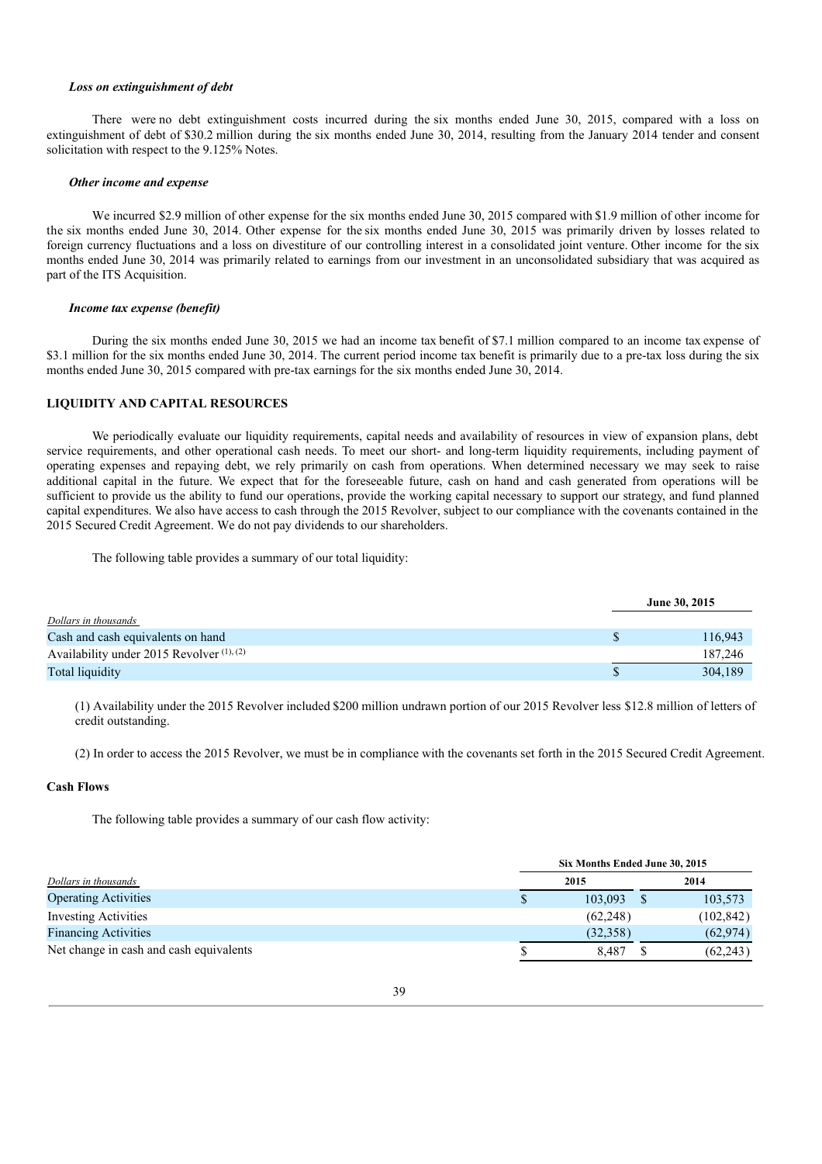#### *Loss on extinguishment of debt*

There were no debt extinguishment costs incurred during the six months ended June 30, 2015, compared with a loss on extinguishment of debt of \$30.2 million during the six months ended June 30, 2014, resulting from the January 2014 tender and consent solicitation with respect to the 9.125% Notes.

#### *Other income and expense*

We incurred \$2.9 million of other expense for the six months ended June 30, 2015 compared with \$1.9 million of other income for the six months ended June 30, 2014. Other expense for the six months ended June 30, 2015 was primarily driven by losses related to foreign currency fluctuations and a loss on divestiture of our controlling interest in a consolidated joint venture. Other income for the six months ended June 30, 2014 was primarily related to earnings from our investment in an unconsolidated subsidiary that was acquired as part of the ITS Acquisition.

#### *Income tax expense (benefit)*

During the six months ended June 30, 2015 we had an income tax benefit of \$7.1 million compared to an income tax expense of \$3.1 million for the six months ended June 30, 2014. The current period income tax benefit is primarily due to a pre-tax loss during the six months ended June 30, 2015 compared with pre-tax earnings for the six months ended June 30, 2014.

## **LIQUIDITY AND CAPITAL RESOURCES**

We periodically evaluate our liquidity requirements, capital needs and availability of resources in view of expansion plans, debt service requirements, and other operational cash needs. To meet our short- and long-term liquidity requirements, including payment of operating expenses and repaying debt, we rely primarily on cash from operations. When determined necessary we may seek to raise additional capital in the future. We expect that for the foreseeable future, cash on hand and cash generated from operations will be sufficient to provide us the ability to fund our operations, provide the working capital necessary to support our strategy, and fund planned capital expenditures. We also have access to cash through the 2015 Revolver, subject to our compliance with the covenants contained in the 2015 Secured Credit Agreement. We do not pay dividends to our shareholders.

The following table provides a summary of our total liquidity:

|                                           |   | June 30, 2015 |
|-------------------------------------------|---|---------------|
| Dollars in thousands                      |   |               |
| Cash and cash equivalents on hand         |   | 116.943       |
| Availability under 2015 Revolver (1), (2) |   | 187.246       |
| Total liquidity                           | S | 304.189       |

(1) Availability under the 2015 Revolver included \$200 million undrawn portion of our 2015 Revolver less \$12.8 million of letters of credit outstanding.

(2) In order to access the 2015 Revolver, we must be in compliance with the covenants set forth in the 2015 Secured Credit Agreement.

#### **Cash Flows**

The following table provides a summary of our cash flow activity:

|                                         | Six Months Ended June 30, 2015 |           |  |            |  |
|-----------------------------------------|--------------------------------|-----------|--|------------|--|
| Dollars in thousands                    |                                | 2015      |  | 2014       |  |
| <b>Operating Activities</b>             | Ъ                              | 103.093   |  | 103,573    |  |
| <b>Investing Activities</b>             |                                | (62, 248) |  | (102, 842) |  |
| <b>Financing Activities</b>             |                                | (32.358)  |  | (62, 974)  |  |
| Net change in cash and cash equivalents |                                | 8.487     |  | (62, 243)  |  |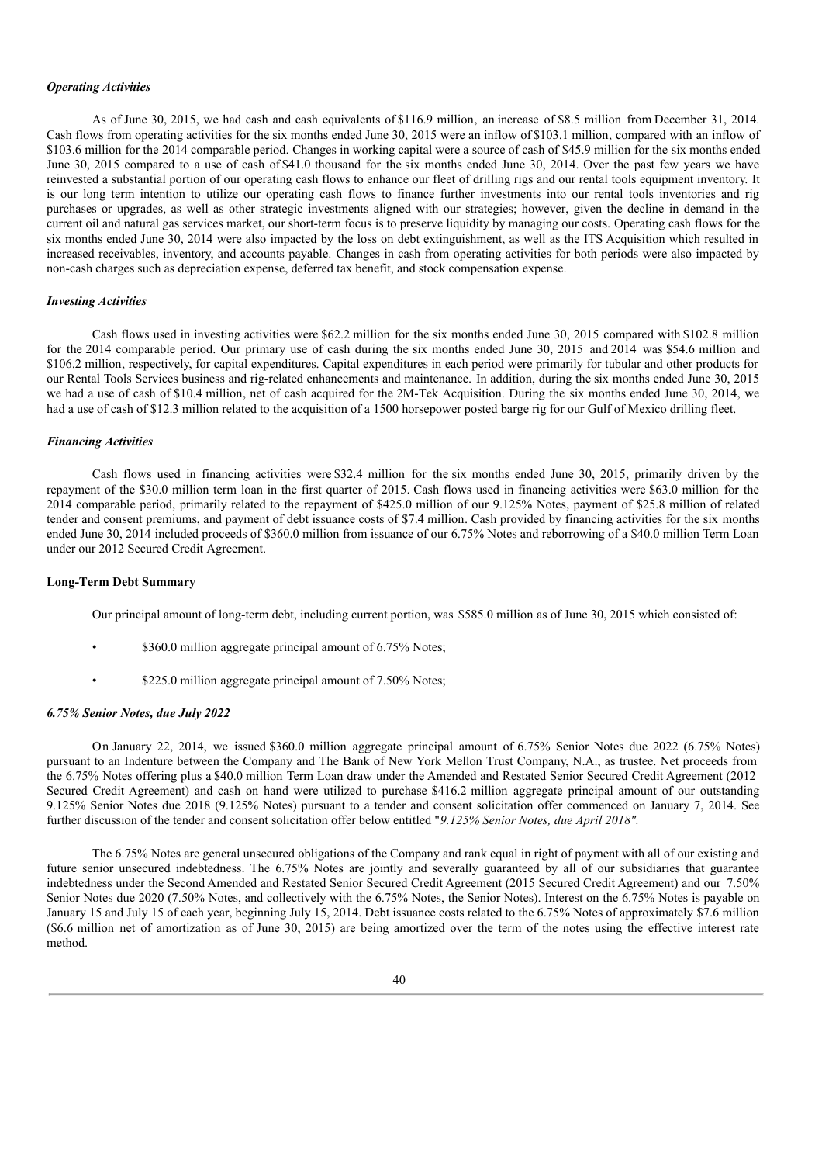#### *Operating Activities*

As of June 30, 2015, we had cash and cash equivalents of \$116.9 million, an increase of \$8.5 million from December 31, 2014. Cash flows from operating activities for the six months ended June 30, 2015 were an inflow of \$103.1 million, compared with an inflow of \$103.6 million for the 2014 comparable period. Changes in working capital were a source of cash of \$45.9 million for the six months ended June 30, 2015 compared to a use of cash of\$41.0 thousand for the six months ended June 30, 2014. Over the past few years we have reinvested a substantial portion of our operating cash flows to enhance our fleet of drilling rigs and our rental tools equipment inventory. It is our long term intention to utilize our operating cash flows to finance further investments into our rental tools inventories and rig purchases or upgrades, as well as other strategic investments aligned with our strategies; however, given the decline in demand in the current oil and natural gas services market, our short-term focus is to preserve liquidity by managing our costs. Operating cash flows for the six months ended June 30, 2014 were also impacted by the loss on debt extinguishment, as well as the ITS Acquisition which resulted in increased receivables, inventory, and accounts payable. Changes in cash from operating activities for both periods were also impacted by non-cash charges such as depreciation expense, deferred tax benefit, and stock compensation expense.

#### *Investing Activities*

Cash flows used in investing activities were \$62.2 million for the six months ended June 30, 2015 compared with \$102.8 million for the 2014 comparable period. Our primary use of cash during the six months ended June 30, 2015 and 2014 was \$54.6 million and \$106.2 million, respectively, for capital expenditures. Capital expenditures in each period were primarily for tubular and other products for our Rental Tools Services business and rig-related enhancements and maintenance. In addition, during the six months ended June 30, 2015 we had a use of cash of \$10.4 million, net of cash acquired for the 2M-Tek Acquisition. During the six months ended June 30, 2014, we had a use of cash of \$12.3 million related to the acquisition of a 1500 horsepower posted barge rig for our Gulf of Mexico drilling fleet.

#### *Financing Activities*

Cash flows used in financing activities were \$32.4 million for the six months ended June 30, 2015, primarily driven by the repayment of the \$30.0 million term loan in the first quarter of 2015. Cash flows used in financing activities were \$63.0 million for the 2014 comparable period, primarily related to the repayment of \$425.0 million of our 9.125% Notes, payment of \$25.8 million of related tender and consent premiums, and payment of debt issuance costs of \$7.4 million. Cash provided by financing activities for the six months ended June 30, 2014 included proceeds of \$360.0 million from issuance of our 6.75% Notes and reborrowing of a \$40.0 million Term Loan under our 2012 Secured Credit Agreement.

## **Long-Term Debt Summary**

Our principal amount of long-term debt, including current portion, was \$585.0 million as of June 30, 2015 which consisted of:

- \$360.0 million aggregate principal amount of 6.75% Notes;
- \$225.0 million aggregate principal amount of 7.50% Notes;

#### *6.75% Senior Notes, due July 2022*

On January 22, 2014, we issued \$360.0 million aggregate principal amount of 6.75% Senior Notes due 2022 (6.75% Notes) pursuant to an Indenture between the Company and The Bank of New York Mellon Trust Company, N.A., as trustee. Net proceeds from the 6.75% Notes offering plus a \$40.0 million Term Loan draw under the Amended and Restated Senior Secured Credit Agreement (2012 Secured Credit Agreement) and cash on hand were utilized to purchase \$416.2 million aggregate principal amount of our outstanding 9.125% Senior Notes due 2018 (9.125% Notes) pursuant to a tender and consent solicitation offer commenced on January 7, 2014. See further discussion of the tender and consent solicitation offer below entitled "*9.125% Senior Notes, due April 2018".*

The 6.75% Notes are general unsecured obligations of the Company and rank equal in right of payment with all of our existing and future senior unsecured indebtedness. The 6.75% Notes are jointly and severally guaranteed by all of our subsidiaries that guarantee indebtedness under the Second Amended and Restated Senior Secured Credit Agreement (2015 Secured Credit Agreement) and our 7.50% Senior Notes due 2020 (7.50% Notes, and collectively with the 6.75% Notes, the Senior Notes). Interest on the 6.75% Notes is payable on January 15 and July 15 of each year, beginning July 15, 2014. Debt issuance costs related to the 6.75% Notes of approximately \$7.6 million (\$6.6 million net of amortization as of June 30, 2015) are being amortized over the term of the notes using the effective interest rate method.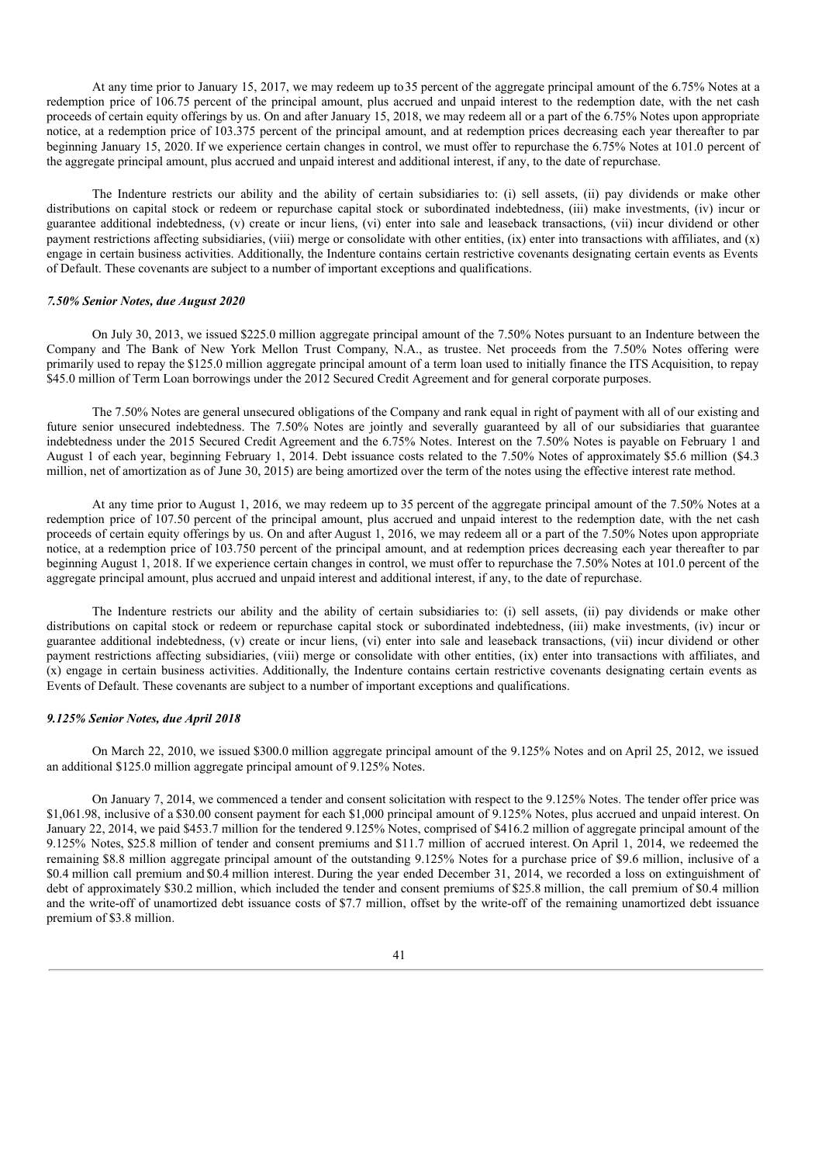At any time prior to January 15, 2017, we may redeem up to35 percent of the aggregate principal amount of the 6.75% Notes at a redemption price of 106.75 percent of the principal amount, plus accrued and unpaid interest to the redemption date, with the net cash proceeds of certain equity offerings by us. On and after January 15, 2018, we may redeem all or a part of the 6.75% Notes upon appropriate notice, at a redemption price of 103.375 percent of the principal amount, and at redemption prices decreasing each year thereafter to par beginning January 15, 2020. If we experience certain changes in control, we must offer to repurchase the 6.75% Notes at 101.0 percent of the aggregate principal amount, plus accrued and unpaid interest and additional interest, if any, to the date of repurchase.

The Indenture restricts our ability and the ability of certain subsidiaries to: (i) sell assets, (ii) pay dividends or make other distributions on capital stock or redeem or repurchase capital stock or subordinated indebtedness, (iii) make investments, (iv) incur or guarantee additional indebtedness, (v) create or incur liens, (vi) enter into sale and leaseback transactions, (vii) incur dividend or other payment restrictions affecting subsidiaries, (viii) merge or consolidate with other entities,  $(ix)$  enter into transactions with affiliates, and  $(x)$ engage in certain business activities. Additionally, the Indenture contains certain restrictive covenants designating certain events as Events of Default. These covenants are subject to a number of important exceptions and qualifications.

#### *7.50% Senior Notes, due August 2020*

On July 30, 2013, we issued \$225.0 million aggregate principal amount of the 7.50% Notes pursuant to an Indenture between the Company and The Bank of New York Mellon Trust Company, N.A., as trustee. Net proceeds from the 7.50% Notes offering were primarily used to repay the \$125.0 million aggregate principal amount of a term loan used to initially finance the ITS Acquisition, to repay \$45.0 million of Term Loan borrowings under the 2012 Secured Credit Agreement and for general corporate purposes.

The 7.50% Notes are general unsecured obligations of the Company and rank equal in right of payment with all of our existing and future senior unsecured indebtedness. The 7.50% Notes are jointly and severally guaranteed by all of our subsidiaries that guarantee indebtedness under the 2015 Secured Credit Agreement and the 6.75% Notes. Interest on the 7.50% Notes is payable on February 1 and August 1 of each year, beginning February 1, 2014. Debt issuance costs related to the 7.50% Notes of approximately \$5.6 million (\$4.3 million, net of amortization as of June 30, 2015) are being amortized over the term of the notes using the effective interest rate method.

At any time prior to August 1, 2016, we may redeem up to 35 percent of the aggregate principal amount of the 7.50% Notes at a redemption price of 107.50 percent of the principal amount, plus accrued and unpaid interest to the redemption date, with the net cash proceeds of certain equity offerings by us. On and after August 1, 2016, we may redeem all or a part of the 7.50% Notes upon appropriate notice, at a redemption price of 103.750 percent of the principal amount, and at redemption prices decreasing each year thereafter to par beginning August 1, 2018. If we experience certain changes in control, we must offer to repurchase the 7.50% Notes at 101.0 percent of the aggregate principal amount, plus accrued and unpaid interest and additional interest, if any, to the date of repurchase.

The Indenture restricts our ability and the ability of certain subsidiaries to: (i) sell assets, (ii) pay dividends or make other distributions on capital stock or redeem or repurchase capital stock or subordinated indebtedness, (iii) make investments, (iv) incur or guarantee additional indebtedness, (v) create or incur liens, (vi) enter into sale and leaseback transactions, (vii) incur dividend or other payment restrictions affecting subsidiaries, (viii) merge or consolidate with other entities, (ix) enter into transactions with affiliates, and (x) engage in certain business activities. Additionally, the Indenture contains certain restrictive covenants designating certain events as Events of Default. These covenants are subject to a number of important exceptions and qualifications.

## *9.125% Senior Notes, due April 2018*

On March 22, 2010, we issued \$300.0 million aggregate principal amount of the 9.125% Notes and on April 25, 2012, we issued an additional \$125.0 million aggregate principal amount of 9.125% Notes.

On January 7, 2014, we commenced a tender and consent solicitation with respect to the 9.125% Notes. The tender offer price was \$1,061.98, inclusive of a \$30.00 consent payment for each \$1,000 principal amount of 9.125% Notes, plus accrued and unpaid interest. On January 22, 2014, we paid \$453.7 million for the tendered 9.125% Notes, comprised of \$416.2 million of aggregate principal amount of the 9.125% Notes, \$25.8 million of tender and consent premiums and \$11.7 million of accrued interest. On April 1, 2014, we redeemed the remaining \$8.8 million aggregate principal amount of the outstanding 9.125% Notes for a purchase price of \$9.6 million, inclusive of a \$0.4 million call premium and\$0.4 million interest. During the year ended December 31, 2014, we recorded a loss on extinguishment of debt of approximately \$30.2 million, which included the tender and consent premiums of \$25.8 million, the call premium of \$0.4 million and the write-off of unamortized debt issuance costs of \$7.7 million, offset by the write-off of the remaining unamortized debt issuance premium of \$3.8 million.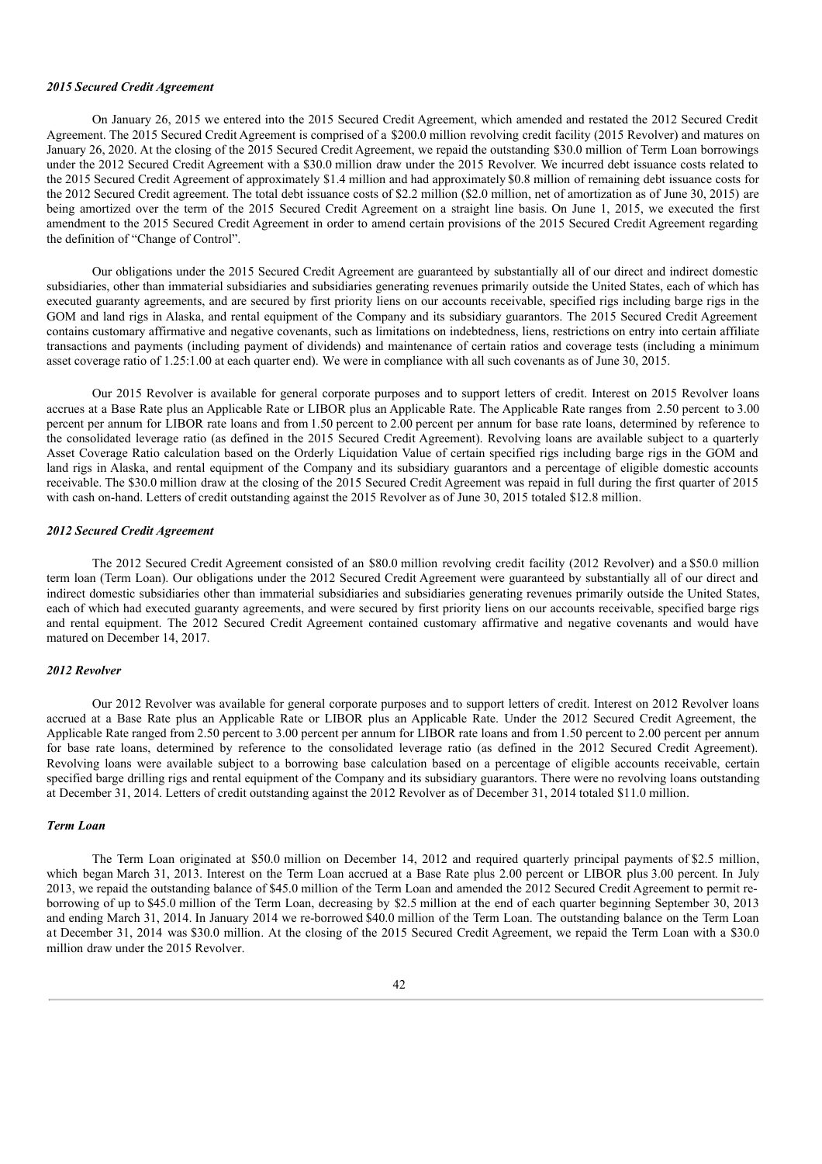#### *2015 Secured Credit Agreement*

On January 26, 2015 we entered into the 2015 Secured Credit Agreement, which amended and restated the 2012 Secured Credit Agreement. The 2015 Secured Credit Agreement is comprised of a \$200.0 million revolving credit facility (2015 Revolver) and matures on January 26, 2020. At the closing of the 2015 Secured Credit Agreement, we repaid the outstanding \$30.0 million of Term Loan borrowings under the 2012 Secured Credit Agreement with a \$30.0 million draw under the 2015 Revolver. We incurred debt issuance costs related to the 2015 Secured Credit Agreement of approximately \$1.4 million and had approximately \$0.8 million of remaining debt issuance costs for the 2012 Secured Credit agreement. The total debt issuance costs of \$2.2 million (\$2.0 million, net of amortization as of June 30, 2015) are being amortized over the term of the 2015 Secured Credit Agreement on a straight line basis. On June 1, 2015, we executed the first amendment to the 2015 Secured Credit Agreement in order to amend certain provisions of the 2015 Secured Credit Agreement regarding the definition of "Change of Control".

Our obligations under the 2015 Secured Credit Agreement are guaranteed by substantially all of our direct and indirect domestic subsidiaries, other than immaterial subsidiaries and subsidiaries generating revenues primarily outside the United States, each of which has executed guaranty agreements, and are secured by first priority liens on our accounts receivable, specified rigs including barge rigs in the GOM and land rigs in Alaska, and rental equipment of the Company and its subsidiary guarantors. The 2015 Secured Credit Agreement contains customary affirmative and negative covenants, such as limitations on indebtedness, liens, restrictions on entry into certain affiliate transactions and payments (including payment of dividends) and maintenance of certain ratios and coverage tests (including a minimum asset coverage ratio of 1.25:1.00 at each quarter end). We were in compliance with all such covenants as of June 30, 2015.

Our 2015 Revolver is available for general corporate purposes and to support letters of credit. Interest on 2015 Revolver loans accrues at a Base Rate plus an Applicable Rate or LIBOR plus an Applicable Rate. The Applicable Rate ranges from 2.50 percent to 3.00 percent per annum for LIBOR rate loans and from 1.50 percent to 2.00 percent per annum for base rate loans, determined by reference to the consolidated leverage ratio (as defined in the 2015 Secured Credit Agreement). Revolving loans are available subject to a quarterly Asset Coverage Ratio calculation based on the Orderly Liquidation Value of certain specified rigs including barge rigs in the GOM and land rigs in Alaska, and rental equipment of the Company and its subsidiary guarantors and a percentage of eligible domestic accounts receivable. The \$30.0 million draw at the closing of the 2015 Secured Credit Agreement was repaid in full during the first quarter of 2015 with cash on-hand. Letters of credit outstanding against the 2015 Revolver as of June 30, 2015 totaled \$12.8 million.

#### *2012 Secured Credit Agreement*

The 2012 Secured Credit Agreement consisted of an \$80.0 million revolving credit facility (2012 Revolver) and a \$50.0 million term loan (Term Loan). Our obligations under the 2012 Secured Credit Agreement were guaranteed by substantially all of our direct and indirect domestic subsidiaries other than immaterial subsidiaries and subsidiaries generating revenues primarily outside the United States, each of which had executed guaranty agreements, and were secured by first priority liens on our accounts receivable, specified barge rigs and rental equipment. The 2012 Secured Credit Agreement contained customary affirmative and negative covenants and would have matured on December 14, 2017.

#### *2012 Revolver*

Our 2012 Revolver was available for general corporate purposes and to support letters of credit. Interest on 2012 Revolver loans accrued at a Base Rate plus an Applicable Rate or LIBOR plus an Applicable Rate. Under the 2012 Secured Credit Agreement, the Applicable Rate ranged from 2.50 percent to 3.00 percent per annum for LIBOR rate loans and from 1.50 percent to 2.00 percent per annum for base rate loans, determined by reference to the consolidated leverage ratio (as defined in the 2012 Secured Credit Agreement). Revolving loans were available subject to a borrowing base calculation based on a percentage of eligible accounts receivable, certain specified barge drilling rigs and rental equipment of the Company and its subsidiary guarantors. There were no revolving loans outstanding at December 31, 2014. Letters of credit outstanding against the 2012 Revolver as of December 31, 2014 totaled \$11.0 million.

## *Term Loan*

The Term Loan originated at \$50.0 million on December 14, 2012 and required quarterly principal payments of \$2.5 million, which began March 31, 2013. Interest on the Term Loan accrued at a Base Rate plus 2.00 percent or LIBOR plus 3.00 percent. In July 2013, we repaid the outstanding balance of \$45.0 million of the Term Loan and amended the 2012 Secured Credit Agreement to permit reborrowing of up to \$45.0 million of the Term Loan, decreasing by \$2.5 million at the end of each quarter beginning September 30, 2013 and ending March 31, 2014. In January 2014 we re-borrowed \$40.0 million of the Term Loan. The outstanding balance on the Term Loan at December 31, 2014 was \$30.0 million. At the closing of the 2015 Secured Credit Agreement, we repaid the Term Loan with a \$30.0 million draw under the 2015 Revolver.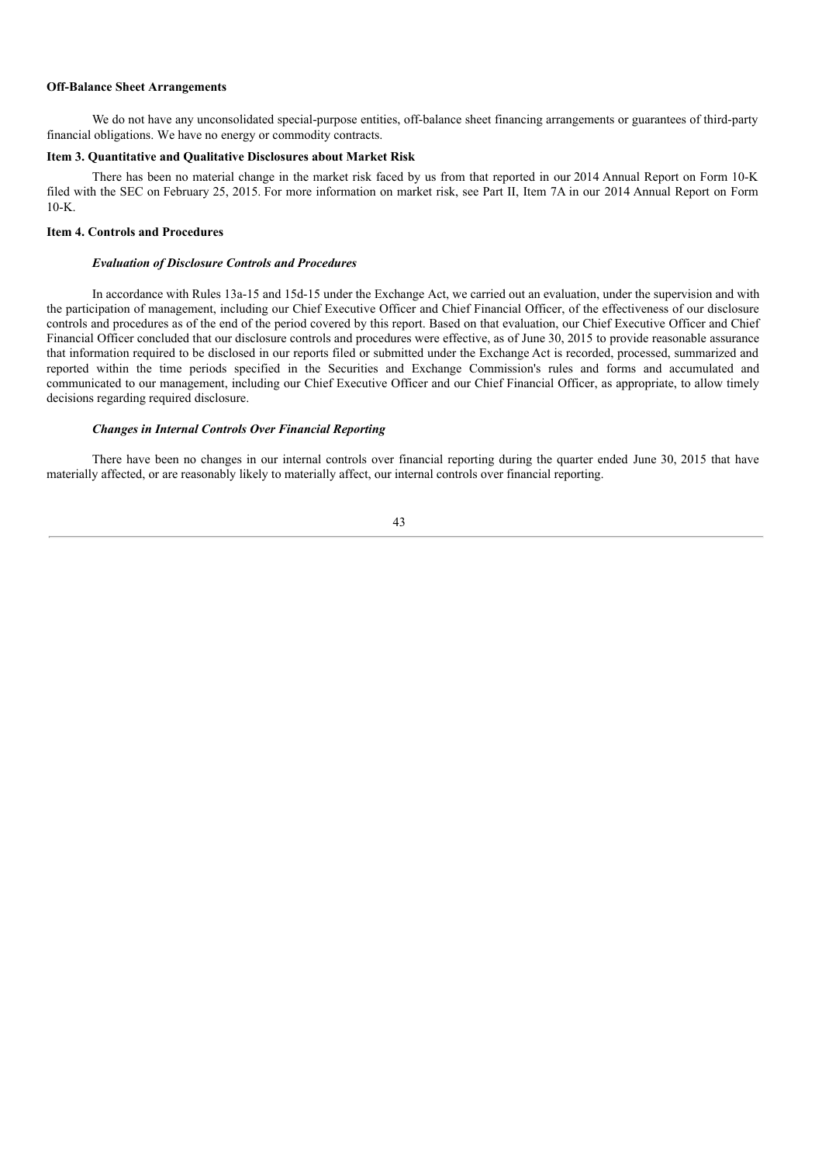#### **Off-Balance Sheet Arrangements**

We do not have any unconsolidated special-purpose entities, off-balance sheet financing arrangements or guarantees of third-party financial obligations. We have no energy or commodity contracts.

## **Item 3. Quantitative and Qualitative Disclosures about Market Risk**

There has been no material change in the market risk faced by us from that reported in our 2014 Annual Report on Form 10-K filed with the SEC on February 25, 2015. For more information on market risk, see Part II, Item 7A in our 2014 Annual Report on Form 10-K.

## **Item 4. Controls and Procedures**

#### *Evaluation of Disclosure Controls and Procedures*

In accordance with Rules 13a-15 and 15d-15 under the Exchange Act, we carried out an evaluation, under the supervision and with the participation of management, including our Chief Executive Officer and Chief Financial Officer, of the effectiveness of our disclosure controls and procedures as of the end of the period covered by this report. Based on that evaluation, our Chief Executive Officer and Chief Financial Officer concluded that our disclosure controls and procedures were effective, as of June 30, 2015 to provide reasonable assurance that information required to be disclosed in our reports filed or submitted under the Exchange Act is recorded, processed, summarized and reported within the time periods specified in the Securities and Exchange Commission's rules and forms and accumulated and communicated to our management, including our Chief Executive Officer and our Chief Financial Officer, as appropriate, to allow timely decisions regarding required disclosure.

#### *Changes in Internal Controls Over Financial Reporting*

There have been no changes in our internal controls over financial reporting during the quarter ended June 30, 2015 that have materially affected, or are reasonably likely to materially affect, our internal controls over financial reporting.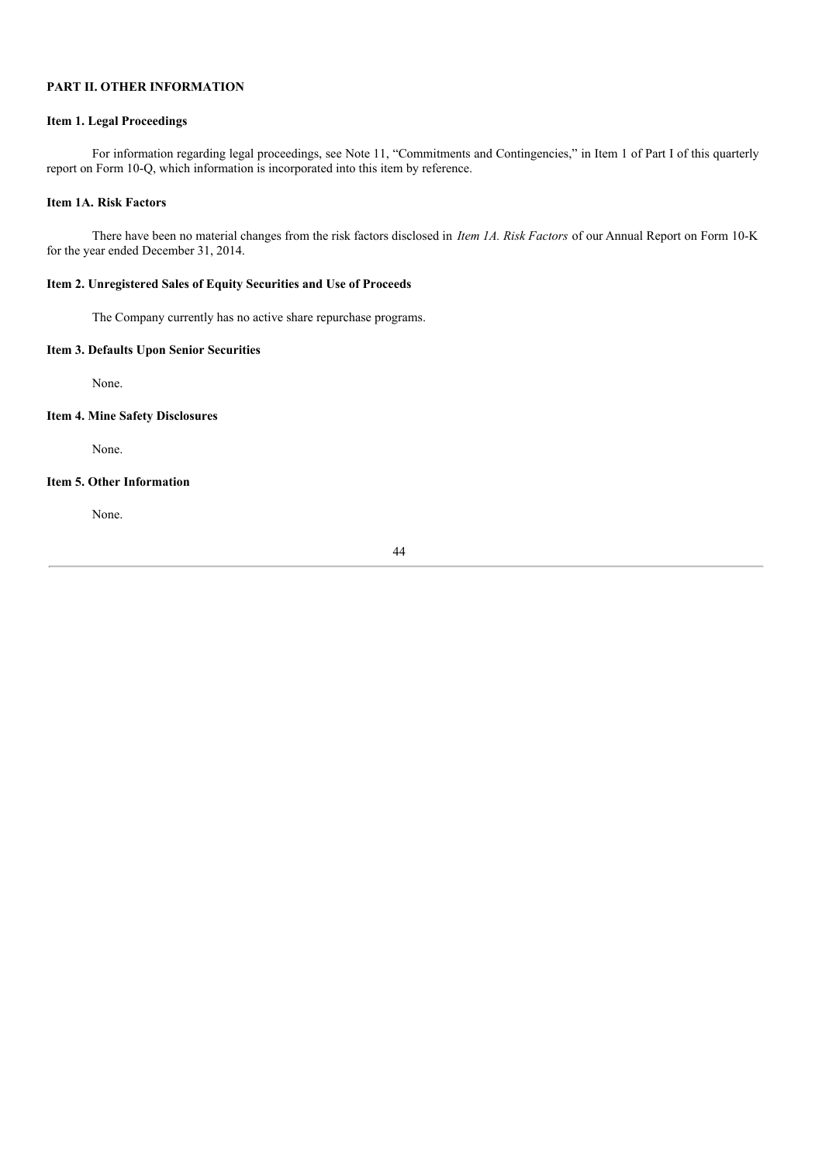# **PART II. OTHER INFORMATION**

## **Item 1. Legal Proceedings**

For information regarding legal proceedings, see Note 11, "Commitments and Contingencies," in Item 1 of Part I of this quarterly report on Form 10-Q, which information is incorporated into this item by reference.

## **Item 1A. Risk Factors**

There have been no material changes from the risk factors disclosed in *Item 1A. Risk Factors* of our Annual Report on Form 10-K for the year ended December 31, 2014.

## **Item 2. Unregistered Sales of Equity Securities and Use of Proceeds**

The Company currently has no active share repurchase programs.

## **Item 3. Defaults Upon Senior Securities**

None.

# **Item 4. Mine Safety Disclosures**

None.

## **Item 5. Other Information**

None.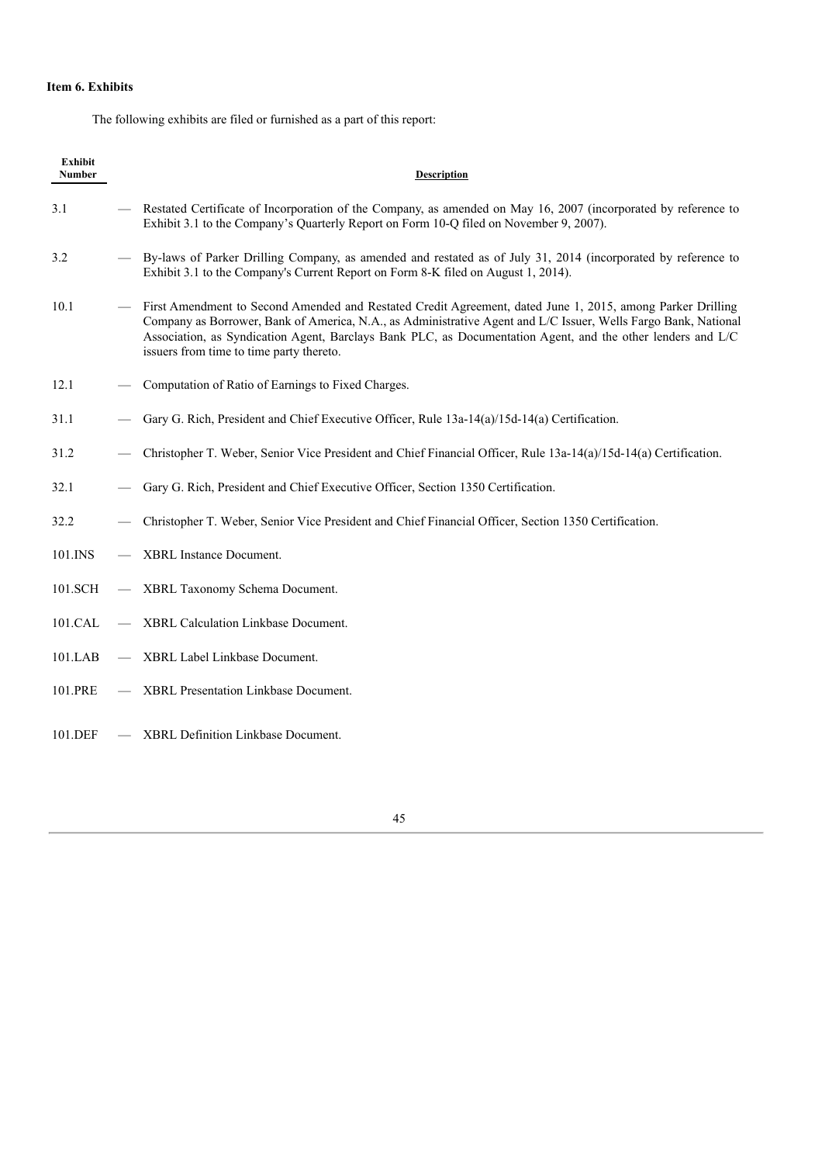# **Item 6. Exhibits**

The following exhibits are filed or furnished as a part of this report:

| <b>Exhibit</b><br><b>Number</b> | <b>Description</b>                                                                                                                                                                                                                                                                                                                                                                      |
|---------------------------------|-----------------------------------------------------------------------------------------------------------------------------------------------------------------------------------------------------------------------------------------------------------------------------------------------------------------------------------------------------------------------------------------|
| 3.1                             | Restated Certificate of Incorporation of the Company, as amended on May 16, 2007 (incorporated by reference to<br>Exhibit 3.1 to the Company's Quarterly Report on Form 10-Q filed on November 9, 2007).                                                                                                                                                                                |
| 3.2                             | By-laws of Parker Drilling Company, as amended and restated as of July 31, 2014 (incorporated by reference to<br>Exhibit 3.1 to the Company's Current Report on Form 8-K filed on August 1, 2014).                                                                                                                                                                                      |
| 10.1                            | First Amendment to Second Amended and Restated Credit Agreement, dated June 1, 2015, among Parker Drilling<br>Company as Borrower, Bank of America, N.A., as Administrative Agent and L/C Issuer, Wells Fargo Bank, National<br>Association, as Syndication Agent, Barclays Bank PLC, as Documentation Agent, and the other lenders and L/C<br>issuers from time to time party thereto. |
| 12.1                            | Computation of Ratio of Earnings to Fixed Charges.                                                                                                                                                                                                                                                                                                                                      |
| 31.1                            | Gary G. Rich, President and Chief Executive Officer, Rule 13a-14(a)/15d-14(a) Certification.                                                                                                                                                                                                                                                                                            |
| 31.2                            | Christopher T. Weber, Senior Vice President and Chief Financial Officer, Rule 13a-14(a)/15d-14(a) Certification.                                                                                                                                                                                                                                                                        |
| 32.1                            | Gary G. Rich, President and Chief Executive Officer, Section 1350 Certification.                                                                                                                                                                                                                                                                                                        |
| 32.2                            | Christopher T. Weber, Senior Vice President and Chief Financial Officer, Section 1350 Certification.                                                                                                                                                                                                                                                                                    |
| 101.INS                         | <b>XBRL</b> Instance Document.                                                                                                                                                                                                                                                                                                                                                          |
| 101.SCH                         | XBRL Taxonomy Schema Document.                                                                                                                                                                                                                                                                                                                                                          |
| 101.CAL                         | XBRL Calculation Linkbase Document.                                                                                                                                                                                                                                                                                                                                                     |
| 101.LAB                         | XBRL Label Linkbase Document.                                                                                                                                                                                                                                                                                                                                                           |
| 101.PRE                         | XBRL Presentation Linkbase Document.                                                                                                                                                                                                                                                                                                                                                    |
| 101.DEF                         | <b>XBRL Definition Linkbase Document.</b>                                                                                                                                                                                                                                                                                                                                               |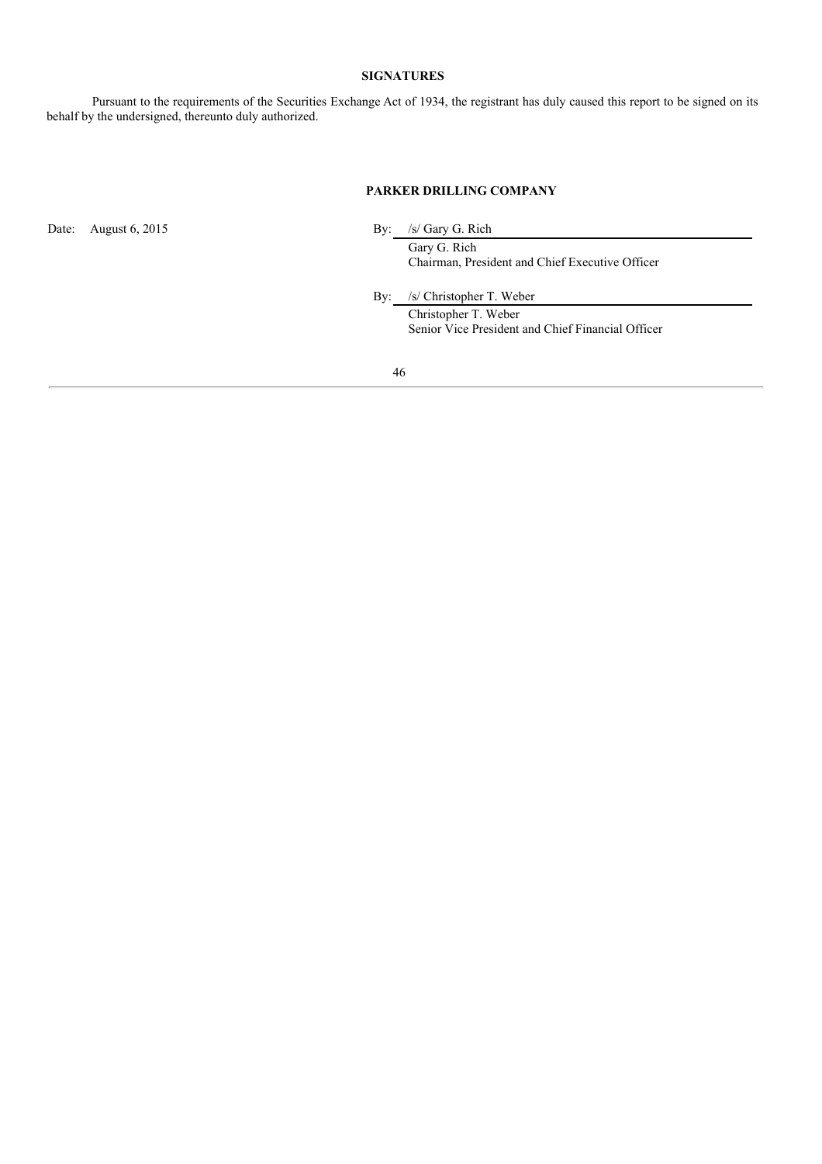# **SIGNATURES**

Pursuant to the requirements of the Securities Exchange Act of 1934, the registrant has duly caused this report to be signed on its behalf by the undersigned, thereunto duly authorized.

# **PARKER DRILLING COMPANY**

Date: August 6, 2015 By: /s/ Gary G. Rich

Gary G. Rich Chairman, President and Chief Executive Officer

By: /s/ Christopher T. Weber

Christopher T. Weber Senior Vice President and Chief Financial Officer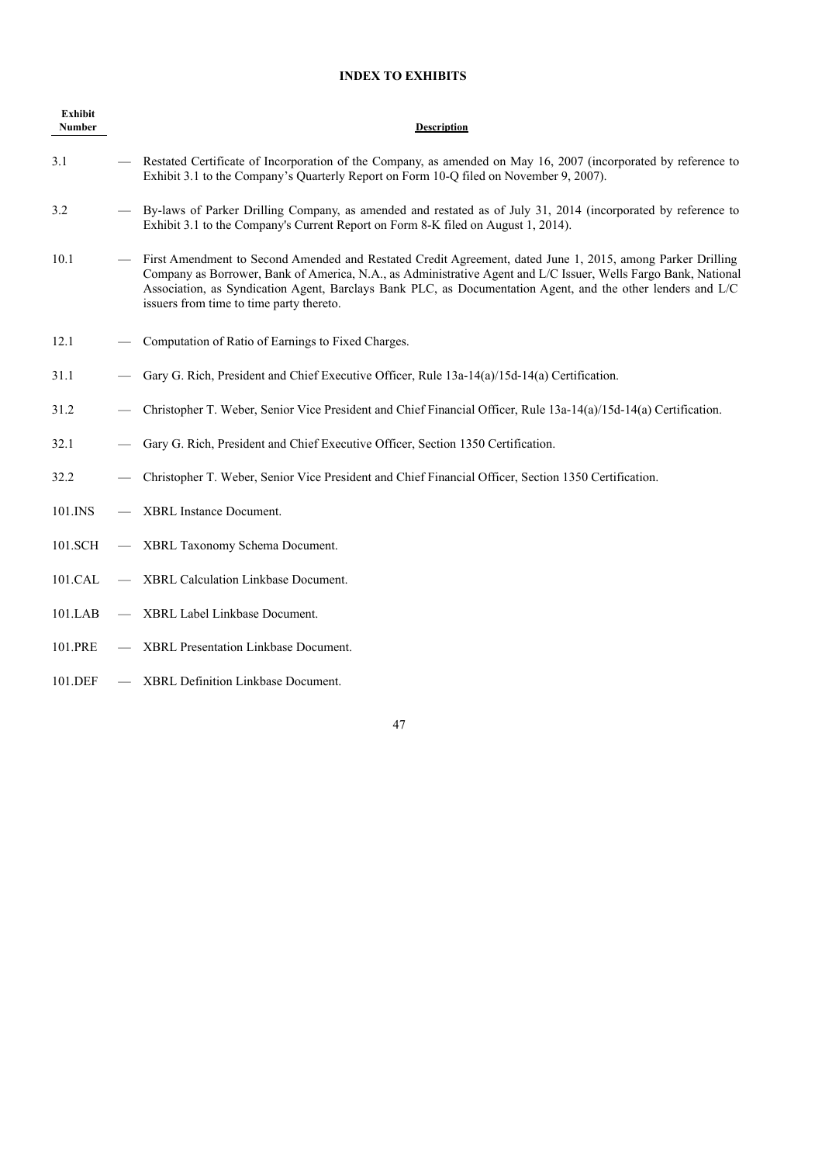# **INDEX TO EXHIBITS**

| <b>Exhibit</b><br><b>Number</b> | <b>Description</b>                                                                                                                                                                                                                                                                                                                                                                      |
|---------------------------------|-----------------------------------------------------------------------------------------------------------------------------------------------------------------------------------------------------------------------------------------------------------------------------------------------------------------------------------------------------------------------------------------|
| 3.1                             | Restated Certificate of Incorporation of the Company, as amended on May 16, 2007 (incorporated by reference to<br>Exhibit 3.1 to the Company's Quarterly Report on Form 10-Q filed on November 9, 2007).                                                                                                                                                                                |
| 3.2                             | By-laws of Parker Drilling Company, as amended and restated as of July 31, 2014 (incorporated by reference to<br>Exhibit 3.1 to the Company's Current Report on Form 8-K filed on August 1, 2014).                                                                                                                                                                                      |
| 10.1                            | First Amendment to Second Amended and Restated Credit Agreement, dated June 1, 2015, among Parker Drilling<br>Company as Borrower, Bank of America, N.A., as Administrative Agent and L/C Issuer, Wells Fargo Bank, National<br>Association, as Syndication Agent, Barclays Bank PLC, as Documentation Agent, and the other lenders and L/C<br>issuers from time to time party thereto. |
| 12.1                            | Computation of Ratio of Earnings to Fixed Charges.                                                                                                                                                                                                                                                                                                                                      |
| 31.1                            | Gary G. Rich, President and Chief Executive Officer, Rule 13a-14(a)/15d-14(a) Certification.                                                                                                                                                                                                                                                                                            |
| 31.2                            | Christopher T. Weber, Senior Vice President and Chief Financial Officer, Rule 13a-14(a)/15d-14(a) Certification.                                                                                                                                                                                                                                                                        |
| 32.1                            | Gary G. Rich, President and Chief Executive Officer, Section 1350 Certification.                                                                                                                                                                                                                                                                                                        |
| 32.2                            | Christopher T. Weber, Senior Vice President and Chief Financial Officer, Section 1350 Certification.                                                                                                                                                                                                                                                                                    |
| 101.INS                         | XBRL Instance Document.                                                                                                                                                                                                                                                                                                                                                                 |
| 101.SCH                         | XBRL Taxonomy Schema Document.                                                                                                                                                                                                                                                                                                                                                          |
| 101.CAL                         | XBRL Calculation Linkbase Document.                                                                                                                                                                                                                                                                                                                                                     |
| 101.LAB                         | XBRL Label Linkbase Document.                                                                                                                                                                                                                                                                                                                                                           |
| 101.PRE                         | <b>XBRL Presentation Linkbase Document.</b>                                                                                                                                                                                                                                                                                                                                             |
| 101.DEF                         | XBRL Definition Linkbase Document.                                                                                                                                                                                                                                                                                                                                                      |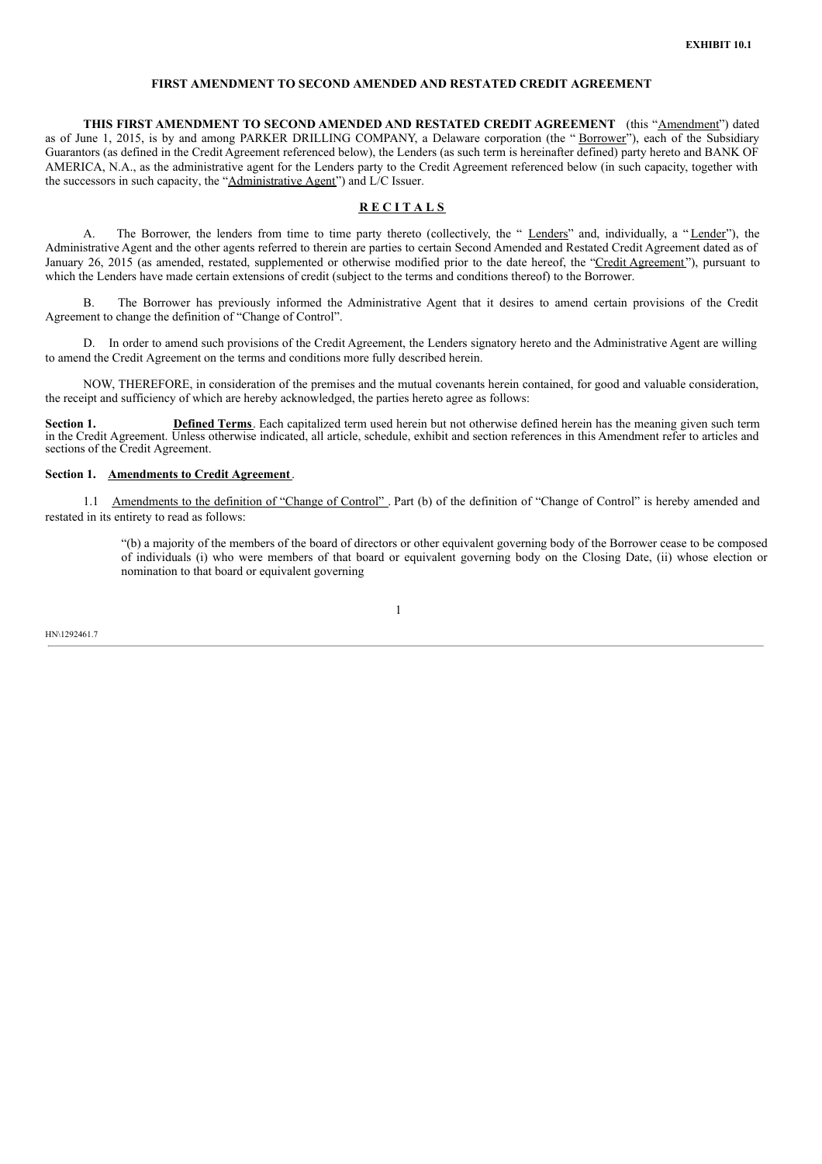## **FIRST AMENDMENT TO SECOND AMENDED AND RESTATED CREDIT AGREEMENT**

**THIS FIRST AMENDMENT TO SECOND AMENDED AND RESTATED CREDIT AGREEMENT** (this "Amendment") dated as of June 1, 2015, is by and among PARKER DRILLING COMPANY, a Delaware corporation (the "Borrower"), each of the Subsidiary Guarantors (as defined in the Credit Agreement referenced below), the Lenders (as such term is hereinafter defined) party hereto and BANK OF AMERICA, N.A., as the administrative agent for the Lenders party to the Credit Agreement referenced below (in such capacity, together with the successors in such capacity, the "Administrative Agent") and L/C Issuer.

## **R E C I T A L S**

A. The Borrower, the lenders from time to time party thereto (collectively, the " Lenders" and, individually, a "Lender"), the Administrative Agent and the other agents referred to therein are parties to certain Second Amended and Restated Credit Agreement dated as of January 26, 2015 (as amended, restated, supplemented or otherwise modified prior to the date hereof, the "Credit Agreement"), pursuant to which the Lenders have made certain extensions of credit (subject to the terms and conditions thereof) to the Borrower.

The Borrower has previously informed the Administrative Agent that it desires to amend certain provisions of the Credit Agreement to change the definition of "Change of Control".

D. In order to amend such provisions of the Credit Agreement, the Lenders signatory hereto and the Administrative Agent are willing to amend the Credit Agreement on the terms and conditions more fully described herein.

NOW, THEREFORE, in consideration of the premises and the mutual covenants herein contained, for good and valuable consideration, the receipt and sufficiency of which are hereby acknowledged, the parties hereto agree as follows:

**Section 1. Defined Terms**. Each capitalized term used herein but not otherwise defined herein has the meaning given such term in the Credit Agreement. Unless otherwise indicated, all article, schedule, exhibit and section references in this Amendment refer to articles and sections of the Credit Agreement.

#### **Section 1. Amendments to Credit Agreement**.

1.1 Amendments to the definition of "Change of Control". Part (b) of the definition of "Change of Control" is hereby amended and restated in its entirety to read as follows:

1

"(b) a majority of the members of the board of directors or other equivalent governing body of the Borrower cease to be composed of individuals (i) who were members of that board or equivalent governing body on the Closing Date, (ii) whose election or nomination to that board or equivalent governing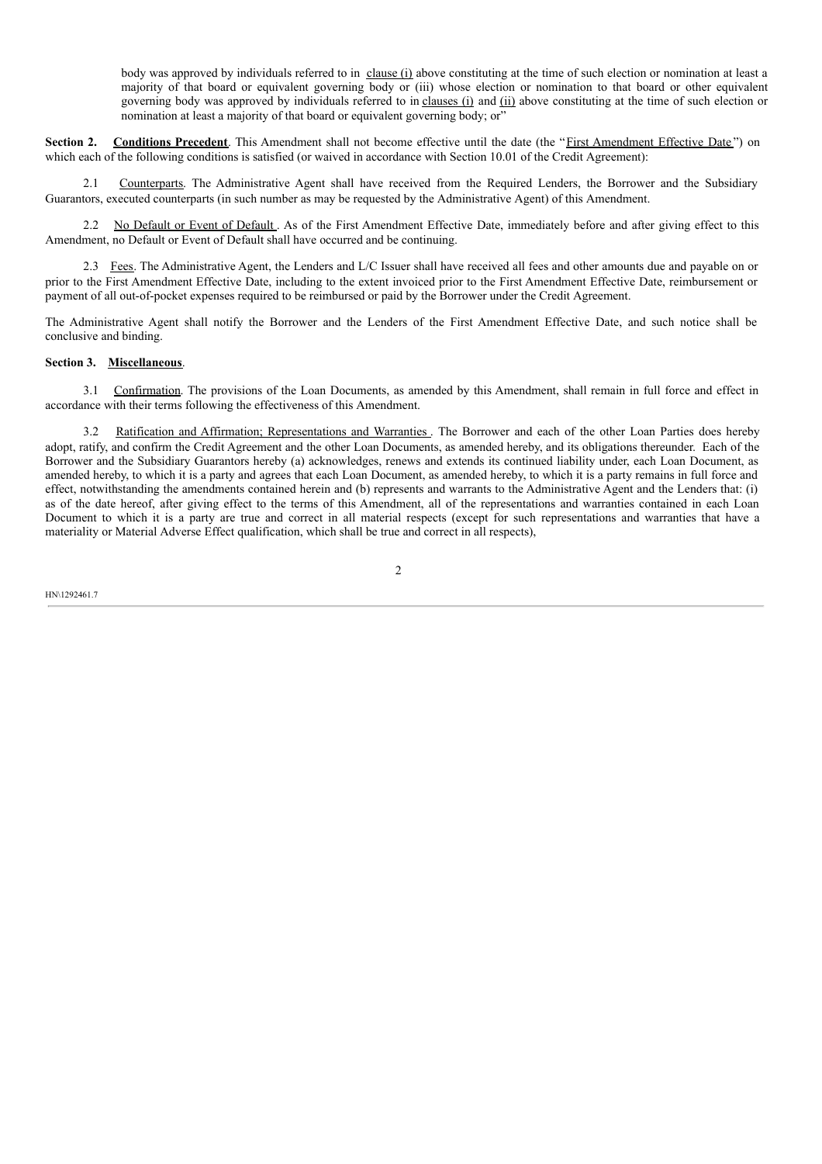body was approved by individuals referred to in clause (i) above constituting at the time of such election or nomination at least a majority of that board or equivalent governing body or (iii) whose election or nomination to that board or other equivalent governing body was approved by individuals referred to in clauses (i) and (ii) above constituting at the time of such election or nomination at least a majority of that board or equivalent governing body; or"

**Section 2.** Conditions Precedent. This Amendment shall not become effective until the date (the "First Amendment Effective Date") on which each of the following conditions is satisfied (or waived in accordance with Section 10.01 of the Credit Agreement):

2.1 Counterparts. The Administrative Agent shall have received from the Required Lenders, the Borrower and the Subsidiary Guarantors, executed counterparts (in such number as may be requested by the Administrative Agent) of this Amendment.

2.2 No Default or Event of Default . As of the First Amendment Effective Date, immediately before and after giving effect to this Amendment, no Default or Event of Default shall have occurred and be continuing.

2.3 Fees. The Administrative Agent, the Lenders and L/C Issuer shall have received all fees and other amounts due and payable on or prior to the First Amendment Effective Date, including to the extent invoiced prior to the First Amendment Effective Date, reimbursement or payment of all out-of-pocket expenses required to be reimbursed or paid by the Borrower under the Credit Agreement.

The Administrative Agent shall notify the Borrower and the Lenders of the First Amendment Effective Date, and such notice shall be conclusive and binding.

# **Section 3. Miscellaneous**.

3.1 Confirmation. The provisions of the Loan Documents, as amended by this Amendment, shall remain in full force and effect in accordance with their terms following the effectiveness of this Amendment.

3.2 Ratification and Affirmation; Representations and Warranties . The Borrower and each of the other Loan Parties does hereby adopt, ratify, and confirm the Credit Agreement and the other Loan Documents, as amended hereby, and its obligations thereunder. Each of the Borrower and the Subsidiary Guarantors hereby (a) acknowledges, renews and extends its continued liability under, each Loan Document, as amended hereby, to which it is a party and agrees that each Loan Document, as amended hereby, to which it is a party remains in full force and effect, notwithstanding the amendments contained herein and (b) represents and warrants to the Administrative Agent and the Lenders that: (i) as of the date hereof, after giving effect to the terms of this Amendment, all of the representations and warranties contained in each Loan Document to which it is a party are true and correct in all material respects (except for such representations and warranties that have a materiality or Material Adverse Effect qualification, which shall be true and correct in all respects),

 $\overline{2}$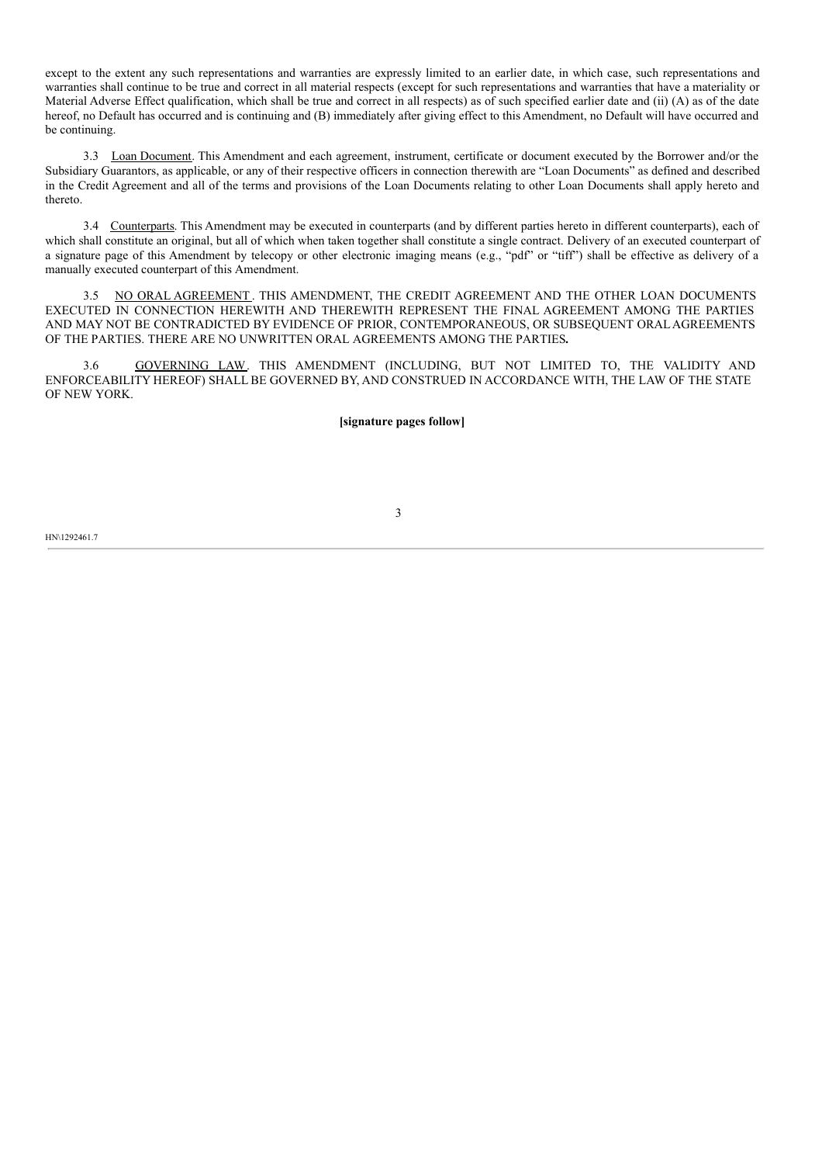except to the extent any such representations and warranties are expressly limited to an earlier date, in which case, such representations and warranties shall continue to be true and correct in all material respects (except for such representations and warranties that have a materiality or Material Adverse Effect qualification, which shall be true and correct in all respects) as of such specified earlier date and (ii) (A) as of the date hereof, no Default has occurred and is continuing and (B) immediately after giving effect to this Amendment, no Default will have occurred and be continuing.

3.3 Loan Document. This Amendment and each agreement, instrument, certificate or document executed by the Borrower and/or the Subsidiary Guarantors, as applicable, or any of their respective officers in connection therewith are "Loan Documents" as defined and described in the Credit Agreement and all of the terms and provisions of the Loan Documents relating to other Loan Documents shall apply hereto and thereto.

3.4 Counterparts. This Amendment may be executed in counterparts (and by different parties hereto in different counterparts), each of which shall constitute an original, but all of which when taken together shall constitute a single contract. Delivery of an executed counterpart of a signature page of this Amendment by telecopy or other electronic imaging means (e.g., "pdf" or "tiff") shall be effective as delivery of a manually executed counterpart of this Amendment.

3.5 NO ORAL AGREEMENT . THIS AMENDMENT, THE CREDIT AGREEMENT AND THE OTHER LOAN DOCUMENTS EXECUTED IN CONNECTION HEREWITH AND THEREWITH REPRESENT THE FINAL AGREEMENT AMONG THE PARTIES AND MAY NOT BE CONTRADICTED BY EVIDENCE OF PRIOR, CONTEMPORANEOUS, OR SUBSEQUENT ORALAGREEMENTS OF THE PARTIES. THERE ARE NO UNWRITTEN ORAL AGREEMENTS AMONG THE PARTIES**.**

3.6 GOVERNING LAW. THIS AMENDMENT (INCLUDING, BUT NOT LIMITED TO, THE VALIDITY AND ENFORCEABILITY HEREOF) SHALL BE GOVERNED BY, AND CONSTRUED IN ACCORDANCE WITH, THE LAW OF THE STATE OF NEW YORK.

**[signature pages follow]**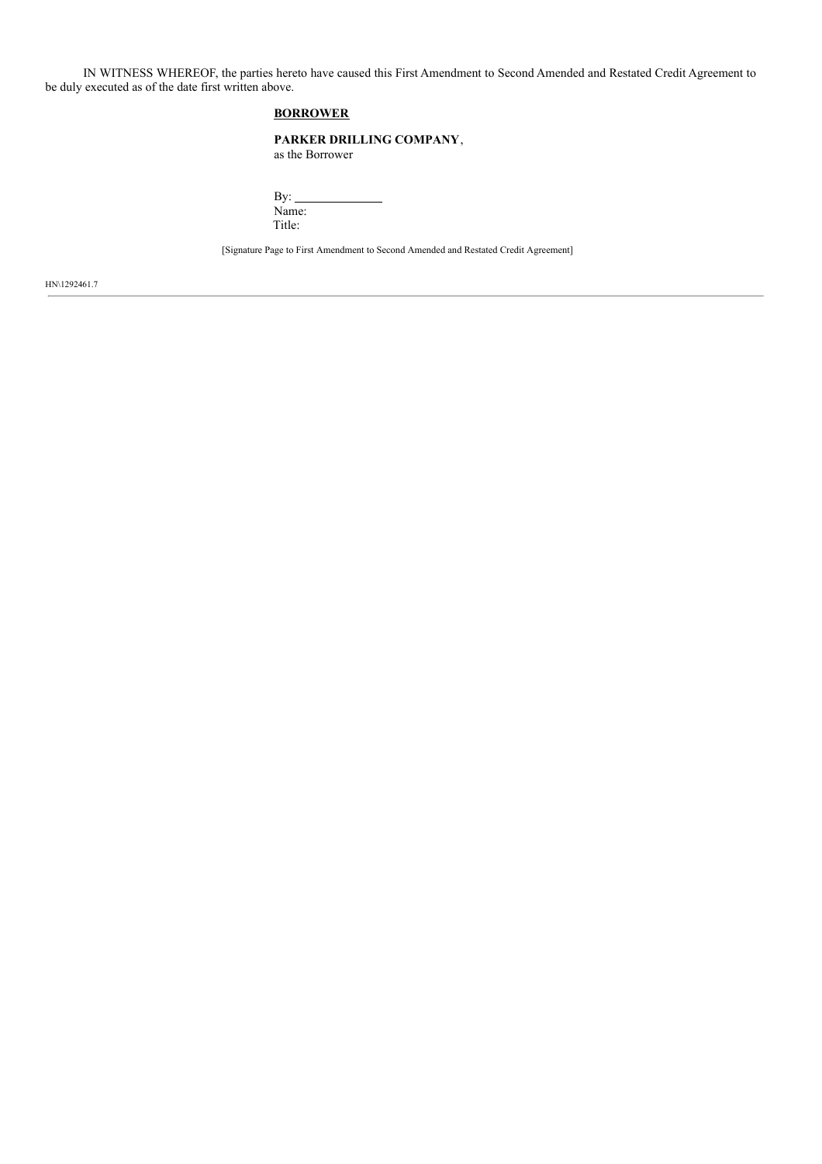IN WITNESS WHEREOF, the parties hereto have caused this First Amendment to Second Amended and Restated Credit Agreement to be duly executed as of the date first written above.

# **BORROWER**

## **PARKER DRILLING COMPANY**,

as the Borrower

By: $\_$ Name: Title:

[Signature Page to First Amendment to Second Amended and Restated Credit Agreement]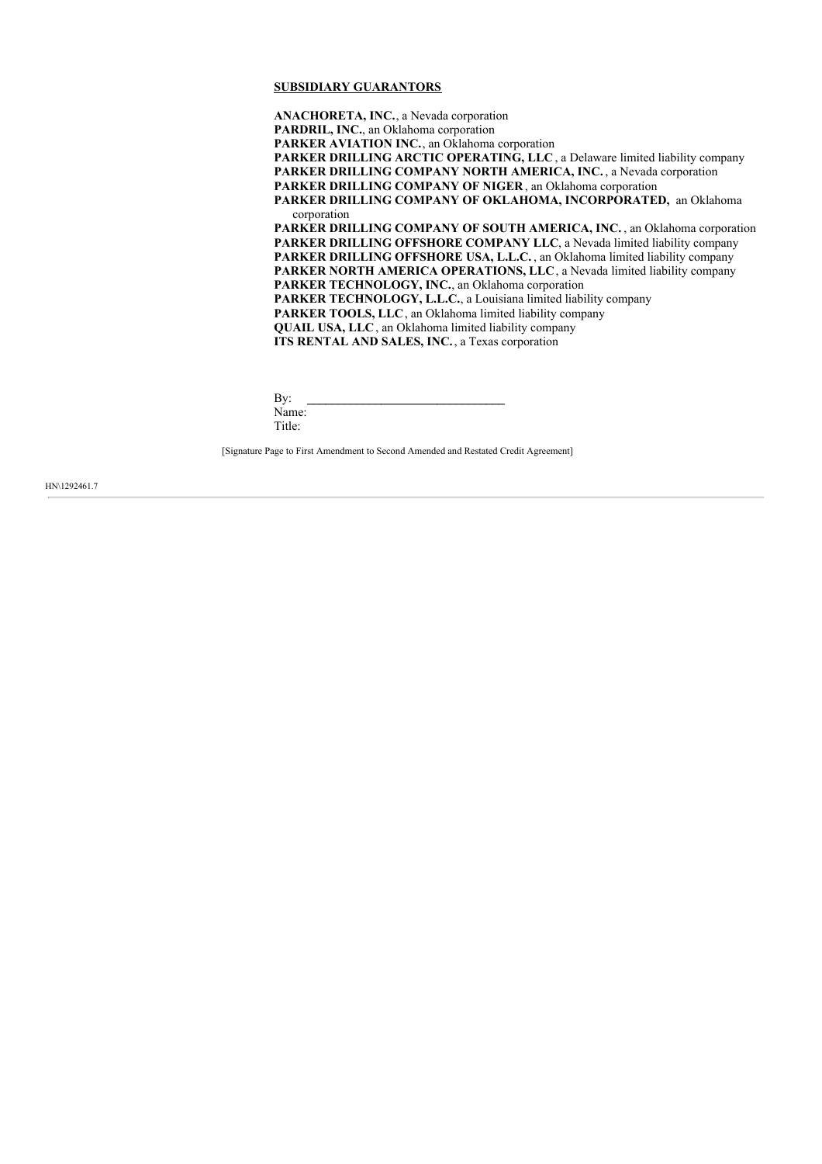## **SUBSIDIARY GUARANTORS**

**ANACHORETA, INC.**, a Nevada corporation **PARDRIL, INC.**, an Oklahoma corporation **PARKER AVIATION INC.**, an Oklahoma corporation **PARKER DRILLING ARCTIC OPERATING, LLC** , a Delaware limited liability company **PARKER DRILLING COMPANY NORTH AMERICA, INC.** , a Nevada corporation **PARKER DRILLING COMPANY OF NIGER**, an Oklahoma corporation **PARKER DRILLING COMPANY OF OKLAHOMA, INCORPORATED,** an Oklahoma corporation **PARKER DRILLING COMPANY OF SOUTH AMERICA, INC.** , an Oklahoma corporation **PARKER DRILLING OFFSHORE COMPANY LLC**, a Nevada limited liability company **PARKER DRILLING OFFSHORE USA, L.L.C.** , an Oklahoma limited liability company **PARKER NORTH AMERICA OPERATIONS, LLC**, a Nevada limited liability company **PARKER TECHNOLOGY, INC.**, an Oklahoma corporation **PARKER TECHNOLOGY, L.L.C.**, a Louisiana limited liability company **PARKER TOOLS, LLC**, an Oklahoma limited liability company **QUAIL USA, LLC**, an Oklahoma limited liability company **ITS RENTAL AND SALES, INC.** , a Texas corporation

By: **\_\_\_\_\_\_\_\_\_\_\_\_\_\_\_\_\_\_\_\_\_\_\_\_\_\_\_\_\_\_\_\_** Name: Title:

[Signature Page to First Amendment to Second Amended and Restated Credit Agreement]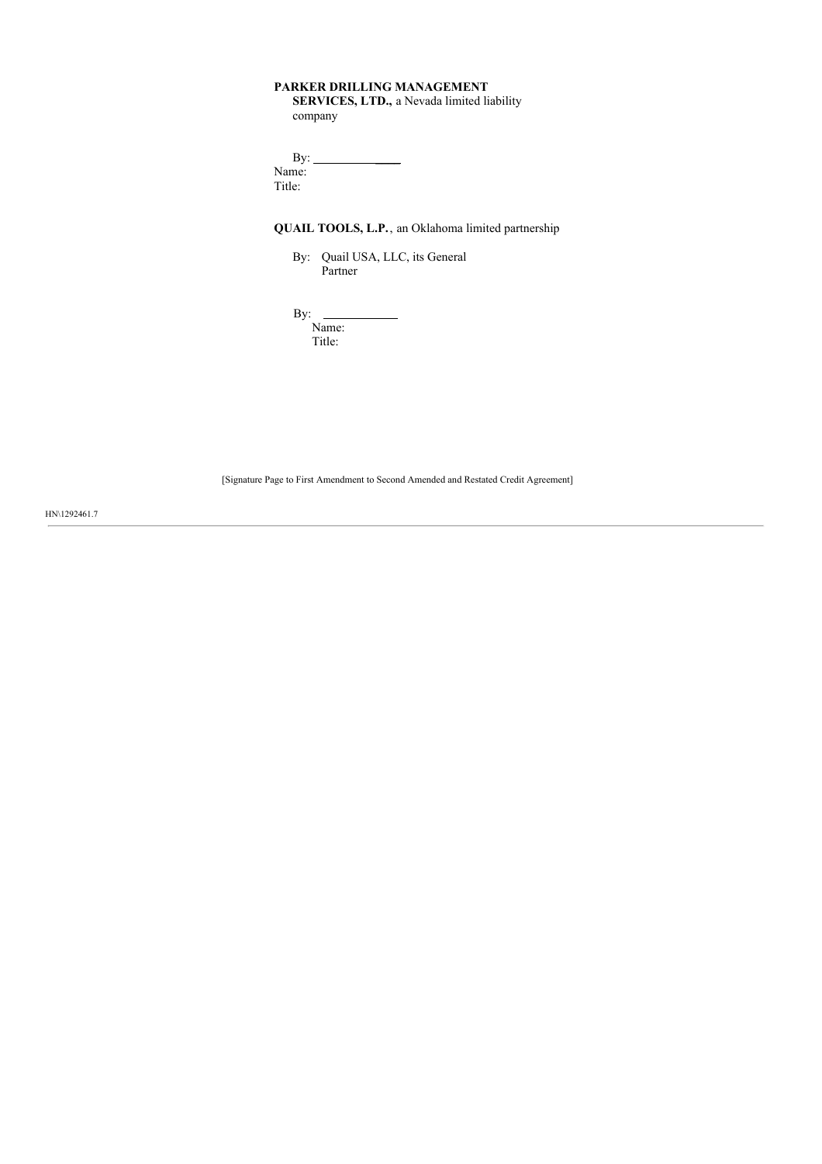# **PARKER DRILLING MANAGEMENT**

**SERVICES, LTD.,** a Nevada limited liability company

| $\rm\,By:$ |  |
|------------|--|
| Name:      |  |
| Title:     |  |
|            |  |

# **QUAIL TOOLS, L.P.**, an Oklahoma limited partnership

By: Quail USA, LLC, its General Partner

By:

Name: Title:

[Signature Page to First Amendment to Second Amended and Restated Credit Agreement]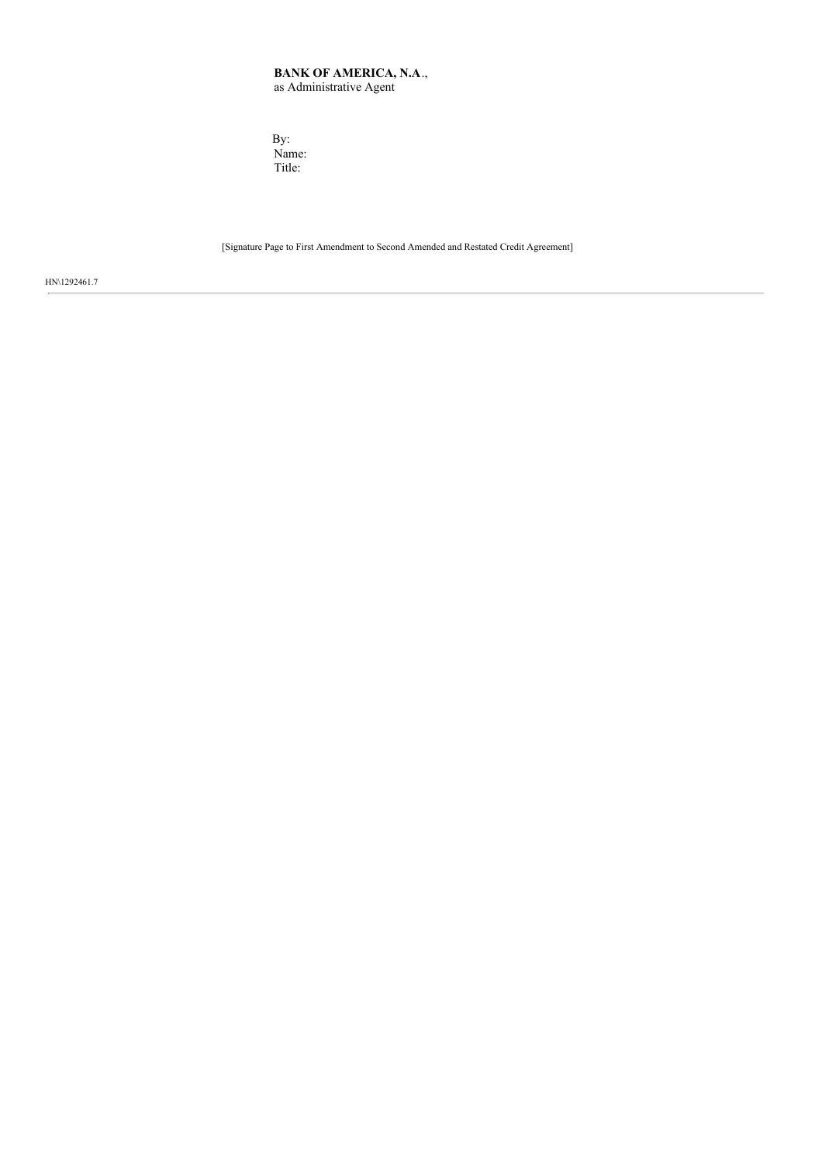# **BANK OF AMERICA, N.A**., as Administrative Agent

By: Name: Title:

[Signature Page to First Amendment to Second Amended and Restated Credit Agreement]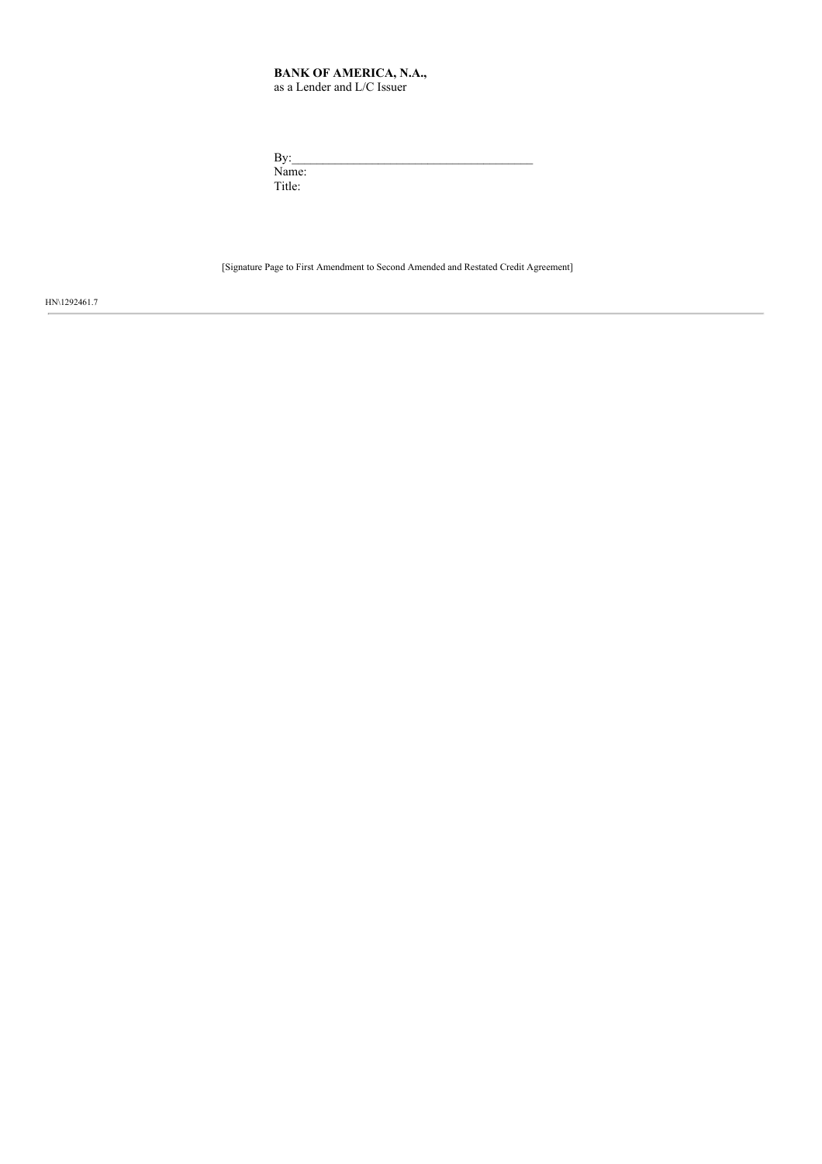#### **BANK OF AMERICA, N.A.,** as a Lender and L/C Issuer

| By:    |  |  |  |
|--------|--|--|--|
| Name:  |  |  |  |
| Title: |  |  |  |

[Signature Page to First Amendment to Second Amended and Restated Credit Agreement]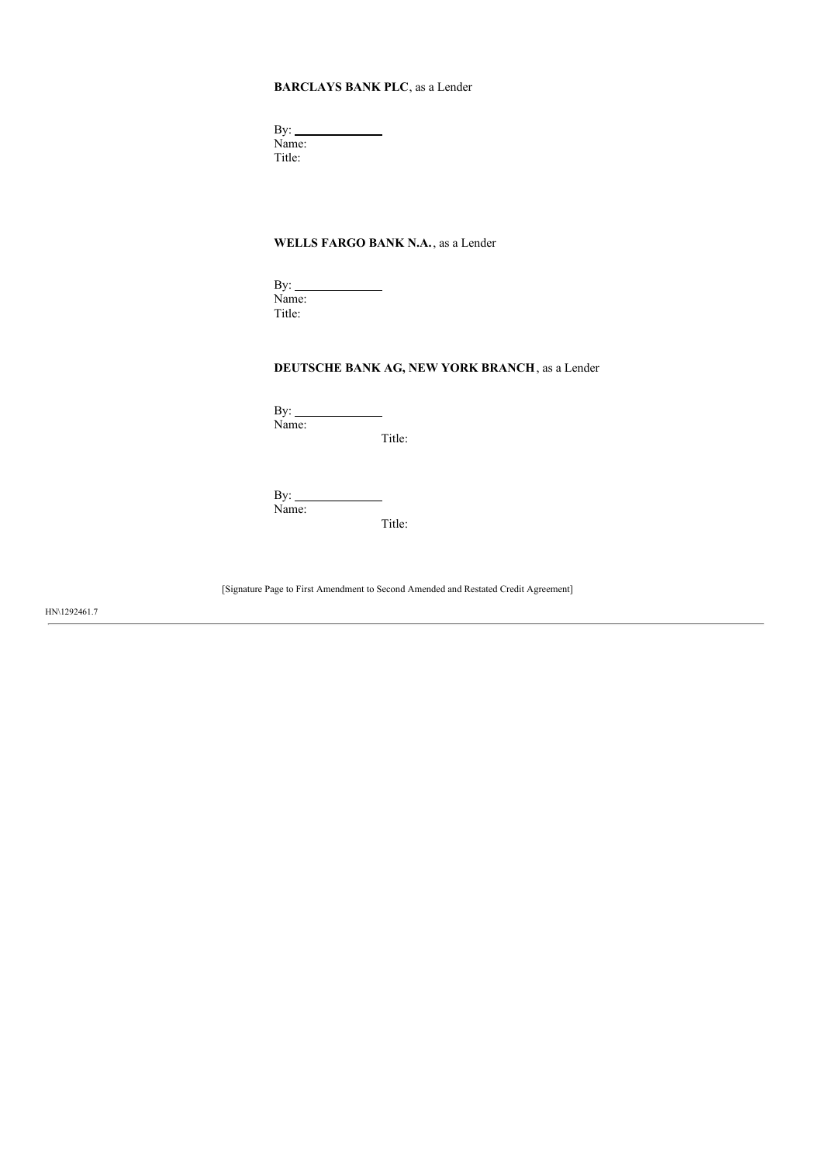# **BARCLAYS BANK PLC**, as a Lender

By:  $\overline{\phantom{a}}$ Name: Title:

# **WELLS FARGO BANK N.A.**, as a Lender

 $\mathcal{L}^{\text{max}}_{\text{max}}$ 

By: Name: Title:

# **DEUTSCHE BANK AG, NEW YORK BRANCH**, as a Lender

 $By:$ Name:

Title:

By:  $\overline{\phantom{a}}$ Name: Title:

[Signature Page to First Amendment to Second Amended and Restated Credit Agreement]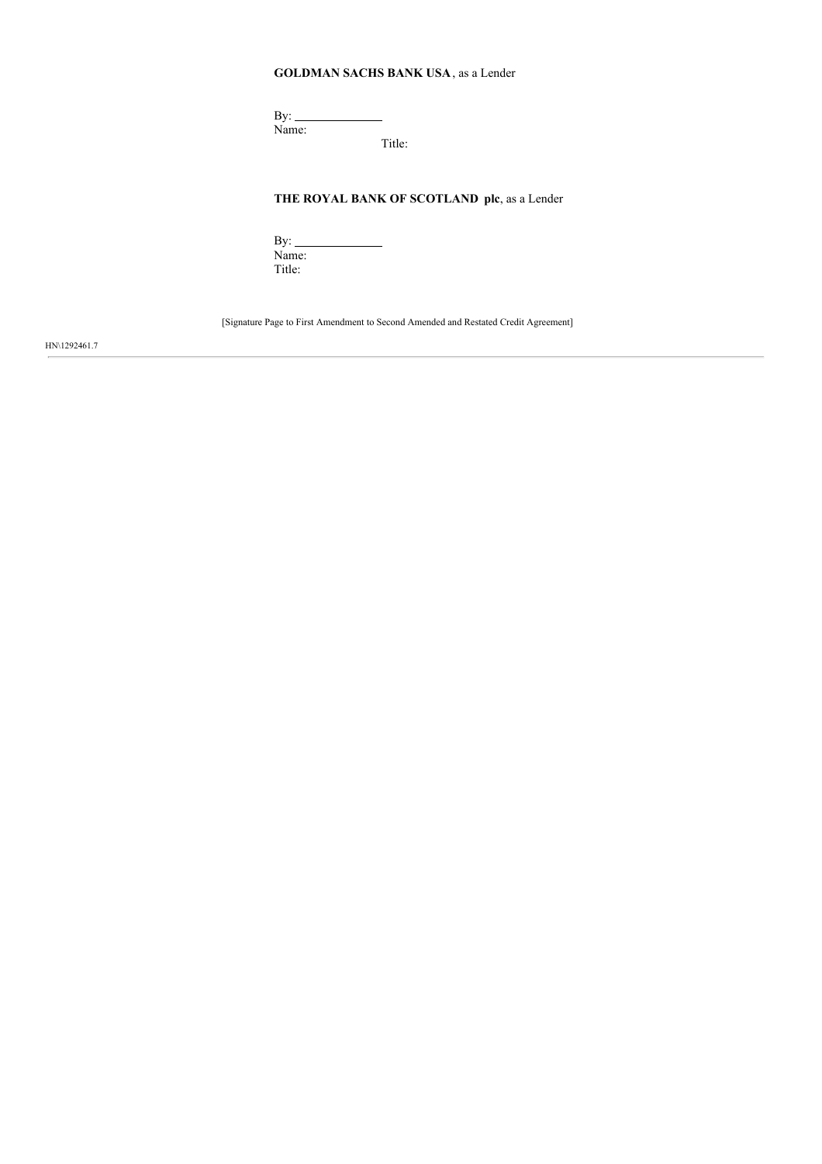# **GOLDMAN SACHS BANK USA**, as a Lender

By: Name:

Title:

# **THE ROYAL BANK OF SCOTLAND plc**, as a Lender

By: Name: Title:

[Signature Page to First Amendment to Second Amended and Restated Credit Agreement]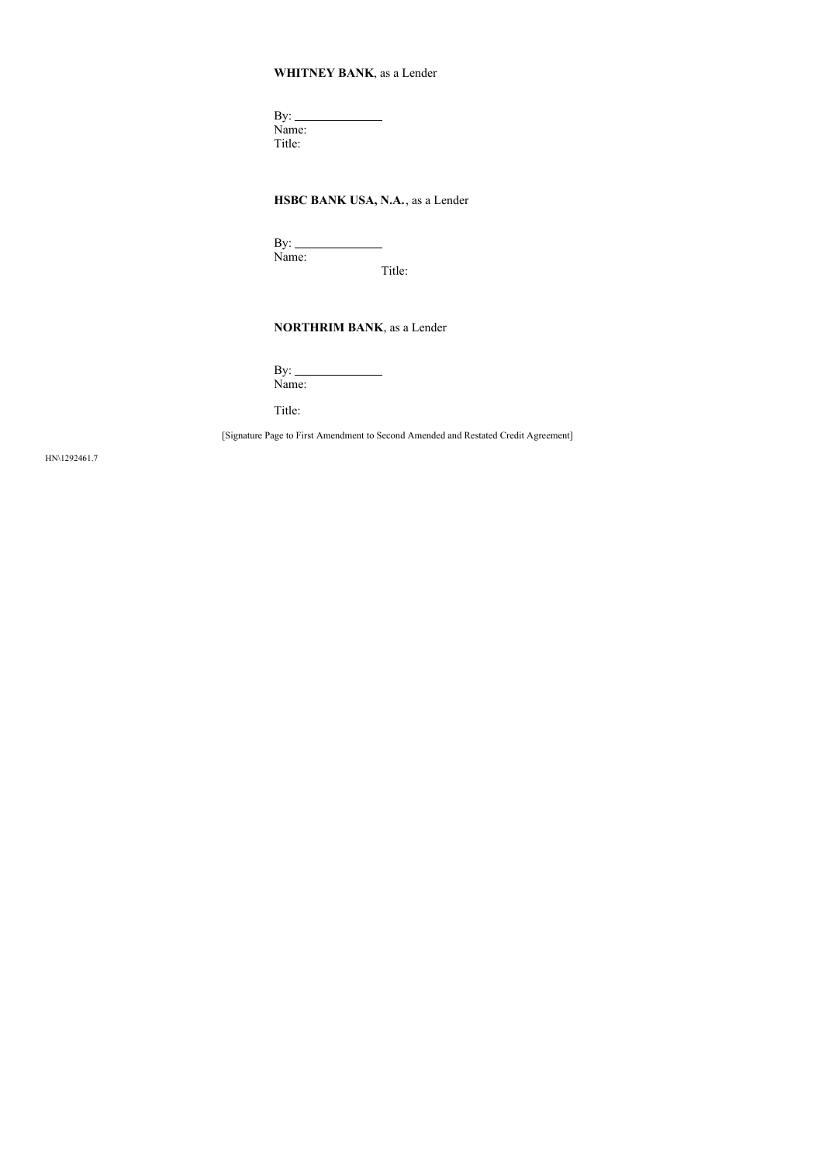# **WHITNEY BANK**, as a Lender

By: Name: Title:

# **HSBC BANK USA, N.A.**, as a Lender

 $By:$ Name:

Title:

# **NORTHRIM BANK**, as a Lender

 $By:$  $\overline{\phantom{a}}$ Name:

Title:

[Signature Page to First Amendment to Second Amended and Restated Credit Agreement]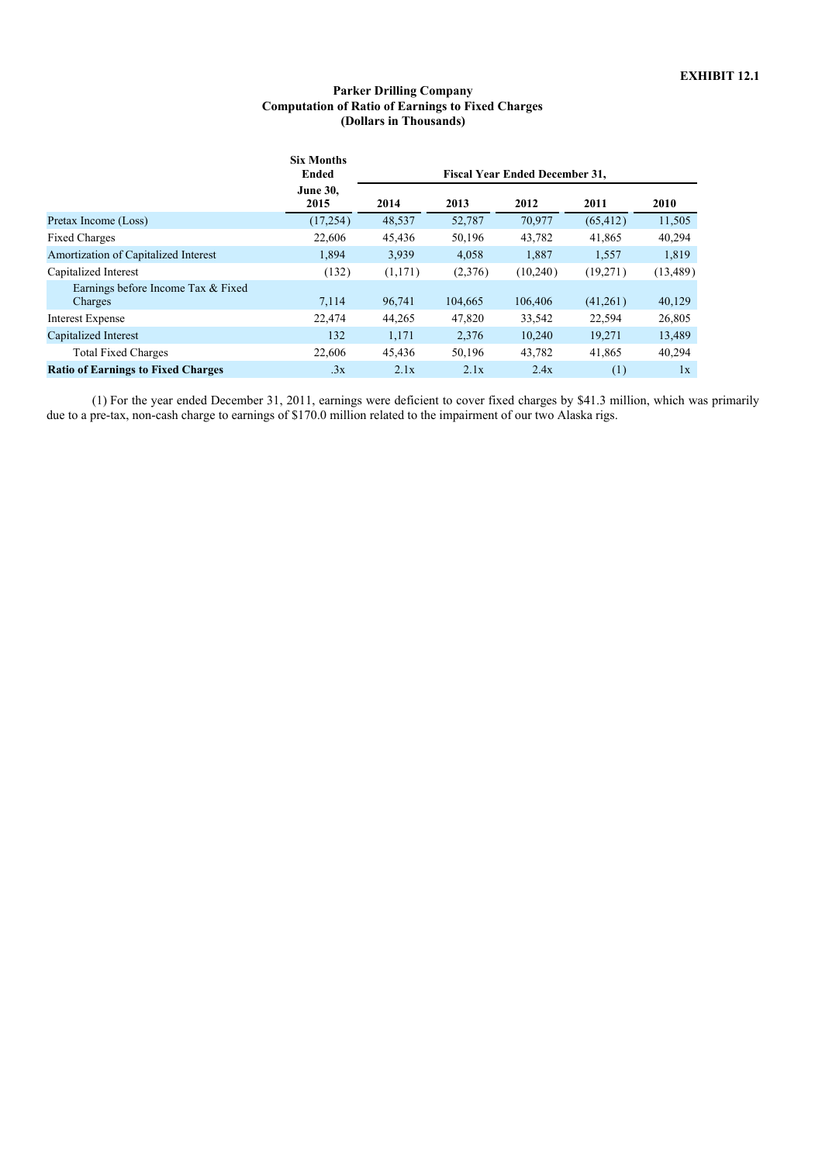## **Parker Drilling Company Computation of Ratio of Earnings to Fixed Charges (Dollars in Thousands)**

|                                               | <b>Six Months</b><br><b>Ended</b> | <b>Fiscal Year Ended December 31,</b> |         |          |           |           |  |
|-----------------------------------------------|-----------------------------------|---------------------------------------|---------|----------|-----------|-----------|--|
|                                               | <b>June 30.</b><br>2015           | 2014                                  | 2013    | 2012     | 2011      | 2010      |  |
| Pretax Income (Loss)                          | (17, 254)                         | 48,537                                | 52,787  | 70,977   | (65, 412) | 11,505    |  |
| <b>Fixed Charges</b>                          | 22,606                            | 45,436                                | 50,196  | 43,782   | 41,865    | 40,294    |  |
| Amortization of Capitalized Interest          | 1,894                             | 3,939                                 | 4,058   | 1,887    | 1,557     | 1,819     |  |
| Capitalized Interest                          | (132)                             | (1,171)                               | (2,376) | (10,240) | (19,271)  | (13, 489) |  |
| Earnings before Income Tax & Fixed<br>Charges | 7,114                             | 96,741                                | 104,665 | 106,406  | (41,261)  | 40,129    |  |
| Interest Expense                              | 22,474                            | 44,265                                | 47,820  | 33,542   | 22,594    | 26,805    |  |
| Capitalized Interest                          | 132                               | 1.171                                 | 2.376   | 10.240   | 19,271    | 13,489    |  |
| <b>Total Fixed Charges</b>                    | 22,606                            | 45,436                                | 50,196  | 43,782   | 41,865    | 40,294    |  |
| <b>Ratio of Earnings to Fixed Charges</b>     | .3x                               | 2.1x                                  | 2.1x    | 2.4x     | (1)       | 1x        |  |

(1) For the year ended December 31, 2011, earnings were deficient to cover fixed charges by \$41.3 million, which was primarily due to a pre-tax, non-cash charge to earnings of \$170.0 million related to the impairment of our two Alaska rigs.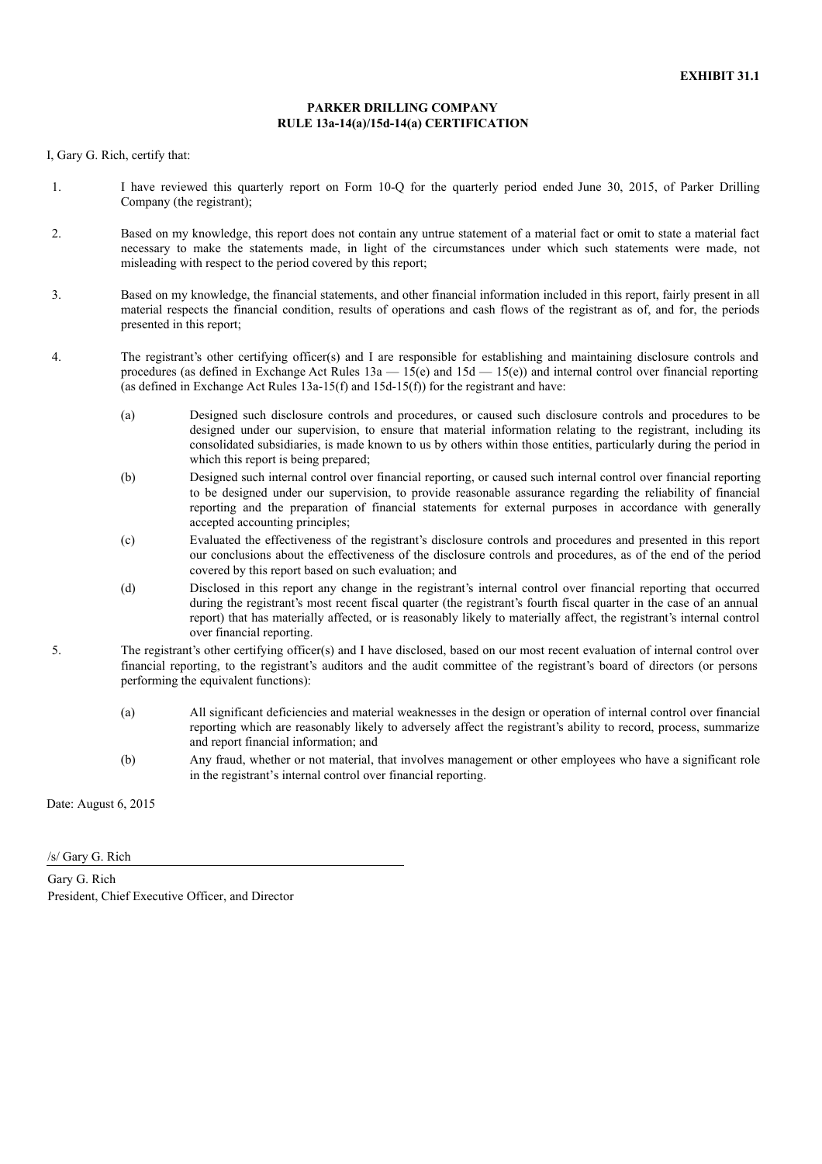## **PARKER DRILLING COMPANY RULE 13a-14(a)/15d-14(a) CERTIFICATION**

I, Gary G. Rich, certify that:

- 1. I have reviewed this quarterly report on Form 10-Q for the quarterly period ended June 30, 2015, of Parker Drilling Company (the registrant);
- 2. Based on my knowledge, this report does not contain any untrue statement of a material fact or omit to state a material fact necessary to make the statements made, in light of the circumstances under which such statements were made, not misleading with respect to the period covered by this report;
- 3. Based on my knowledge, the financial statements, and other financial information included in this report, fairly present in all material respects the financial condition, results of operations and cash flows of the registrant as of, and for, the periods presented in this report;
- 4. The registrant's other certifying officer(s) and I are responsible for establishing and maintaining disclosure controls and procedures (as defined in Exchange Act Rules  $13a - 15(e)$  and  $15d - 15(e)$ ) and internal control over financial reporting (as defined in Exchange Act Rules 13a-15(f) and 15d-15(f)) for the registrant and have:
	- (a) Designed such disclosure controls and procedures, or caused such disclosure controls and procedures to be designed under our supervision, to ensure that material information relating to the registrant, including its consolidated subsidiaries, is made known to us by others within those entities, particularly during the period in which this report is being prepared;
	- (b) Designed such internal control over financial reporting, or caused such internal control over financial reporting to be designed under our supervision, to provide reasonable assurance regarding the reliability of financial reporting and the preparation of financial statements for external purposes in accordance with generally accepted accounting principles;
	- (c) Evaluated the effectiveness of the registrant's disclosure controls and procedures and presented in this report our conclusions about the effectiveness of the disclosure controls and procedures, as of the end of the period covered by this report based on such evaluation; and
	- (d) Disclosed in this report any change in the registrant's internal control over financial reporting that occurred during the registrant's most recent fiscal quarter (the registrant's fourth fiscal quarter in the case of an annual report) that has materially affected, or is reasonably likely to materially affect, the registrant's internal control over financial reporting.
- 5. The registrant's other certifying officer(s) and I have disclosed, based on our most recent evaluation of internal control over financial reporting, to the registrant's auditors and the audit committee of the registrant's board of directors (or persons performing the equivalent functions):
	- (a) All significant deficiencies and material weaknesses in the design or operation of internal control over financial reporting which are reasonably likely to adversely affect the registrant's ability to record, process, summarize and report financial information; and
	- (b) Any fraud, whether or not material, that involves management or other employees who have a significant role in the registrant's internal control over financial reporting.

Date: August 6, 2015

/s/ Gary G. Rich

Gary G. Rich President, Chief Executive Officer, and Director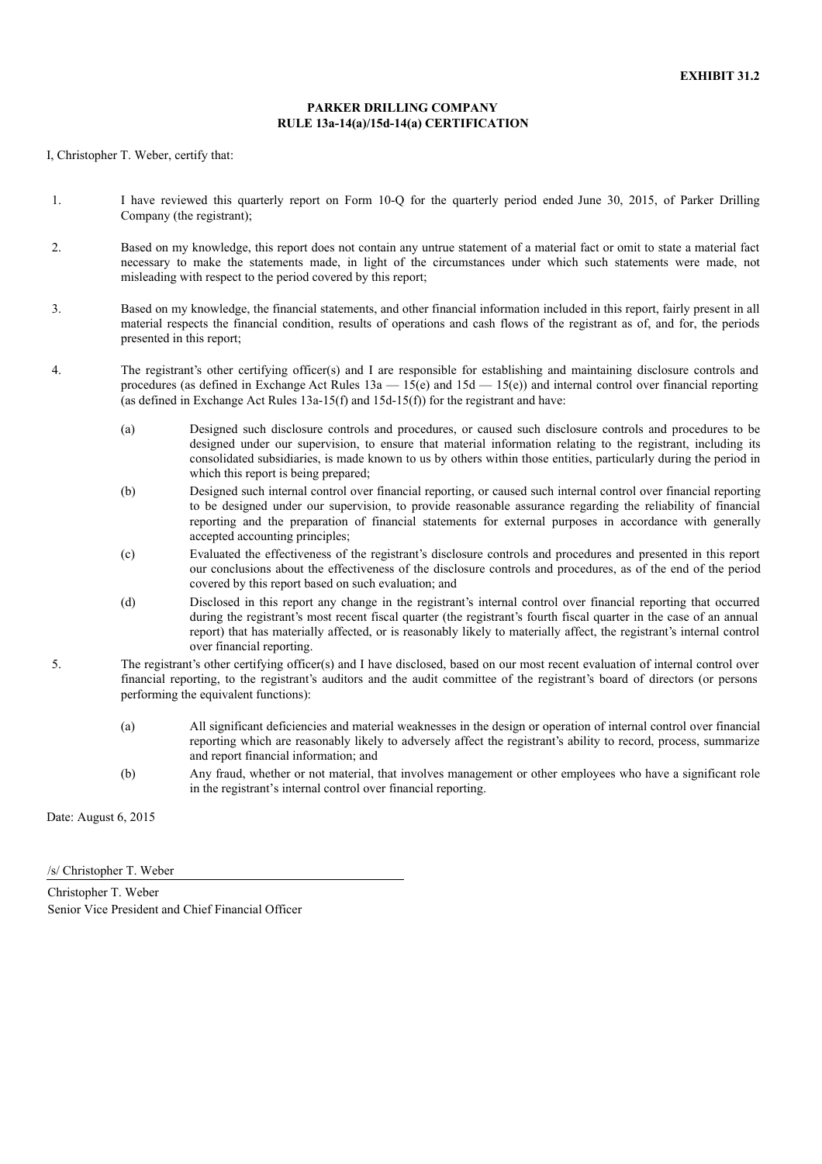## **PARKER DRILLING COMPANY RULE 13a-14(a)/15d-14(a) CERTIFICATION**

I, Christopher T. Weber, certify that:

- 1. I have reviewed this quarterly report on Form 10-Q for the quarterly period ended June 30, 2015, of Parker Drilling Company (the registrant);
- 2. Based on my knowledge, this report does not contain any untrue statement of a material fact or omit to state a material fact necessary to make the statements made, in light of the circumstances under which such statements were made, not misleading with respect to the period covered by this report;
- 3. Based on my knowledge, the financial statements, and other financial information included in this report, fairly present in all material respects the financial condition, results of operations and cash flows of the registrant as of, and for, the periods presented in this report;
- 4. The registrant's other certifying officer(s) and I are responsible for establishing and maintaining disclosure controls and procedures (as defined in Exchange Act Rules  $13a - 15(e)$  and  $15d - 15(e)$ ) and internal control over financial reporting (as defined in Exchange Act Rules 13a-15(f) and  $15d-15(f)$  for the registrant and have:
	- (a) Designed such disclosure controls and procedures, or caused such disclosure controls and procedures to be designed under our supervision, to ensure that material information relating to the registrant, including its consolidated subsidiaries, is made known to us by others within those entities, particularly during the period in which this report is being prepared;
	- (b) Designed such internal control over financial reporting, or caused such internal control over financial reporting to be designed under our supervision, to provide reasonable assurance regarding the reliability of financial reporting and the preparation of financial statements for external purposes in accordance with generally accepted accounting principles;
	- (c) Evaluated the effectiveness of the registrant's disclosure controls and procedures and presented in this report our conclusions about the effectiveness of the disclosure controls and procedures, as of the end of the period covered by this report based on such evaluation; and
	- (d) Disclosed in this report any change in the registrant's internal control over financial reporting that occurred during the registrant's most recent fiscal quarter (the registrant's fourth fiscal quarter in the case of an annual report) that has materially affected, or is reasonably likely to materially affect, the registrant's internal control over financial reporting.
- 5. The registrant's other certifying officer(s) and I have disclosed, based on our most recent evaluation of internal control over financial reporting, to the registrant's auditors and the audit committee of the registrant's board of directors (or persons performing the equivalent functions):
	- (a) All significant deficiencies and material weaknesses in the design or operation of internal control over financial reporting which are reasonably likely to adversely affect the registrant's ability to record, process, summarize and report financial information; and
	- (b) Any fraud, whether or not material, that involves management or other employees who have a significant role in the registrant's internal control over financial reporting.

Date: August 6, 2015

/s/ Christopher T. Weber

Christopher T. Weber Senior Vice President and Chief Financial Officer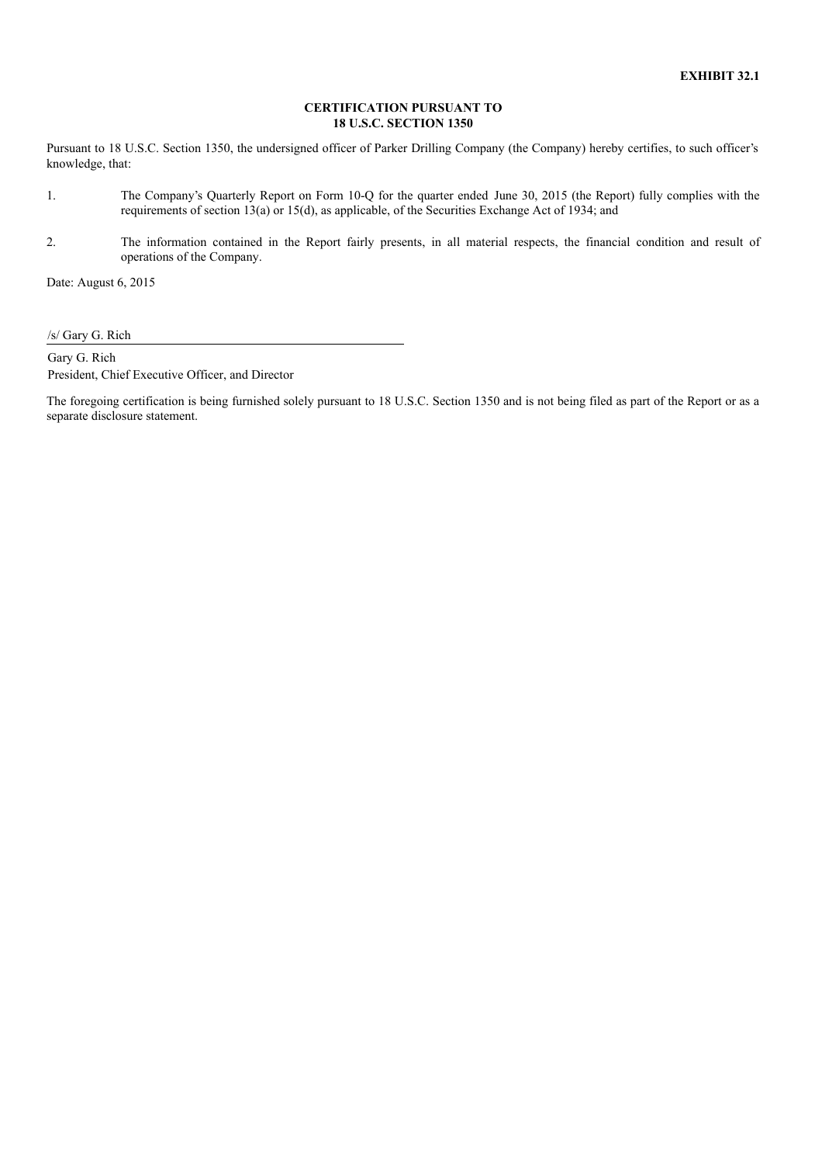## **CERTIFICATION PURSUANT TO 18 U.S.C. SECTION 1350**

Pursuant to 18 U.S.C. Section 1350, the undersigned officer of Parker Drilling Company (the Company) hereby certifies, to such officer's knowledge, that:

- 1. The Company's Quarterly Report on Form 10-Q for the quarter ended June 30, 2015 (the Report) fully complies with the requirements of section 13(a) or 15(d), as applicable, of the Securities Exchange Act of 1934; and
- 2. The information contained in the Report fairly presents, in all material respects, the financial condition and result of operations of the Company.

Date: August 6, 2015

/s/ Gary G. Rich

Gary G. Rich President, Chief Executive Officer, and Director

The foregoing certification is being furnished solely pursuant to 18 U.S.C. Section 1350 and is not being filed as part of the Report or as a separate disclosure statement.